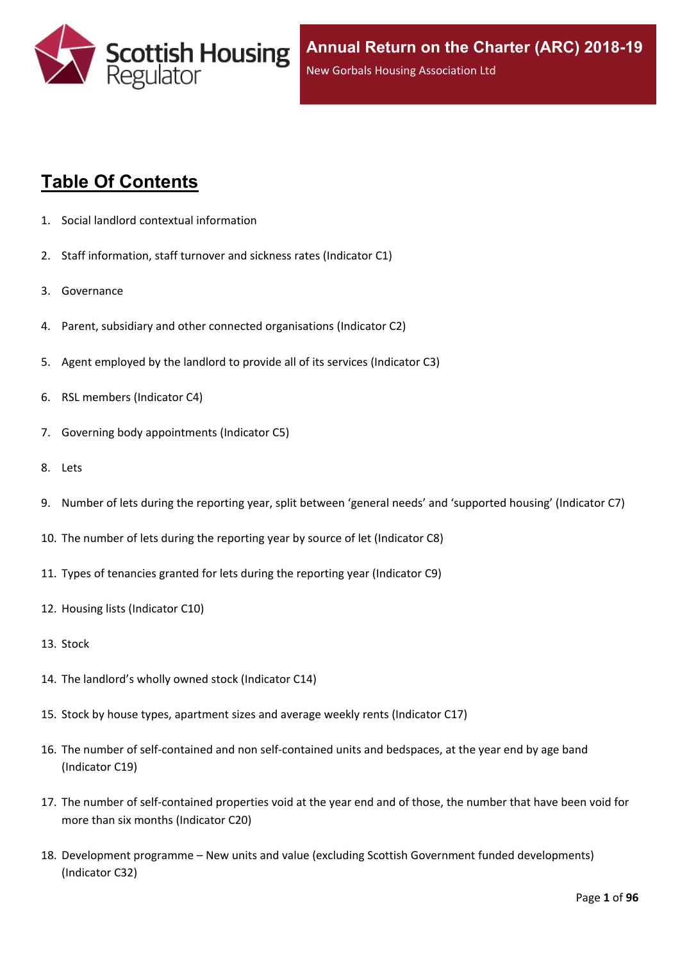

# **Table Of Contents**

- 1. Social landlord contextual [information](#page-5-0)
- 2. Staff [information,](#page-6-0) staff turnover and sickness rates (Indicator C1)
- 3. [Governance](#page-8-0)
- 4. Parent, subsidiary and other connected [organisations](#page-9-0) (Indicator C2)
- 5. Agent [employed](#page-10-0) by the landlord to provide all of its services (Indicator C3)
- 6. RSL members [\(Indicator](#page-11-0) C4)
- 7. Governing body [appointments](#page-12-0) (Indicator C5)
- 8. [Lets](#page-13-0)
- 9. Number of lets during the reporting year, split between 'general needs' and ['supported](#page-14-0) housing' (Indicator C7)
- 10. The number of lets during the reporting year by source of let [\(Indicator](#page-15-0) C8)
- 11. Types of tenancies granted for lets during the reporting year [\(Indicator](#page-16-0) C9)
- 12. Housing lists [\(Indicator](#page-17-0) C10)
- 13. [Stock](#page-18-0)
- 14. The [landlord's](#page-19-0) wholly owned stock (Indicator C14)
- 15. Stock by house types, [apartment](#page-20-0) sizes and average weekly rents (Indicator C17)
- 16. The number of self-contained and non [self-contained](#page-21-0) units and bedspaces, at the year end by age band [\(Indicator](#page-21-0) C19)
- 17. The number of [self-contained](#page-22-0) properties void at the year end and of those, the number that have been void for more than six months [\(Indicator](#page-22-0) C20)
- 18. [Development](#page-23-0) programme [–](#page-23-0) New units and value (excluding Scottish Government funded [developments\)](#page-23-0) [\(Indicator](#page-23-0) C32)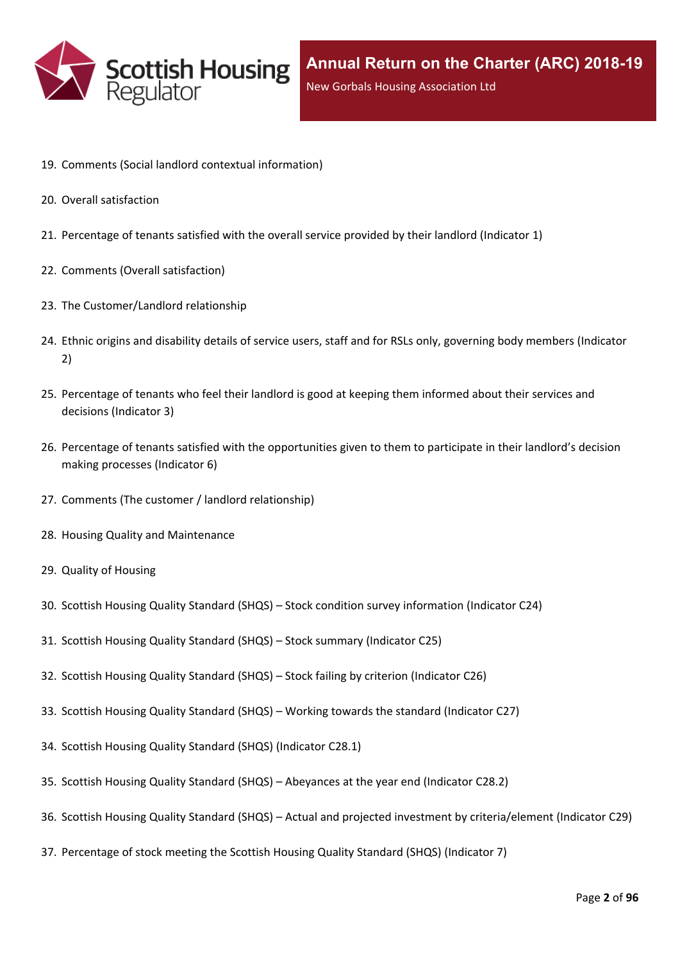

- 19. Comments (Social landlord contextual [information\)](#page-25-0)
- 20. Overall [satisfaction](#page-26-0)
- 21. [Percentage](#page-27-0) of tenants satisfied with the overall service provided by their landlord (Indicator 1)
- 22. Comments (Overall [satisfaction\)](#page-29-0)
- 23. The [Customer/Landlord](#page-30-0) relationship
- 24. Ethnic origins and disability details of service users, staff and for RSLs only, [governing](#page-31-0) body members (Indicator [2\)](#page-31-0)
- 25. [Percentage](#page-33-0) of tenants who feel their landlord is good at keeping them informed about their services and [decisions](#page-33-0) [\(Indicator](#page-33-0) 3)
- 26. Percentage of tenants satisfied with the [opportunities](#page-34-0) given to them to participate in their landlord's decision making [processes](#page-34-0) (Indicator 6)
- 27. Comments (The customer / landlord [relationship\)](#page-35-0)
- 28. Housing Quality and [Maintenance](#page-36-0)
- 29. Quality of [Housing](#page-37-0)
- 30. Scottish Housing Quality [Standard](#page-38-0) (SHQS) [–](#page-38-0) Stock condition survey [information](#page-38-0) (Indicator C24)
- 31. Scottish Housing Quality [Standard](#page-39-0) (SHQS) [–](#page-39-0) Stock summary [\(Indicator](#page-39-0) C25)
- 32. Scottish Housing Quality [Standard](#page-41-0) (SHQS) [–](#page-41-0) Stock failing by criterion [\(Indicator](#page-41-0) C26)
- 33. Scottish Housing Quality [Standard](#page-42-0) (SHQS) [–](#page-42-0) Working towards the standard [\(Indicator](#page-42-0) C27)
- 34. Scottish Housing Quality Standard (SHQS) [\(Indicator](#page-43-0) C28.1)
- 35. Scottish Housing Quality [Standard](#page-44-0) (SHQS) [–](#page-44-0) [Abeyances](#page-44-0) at the year end (Indicator C28.2)
- 36. Scottish Housing Quality [Standard](#page-45-0) (SHQS) [–](#page-45-0) Actual and projected investment by [criteria/element](#page-45-0) (Indicator C29)
- 37. [Percentage](#page-46-0) of stock meeting the Scottish Housing Quality Standard (SHQS) (Indicator 7)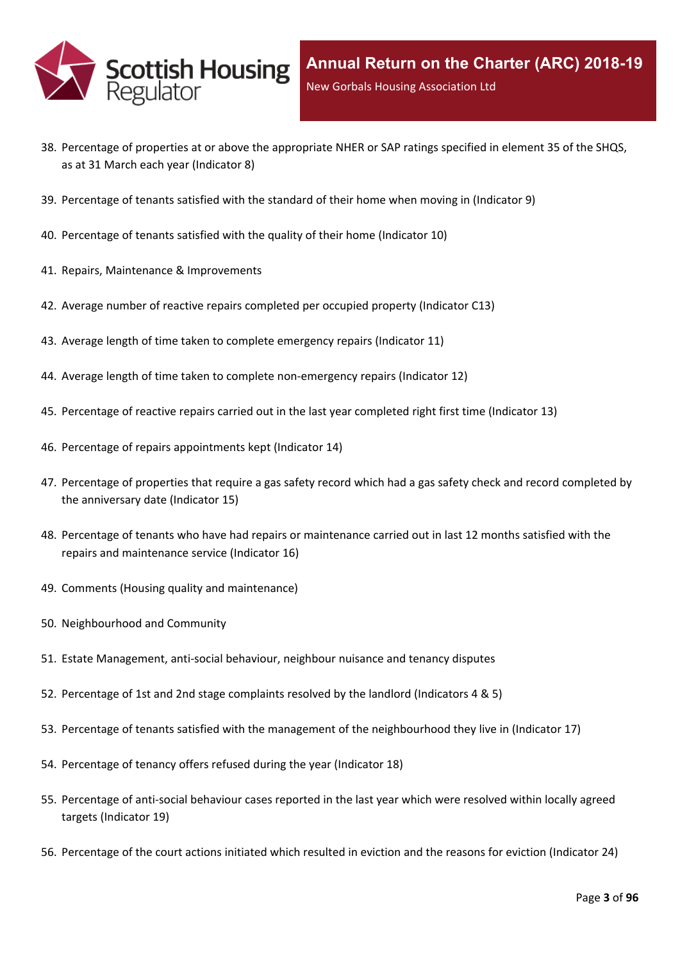

- 38. Percentage of properties at or above the [appropriate](#page-47-0) NHER or SAP ratings specified in element 35 of the SHQS, as at 31 March each year [\(Indicator](#page-47-0) 8)
- 39. [Percentage](#page-48-0) of tenants satisfied with the standard of their home when moving in (Indicator 9)
- 40. [Percentage](#page-49-0) of tenants satisfied with the quality of their home (Indicator 10)
- 41. Repairs, Maintenance & [Improvements](#page-50-0)
- 42. Average number of reactive repairs [completed](#page-51-0) per occupied property (Indicator C13)
- 43. Average length of time taken to complete [emergency](#page-52-0) repairs (Indicator 11)
- 44. Average length of time taken to complete [non-emergency](#page-53-0) repairs (Indicator 12)
- 45. [Percentage](#page-54-0) of reactive repairs carried out in the last year completed right first time (Indicator 13)
- 46. Percentage of repairs [appointments](#page-55-0) kept (Indicator 14)
- 47. [Percentage](#page-56-0) of properties that require a gas safety record which had a gas safety check and record completed by the [anniversary](#page-56-0) date (Indicator 15)
- 48. Percentage of tenants who have had repairs or [maintenance](#page-57-0) carried out in last 12 months satisfied with the repairs and [maintenance](#page-57-0) service (Indicator 16)
- 49. Comments (Housing quality and [maintenance\)](#page-58-0)
- 50. [Neighbourhood](#page-59-0) and Community
- 51. Estate [Management,](#page-60-0) anti-social behaviour, neighbour nuisance and tenancy disputes
- 52. [Percentage](#page-61-0) of 1st and 2nd stage complaints resolved by the landlord (Indicators 4 & 5)
- 53. Percentage of tenants satisfied with the management of the [neighbourhood](#page-64-0) they live in (Indicator 17)
- 54. [Percentage](#page-65-0) of tenancy offers refused during the year (Indicator 18)
- 55. [Percentage](#page-66-0) of anti-social behaviour cases reported in the last year which were resolved within locally agreed targets [\(Indicator](#page-66-0) 19)
- 56. [Percentage](#page-67-0) of the court actions initiated which resulted in eviction and the reasons for eviction (Indicator 24)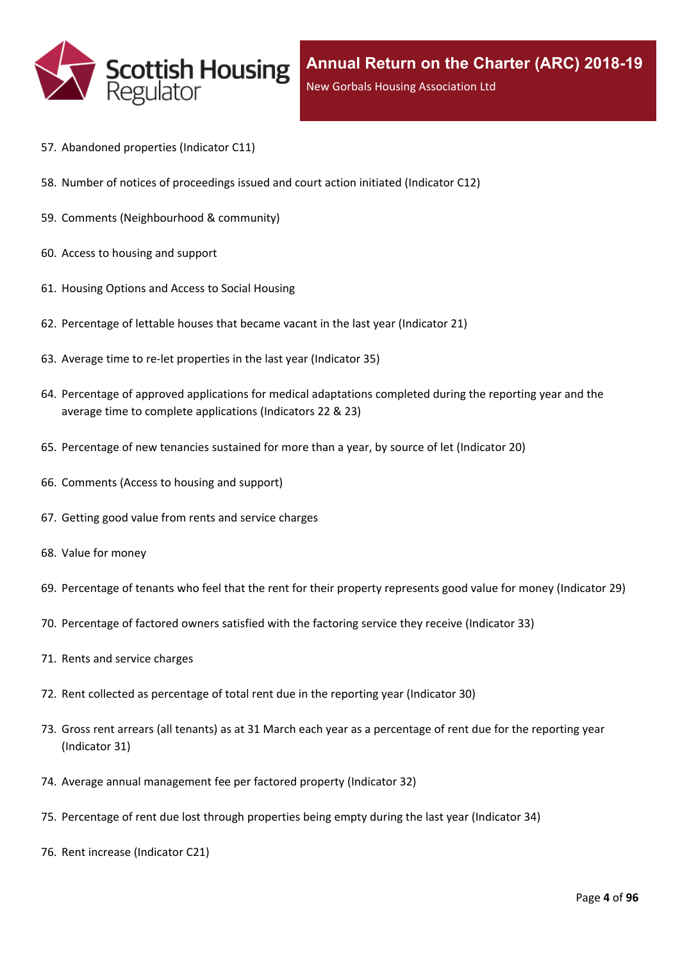

- 57. [Abandoned](#page-68-0) properties (Indicator C11)
- 58. Number of notices of [proceedings](#page-69-0) issued and court action initiated (Indicator C12)
- 59. Comments [\(Neighbourhood](#page-70-0) & community)
- 60. Access to [housing](#page-71-0) and support
- 61. [Housing](#page-72-0) Options and Access to Social Housing
- 62. [Percentage](#page-73-0) of lettable houses that became vacant in the last year (Indicator 21)
- 63. Average time to re-let [properties](#page-74-0) in the last year (Indicator 35)
- 64. Percentage of approved [applications](#page-75-0) for medical adaptations completed during the reporting year and the average time to complete [applications](#page-75-0) (Indicators 22 & 23)
- 65. [Percentage](#page-76-0) of new tenancies sustained for more than a year, by source of let (Indicator 20)
- 66. [Comments](#page-78-0) (Access to housing and support)
- 67. Getting good value from rents and service [charges](#page-79-0)
- 68. Value for [money](#page-80-0)
- 69. [Percentage](#page-81-0) of tenants who feel that the rent for their property represents good value for money (Indicator 29)
- 70. [Percentage](#page-82-0) of factored owners satisfied with the factoring service they receive (Indicator 33)
- 71. Rents and service [charges](#page-83-0)
- 72. Rent collected as [percentage](#page-84-0) of total rent due in the reporting year (Indicator 30)
- 73. Gross rent arrears (all tenants) as at 31 March each year as a [percentage](#page-85-0) of rent due for the reporting year [\(Indicator](#page-85-0) 31)
- 74. Average annual [management](#page-86-0) fee per factored property (Indicator 32)
- 75. [Percentage](#page-87-0) of rent due lost through properties being empty during the last year (Indicator 34)
- 76. Rent increase [\(Indicator](#page-88-0) C21)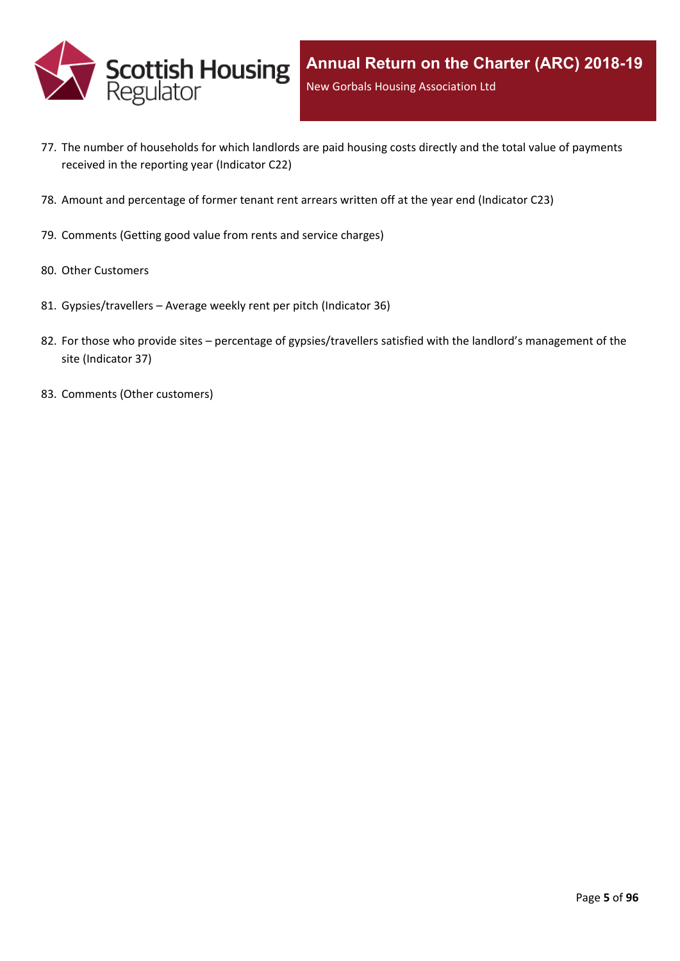

- 77. The number of [households](#page-89-0) for which landlords are paid housing costs directly and the total value of payments received in the reporting year [\(Indicator](#page-89-0) C22)
- 78. Amount and [percentage](#page-90-0) of former tenant rent arrears written off at the year end (Indicator C23)
- 79. [Comments](#page-91-0) (Getting good value from rents and service charges)
- 80. Other [Customers](#page-92-0)
- 81. [Gypsies/travellers](#page-93-0) [–](#page-93-0) Average weekly rent per pitch [\(Indicator](#page-93-0) 36)
- 82. For those who [provide](#page-94-0) sites [–](#page-94-0) percentage of [gypsies/travellers](#page-94-0) satisfied with the landlord's management of the site [\(Indicator](#page-94-0) 37)
- 83. Comments (Other [customers\)](#page-95-0)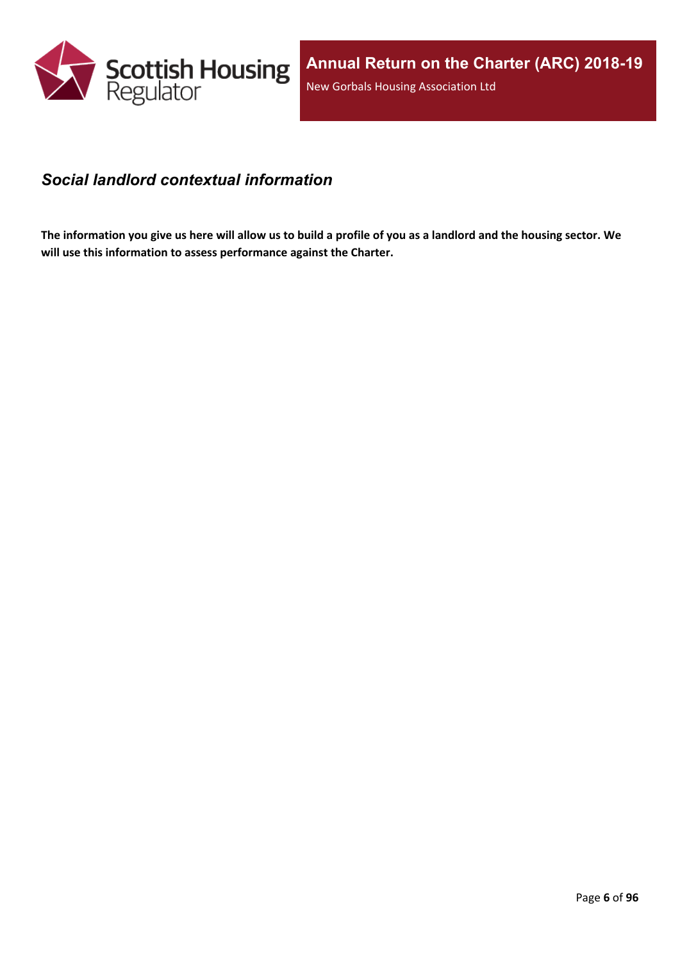

### <span id="page-5-0"></span>*Social landlord contextual information*

The information you give us here will allow us to build a profile of you as a landlord and the housing sector. We **will use this information to assess performance against the Charter.**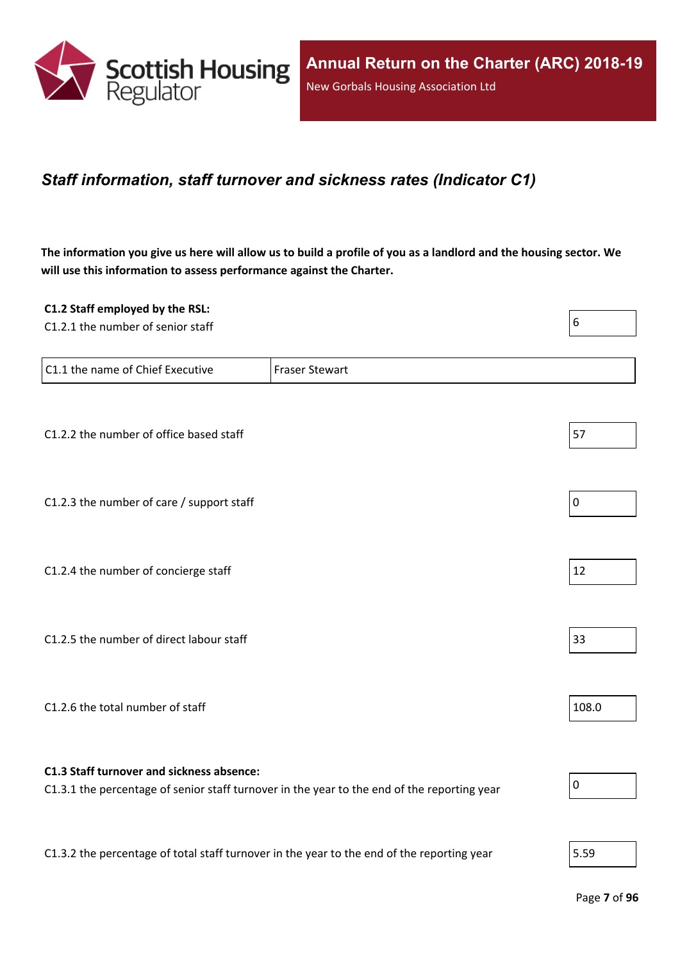

### <span id="page-6-0"></span>*Staff information, staff turnover and sickness rates (Indicator C1)*

The information you give us here will allow us to build a profile of you as a landlord and the housing sector. We **will use this information to assess performance against the Charter.**

| C1.2 Staff employed by the RSL:                                                            |                                                                                             | 6         |
|--------------------------------------------------------------------------------------------|---------------------------------------------------------------------------------------------|-----------|
| C1.2.1 the number of senior staff                                                          |                                                                                             |           |
| C1.1 the name of Chief Executive                                                           | <b>Fraser Stewart</b>                                                                       |           |
|                                                                                            |                                                                                             |           |
| C1.2.2 the number of office based staff                                                    |                                                                                             | 57        |
| C1.2.3 the number of care / support staff                                                  |                                                                                             | $\pmb{0}$ |
|                                                                                            |                                                                                             |           |
| C1.2.4 the number of concierge staff                                                       |                                                                                             | 12        |
|                                                                                            |                                                                                             |           |
| C1.2.5 the number of direct labour staff                                                   |                                                                                             | 33        |
|                                                                                            |                                                                                             |           |
| C1.2.6 the total number of staff                                                           |                                                                                             | 108.0     |
| C1.3 Staff turnover and sickness absence:                                                  |                                                                                             |           |
|                                                                                            | C1.3.1 the percentage of senior staff turnover in the year to the end of the reporting year | $\pmb{0}$ |
| C1.3.2 the percentage of total staff turnover in the year to the end of the reporting year |                                                                                             | 5.59      |
|                                                                                            |                                                                                             |           |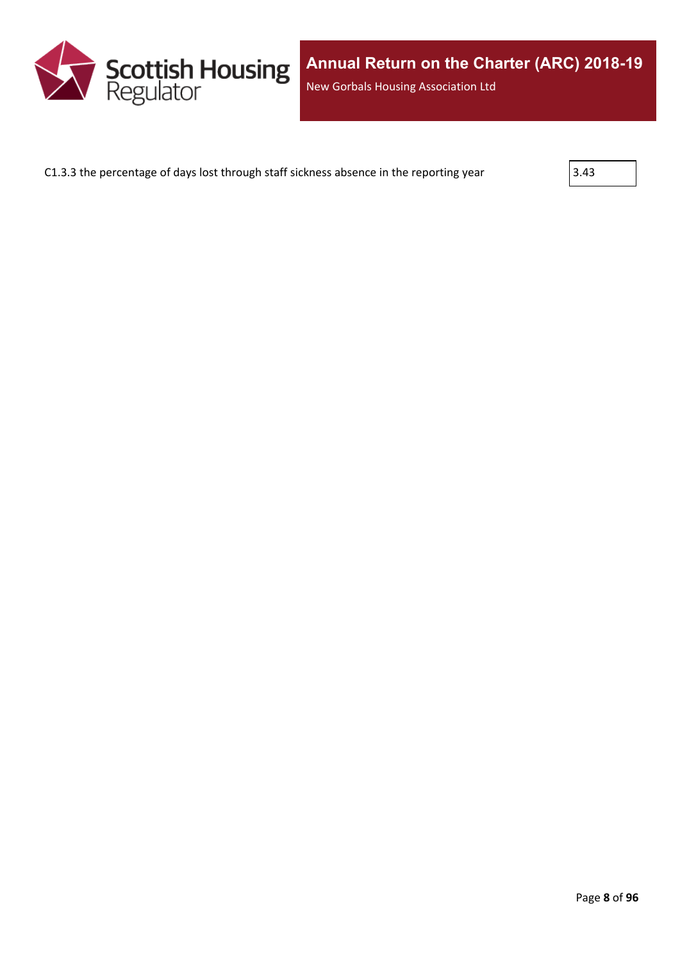

C1.3.3 the percentage of days lost through staff sickness absence in the reporting year  $\vert$  3.43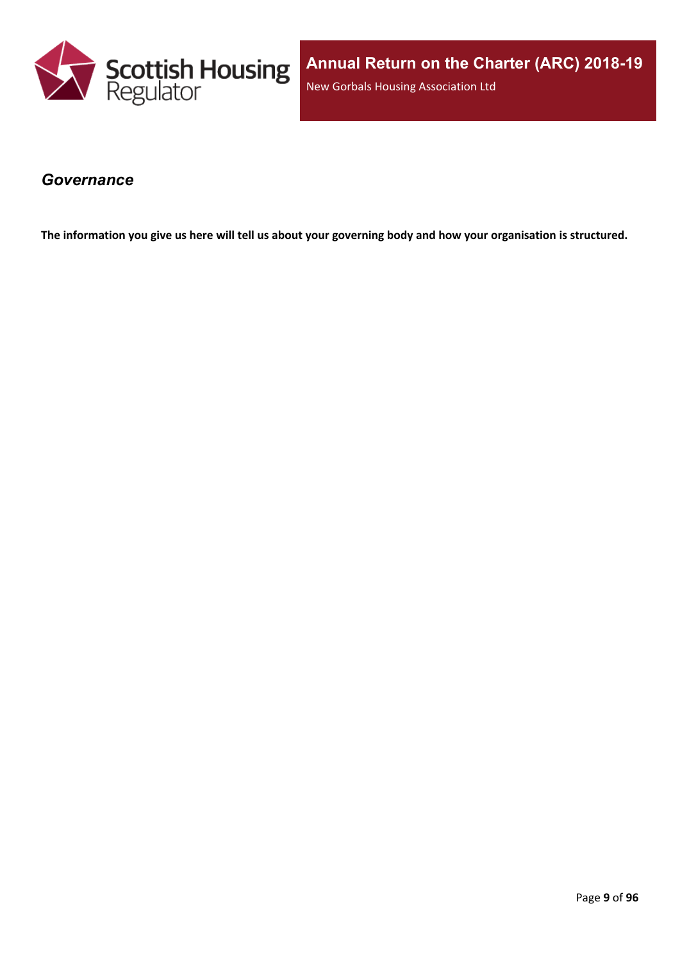

### <span id="page-8-0"></span>*Governance*

The information you give us here will tell us about your governing body and how your organisation is structured.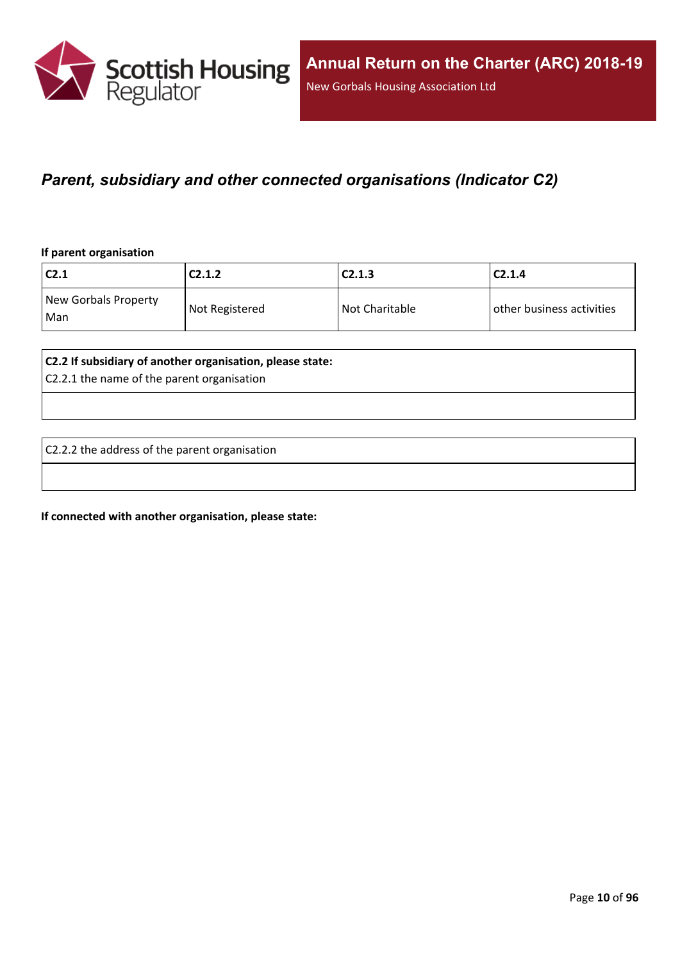

### <span id="page-9-0"></span>*Parent, subsidiary and other connected organisations (Indicator C2)*

#### **If parent organisation**

| C2.1                        | C2.1.2         | C2.1.3         | C2.1.4                    |
|-----------------------------|----------------|----------------|---------------------------|
| New Gorbals Property<br>Man | Not Registered | Not Charitable | other business activities |

#### **C2.2 If subsidiary of another organisation, please state:**

C2.2.1 the name of the parent organisation

C2.2.2 the address of the parent organisation

**If connected with another organisation, please state:**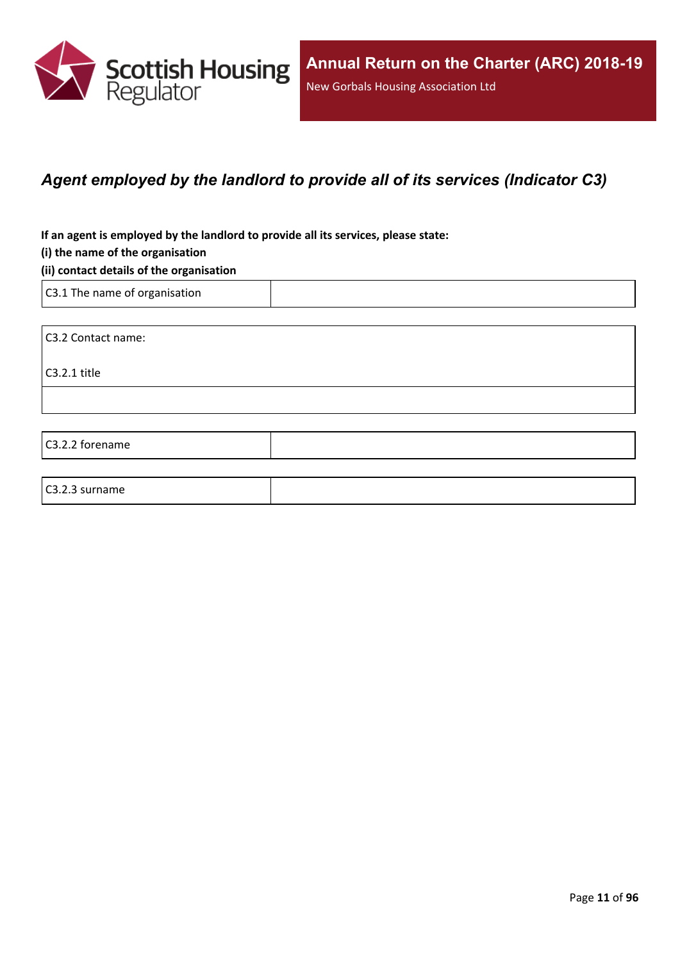

### <span id="page-10-0"></span>*Agent employed by the landlord to provide all of its services (Indicator C3)*

**If an agent is employed by the landlord to provide all its services, please state:**

#### **(i) the name of the organisation**

#### **(ii) contact details of the organisation**

C3.1 The name of organisation

C3.2 Contact name:

C3.2.1 title

C3.2.2 forename

#### C3.2.3 surname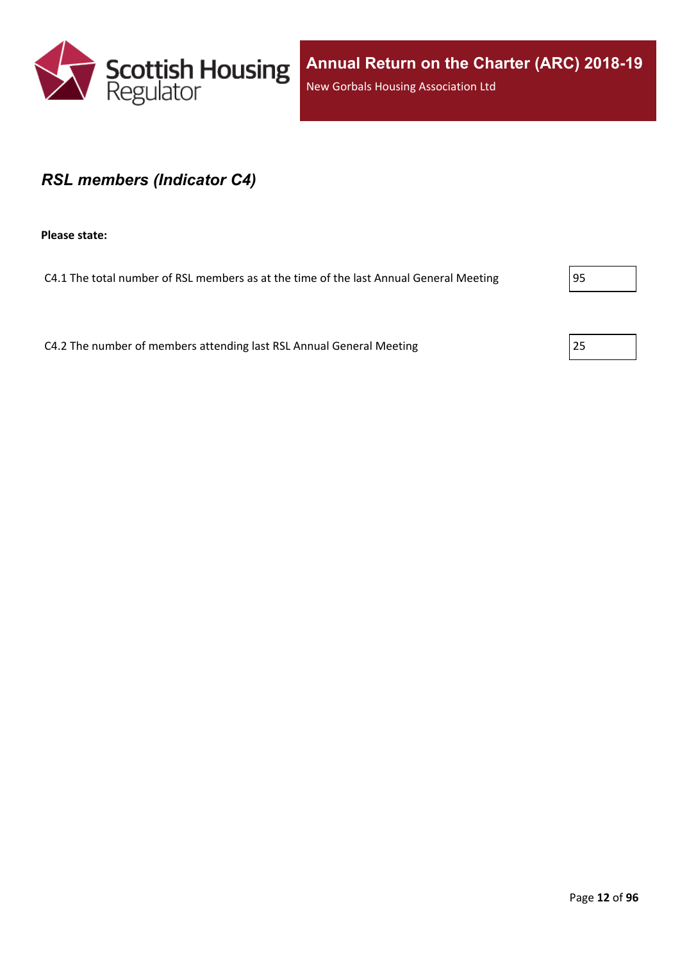

### <span id="page-11-0"></span>*RSL members (Indicator C4)*

**Please state:**

C4.1 The total number of RSL members as at the time of the last Annual General Meeting  $\vert$ 95

C4.2 The number of members attending last RSL Annual General Meeting 25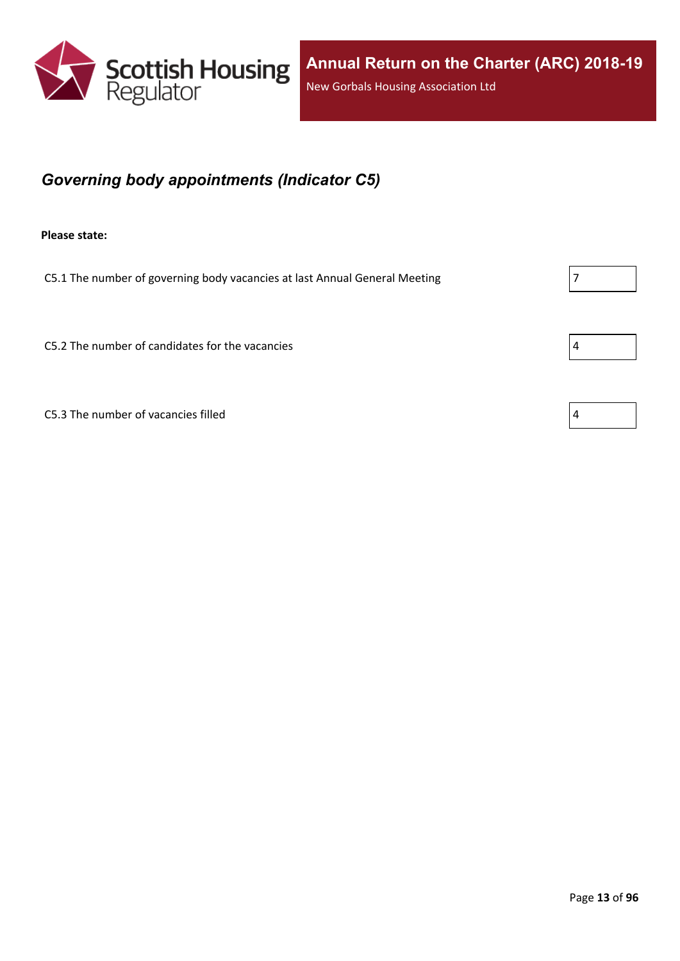

## <span id="page-12-0"></span>*Governing body appointments (Indicator C5)*

**Please state:**

C5.1 The number of governing body vacancies at last Annual General Meeting  $\vert$  7

 $C5.2$  The number of candidates for the vacancies  $\vert 4 \vert$ 

C5.3 The number of vacancies filled  $\vert 4 \vert$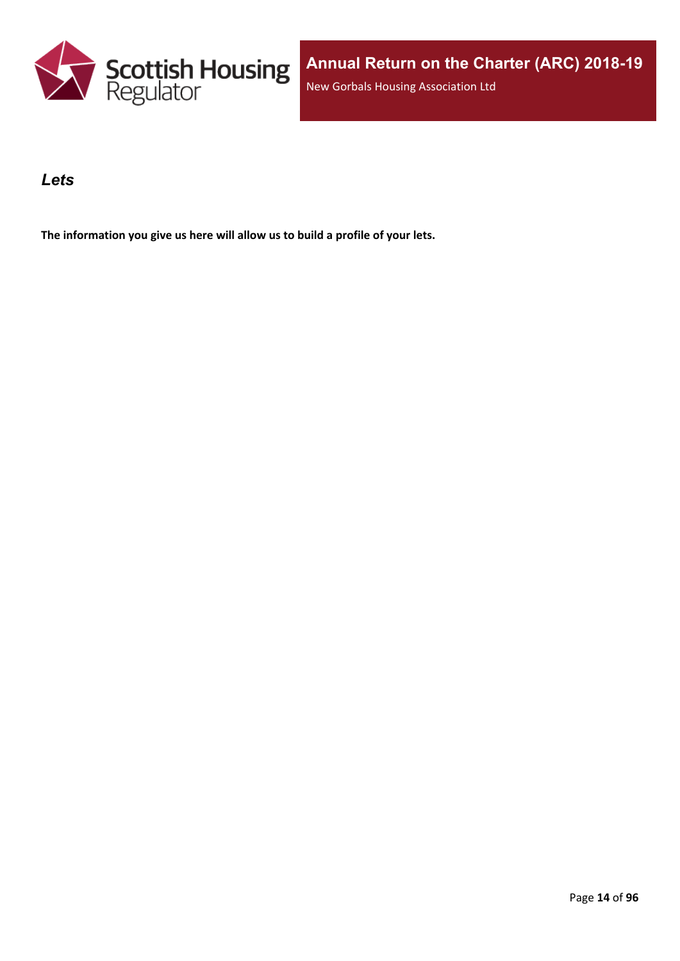

### <span id="page-13-0"></span>*Lets*

**The information you give us here will allow us to build a profile of your lets.**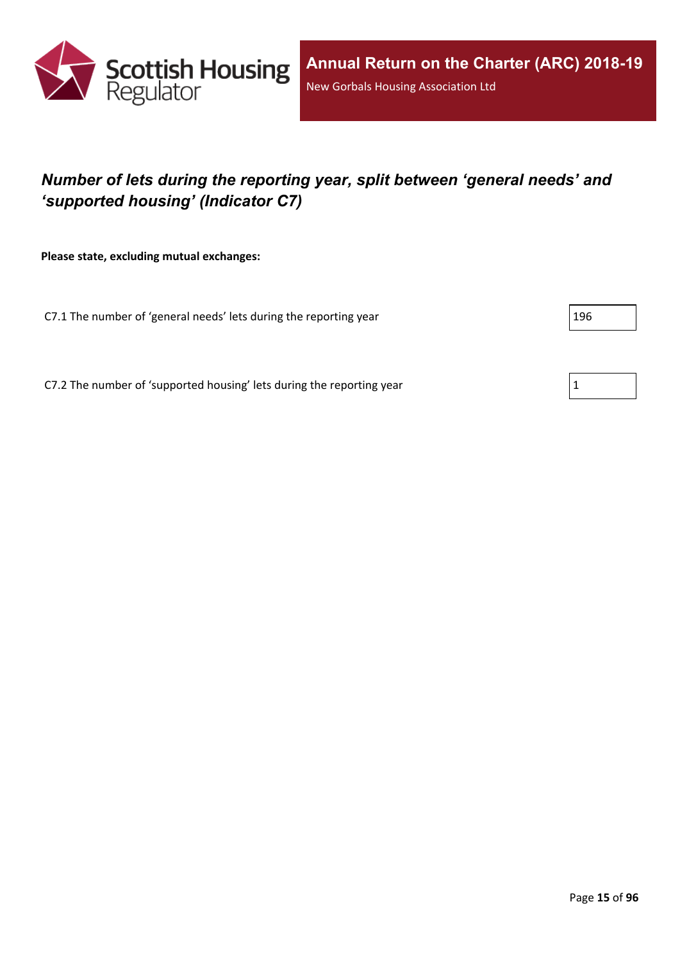

## <span id="page-14-0"></span>*Number of lets during the reporting year, split between 'general needs' and 'supported housing' (Indicator C7)*

**Please state, excluding mutual exchanges:**

C7.1 The number of 'general needs' lets during the reporting year 196

C7.2 The number of 'supported housing' lets during the reporting year  $1$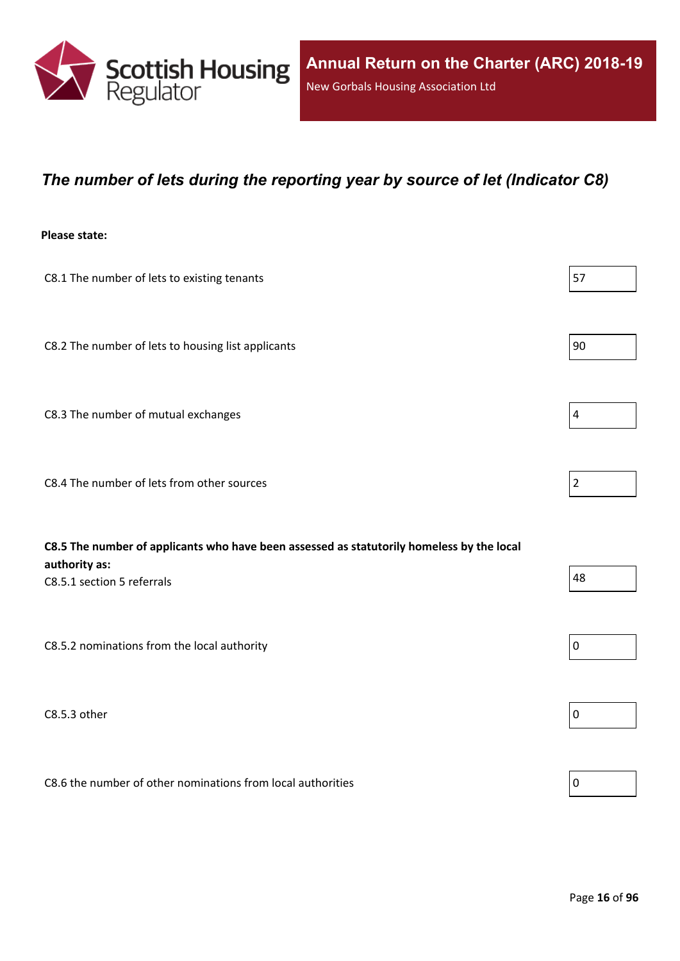

### <span id="page-15-0"></span>*The number of lets during the reporting year by source of let (Indicator C8)*

#### **Please state:**

| C8.1 The number of lets to existing tenants                                                                                              | 57                      |
|------------------------------------------------------------------------------------------------------------------------------------------|-------------------------|
| C8.2 The number of lets to housing list applicants                                                                                       | 90                      |
| C8.3 The number of mutual exchanges                                                                                                      | $\overline{\mathbf{4}}$ |
| C8.4 The number of lets from other sources                                                                                               | $\overline{2}$          |
|                                                                                                                                          |                         |
| C8.5 The number of applicants who have been assessed as statutorily homeless by the local<br>authority as:<br>C8.5.1 section 5 referrals | 48                      |
| C8.5.2 nominations from the local authority                                                                                              | $\pmb{0}$               |
| C8.5.3 other                                                                                                                             | $\pmb{0}$               |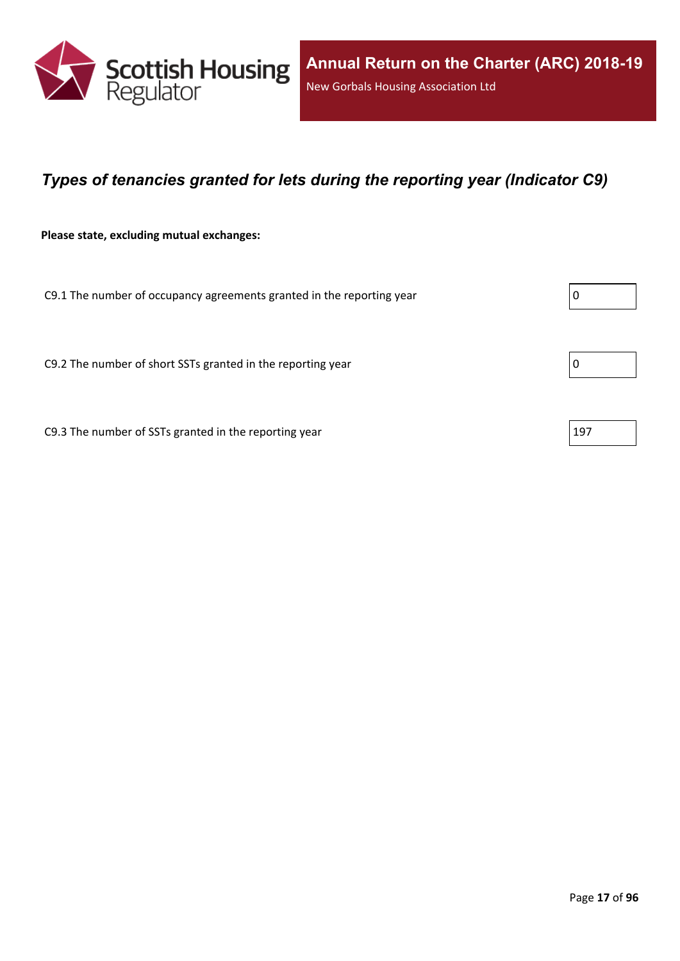

### <span id="page-16-0"></span>*Types of tenancies granted for lets during the reporting year (Indicator C9)*

**Please state, excluding mutual exchanges:**

C9.1 The number of occupancy agreements granted in the reporting year  $\vert 0 \rangle$ 

C9.2 The number of short SSTs granted in the reporting year  $\vert$  0

C9.3 The number of SSTs granted in the reporting year  $|197|$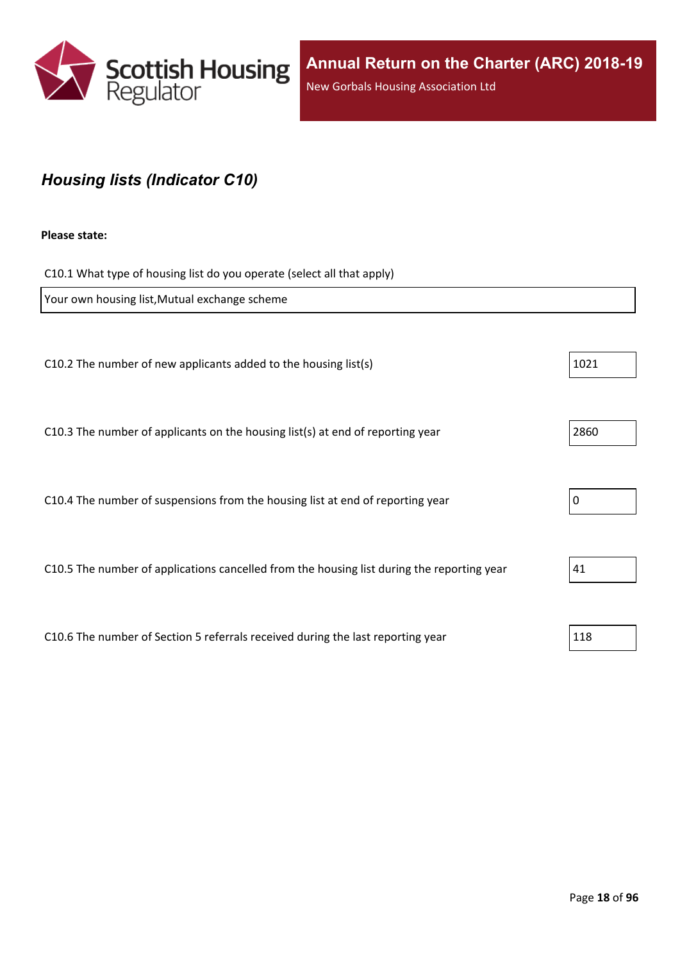

## <span id="page-17-0"></span>*Housing lists (Indicator C10)*

#### **Please state:**

C10.1 What type of housing list do you operate (select all that apply)

| Your own housing list, Mutual exchange scheme                                              |      |
|--------------------------------------------------------------------------------------------|------|
|                                                                                            |      |
| C10.2 The number of new applicants added to the housing list(s)                            | 1021 |
|                                                                                            |      |
| C10.3 The number of applicants on the housing list(s) at end of reporting year             | 2860 |
|                                                                                            |      |
| C10.4 The number of suspensions from the housing list at end of reporting year             | 0    |
|                                                                                            |      |
| C10.5 The number of applications cancelled from the housing list during the reporting year | 41   |
|                                                                                            |      |
|                                                                                            | 118  |
| C10.6 The number of Section 5 referrals received during the last reporting year            |      |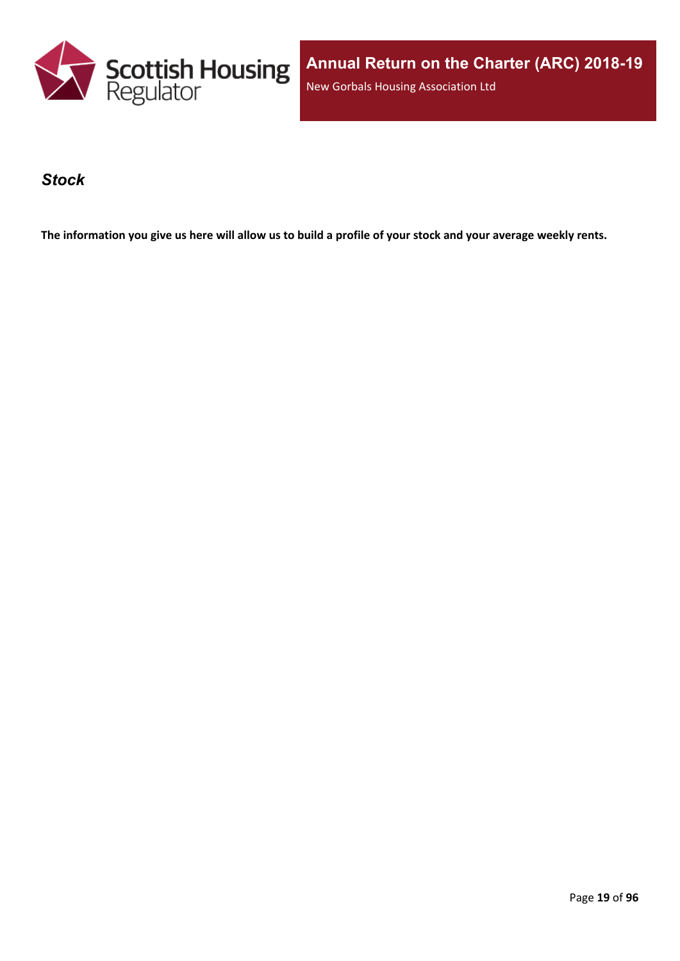

**Annual Return on the Charter (ARC) 2018-19** New Gorbals Housing Association Ltd

### <span id="page-18-0"></span>*Stock*

The information you give us here will allow us to build a profile of your stock and your average weekly rents.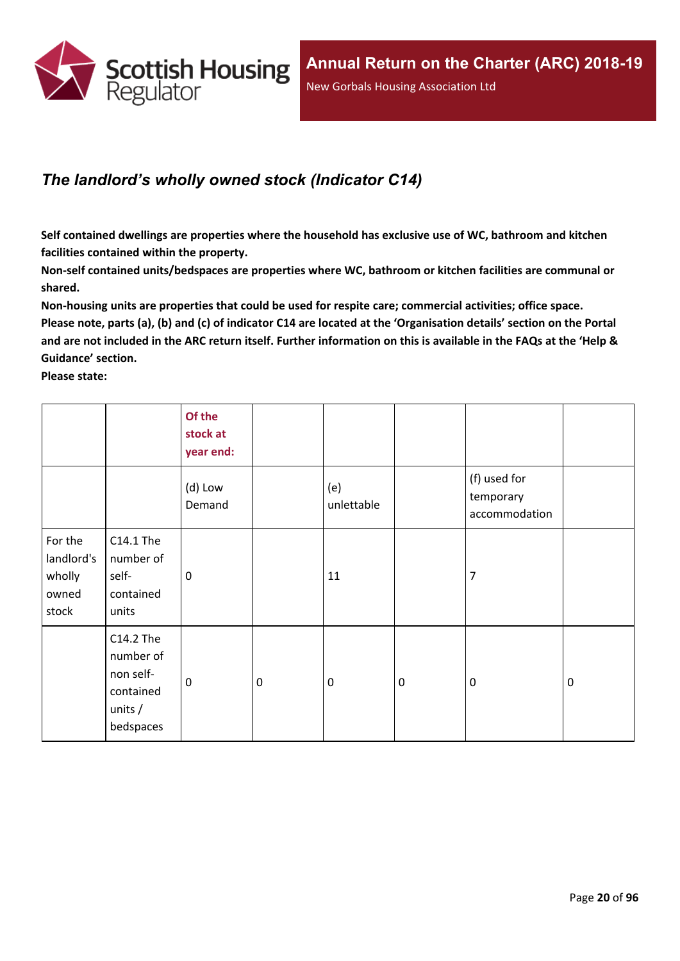

### <span id="page-19-0"></span>*The landlord's wholly owned stock (Indicator C14)*

**Self contained dwellings are properties where the household has exclusive use of WC, bathroom and kitchen facilities contained within the property.**

**Non-self contained units/bedspaces are properties where WC, bathroom or kitchen facilities are communal or shared.**

**Non-housing units are properties that could be used for respite care; commercial activities; office space.** Please note, parts (a), (b) and (c) of indicator C14 are located at the 'Organisation details' section on the Portal and are not included in the ARC return itself. Further information on this is available in the FAQs at the 'Help & **Guidance' section.**

**Please state:**

|                                                   |                                                                            | Of the<br>stock at<br>year end: |                  |                   |           |                                            |             |
|---------------------------------------------------|----------------------------------------------------------------------------|---------------------------------|------------------|-------------------|-----------|--------------------------------------------|-------------|
|                                                   |                                                                            | (d) Low<br>Demand               |                  | (e)<br>unlettable |           | (f) used for<br>temporary<br>accommodation |             |
| For the<br>landlord's<br>wholly<br>owned<br>stock | C14.1 The<br>number of<br>self-<br>contained<br>units                      | 0                               |                  | 11                |           | $\overline{7}$                             |             |
|                                                   | C14.2 The<br>number of<br>non self-<br>contained<br>units $/$<br>bedspaces | $\mathbf 0$                     | $\boldsymbol{0}$ | $\boldsymbol{0}$  | $\pmb{0}$ | $\mathbf 0$                                | $\mathbf 0$ |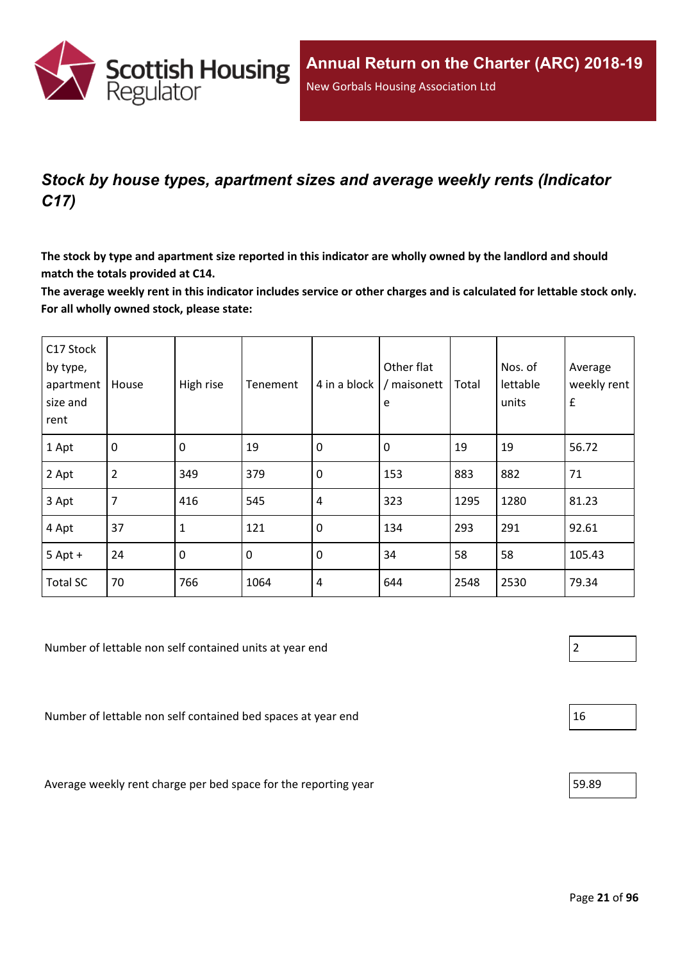

## <span id="page-20-0"></span>*Stock by house types, apartment sizes and average weekly rents (Indicator C17)*

The stock by type and apartment size reported in this indicator are wholly owned by the landlord and should **match the totals provided at C14.**

The average weekly rent in this indicator includes service or other charges and is calculated for lettable stock only. **For all wholly owned stock, please state:**

| C17 Stock<br>by type,<br>apartment<br>size and<br>rent | House          | High rise    | Tenement | 4 in a block | Other flat<br>/ maisonett<br>e | Total | Nos. of<br>lettable<br>units | Average<br>weekly rent<br>$\pmb{\mathsf{f}}$ |
|--------------------------------------------------------|----------------|--------------|----------|--------------|--------------------------------|-------|------------------------------|----------------------------------------------|
| 1 Apt                                                  | $\mathbf 0$    | $\mathbf 0$  | 19       | $\mathbf 0$  | 0                              | 19    | 19                           | 56.72                                        |
| 2 Apt                                                  | $\overline{2}$ | 349          | 379      | $\mathbf 0$  | 153                            | 883   | 882                          | 71                                           |
| 3 Apt                                                  | $\overline{7}$ | 416          | 545      | 4            | 323                            | 1295  | 1280                         | 81.23                                        |
| 4 Apt                                                  | 37             | $\mathbf{1}$ | 121      | $\mathbf 0$  | 134                            | 293   | 291                          | 92.61                                        |
| $5$ Apt +                                              | 24             | 0            | 0        | $\mathbf 0$  | 34                             | 58    | 58                           | 105.43                                       |
| <b>Total SC</b>                                        | 70             | 766          | 1064     | 4            | 644                            | 2548  | 2530                         | 79.34                                        |

Number of lettable non self contained units at year end 2

Number of lettable non self contained bed spaces at year end  $16$ 

Average weekly rent charge per bed space for the reporting year  $\vert$  59.89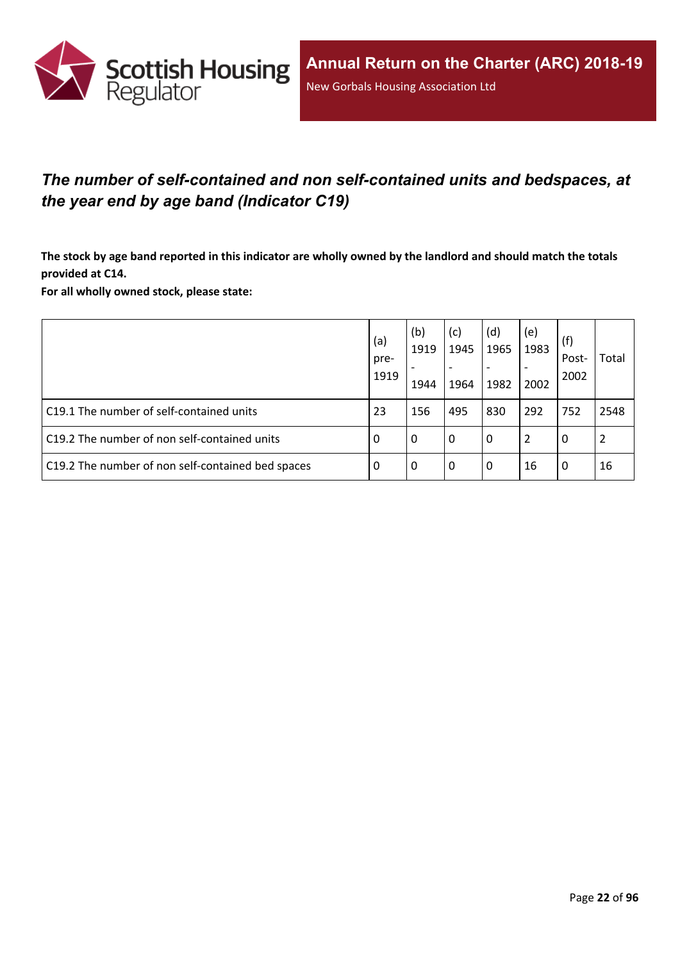

## <span id="page-21-0"></span>*The number of self-contained and non self-contained units and bedspaces, at the year end by age band (Indicator C19)*

The stock by age band reported in this indicator are wholly owned by the landlord and should match the totals **provided at C14.**

**For all wholly owned stock, please state:**

|                                                   | (a)<br>pre-<br>1919 | (b)<br>1919<br>1944 | (c)<br>1945<br>$\overline{\phantom{a}}$<br>1964 | (d)<br>1965<br>1982 | (e)<br>1983<br>2002 | (f)<br>Post-<br>2002 | Total |
|---------------------------------------------------|---------------------|---------------------|-------------------------------------------------|---------------------|---------------------|----------------------|-------|
| C19.1 The number of self-contained units          | 23                  | 156                 | 495                                             | 830                 | 292                 | 752                  | 2548  |
| C19.2 The number of non self-contained units      | -0                  | 0                   | l 0                                             | 0                   | 2                   | 0                    | 2     |
| C19.2 The number of non self-contained bed spaces | -0                  | 0                   | l 0                                             | 0                   | 16                  | 0                    | 16    |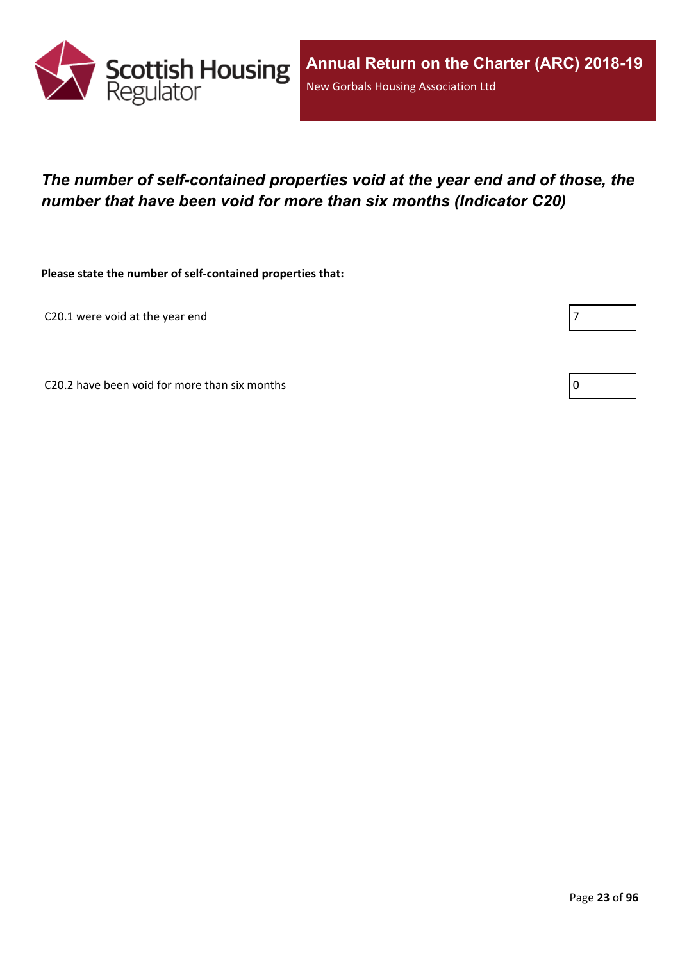

## <span id="page-22-0"></span>*The number of self-contained properties void at the year end and of those, the number that have been void for more than six months (Indicator C20)*

**Please state the number of self-contained properties that:**

C20.1 were void at the year end  $|7|$ 

C20.2 have been void for more than six months  $\vert 0 \rangle$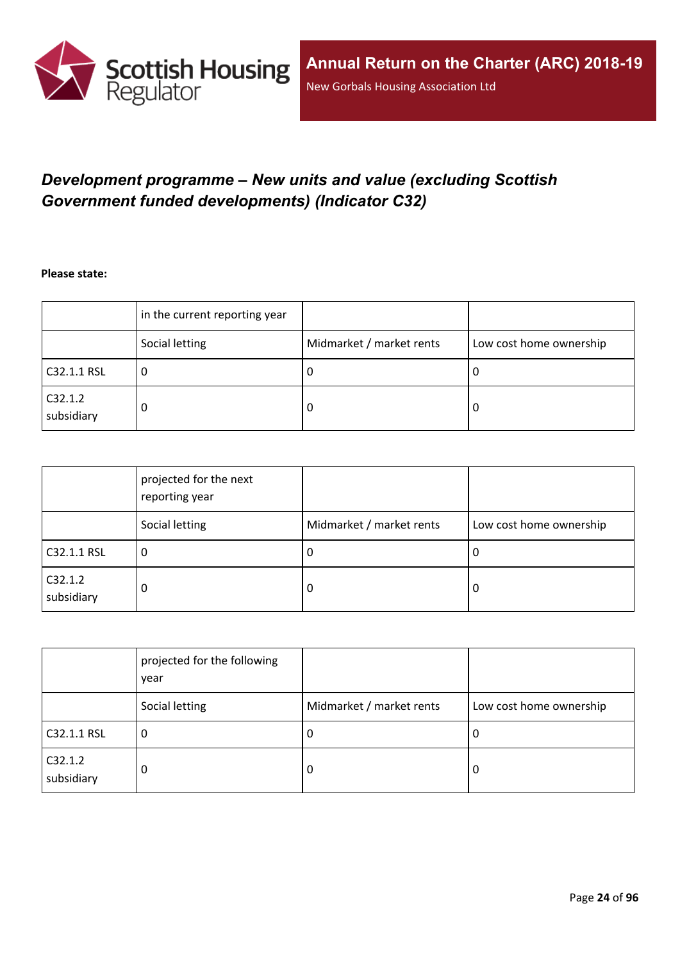

## <span id="page-23-0"></span>*Development programme – New units and value (excluding Scottish Government funded developments) (Indicator C32)*

**Please state:**

|                       | in the current reporting year |                          |                         |
|-----------------------|-------------------------------|--------------------------|-------------------------|
|                       | Social letting                | Midmarket / market rents | Low cost home ownership |
| C32.1.1 RSL           | u                             | υ                        | ∣U                      |
| C32.1.2<br>subsidiary | 0                             | υ                        | O                       |

|                       | projected for the next<br>reporting year |                          |                         |
|-----------------------|------------------------------------------|--------------------------|-------------------------|
|                       | Social letting                           | Midmarket / market rents | Low cost home ownership |
| C32.1.1 RSL           | 0                                        | <b>U</b>                 | 0                       |
| C32.1.2<br>subsidiary | 0                                        | 0                        | 0                       |

|                       | projected for the following<br>year |                          |                         |
|-----------------------|-------------------------------------|--------------------------|-------------------------|
|                       | Social letting                      | Midmarket / market rents | Low cost home ownership |
| C32.1.1 RSL           | 0                                   | -U                       | 0                       |
| C32.1.2<br>subsidiary | 0                                   | 0                        | 0                       |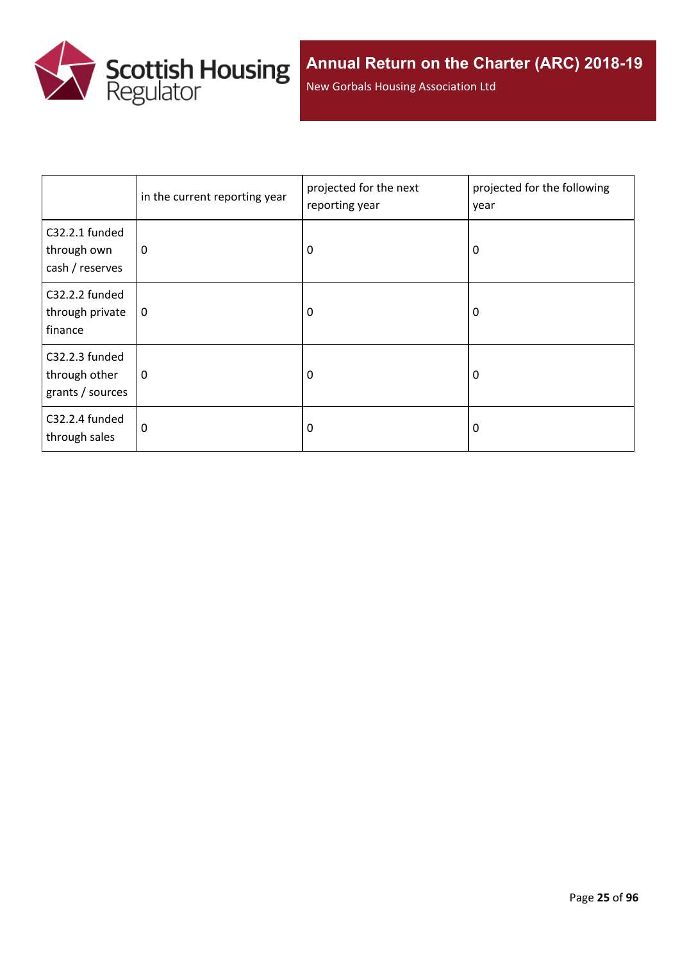

New Gorbals Housing Association Ltd

|                                                     | in the current reporting year | projected for the next<br>reporting year | projected for the following<br>year |
|-----------------------------------------------------|-------------------------------|------------------------------------------|-------------------------------------|
| C32.2.1 funded<br>through own<br>cash / reserves    | 0                             | 0                                        | 0                                   |
| C32.2.2 funded<br>through private<br>finance        | $\mathbf 0$                   | 0                                        | 0                                   |
| C32.2.3 funded<br>through other<br>grants / sources | 0                             | 0                                        | 0                                   |
| C32.2.4 funded<br>through sales                     | 0                             | 0                                        | 0                                   |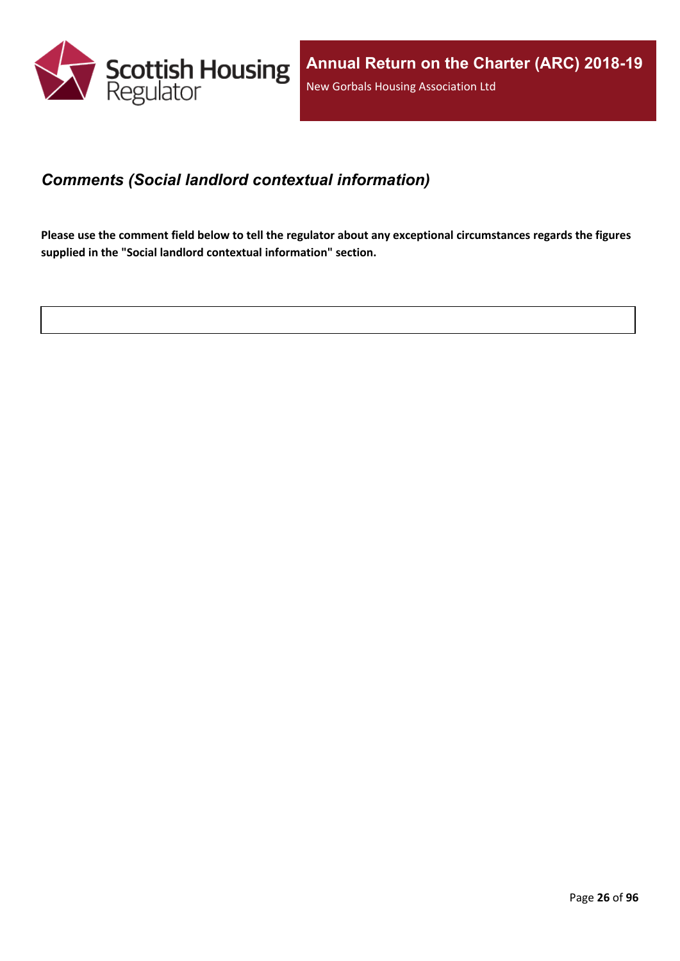

### <span id="page-25-0"></span>*Comments (Social landlord contextual information)*

Please use the comment field below to tell the regulator about any exceptional circumstances regards the figures **supplied in the "Social landlord contextual information" section.**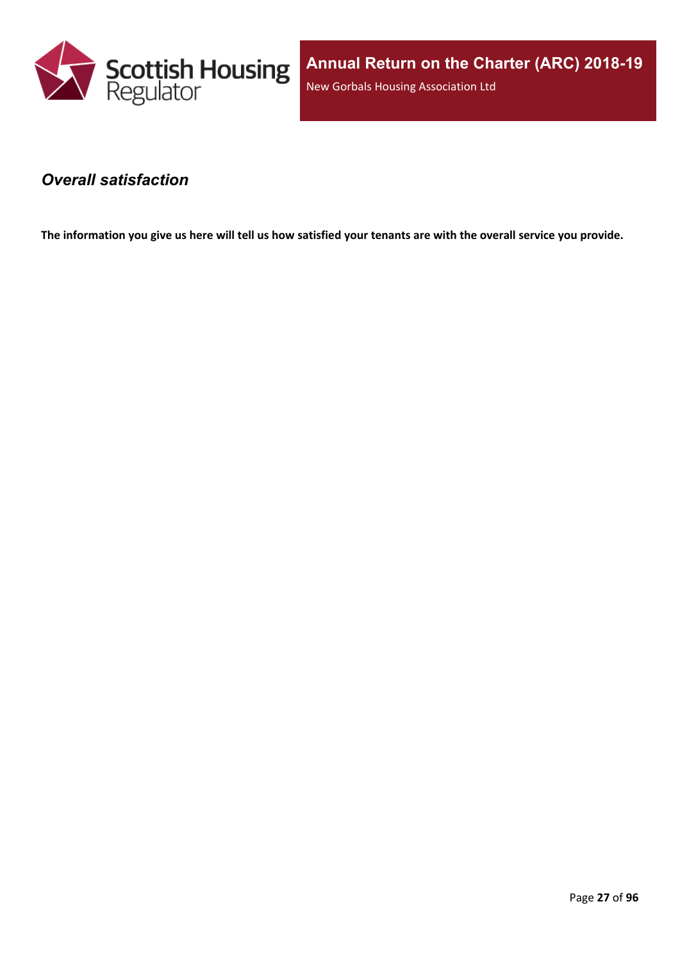

### <span id="page-26-0"></span>*Overall satisfaction*

The information you give us here will tell us how satisfied your tenants are with the overall service you provide.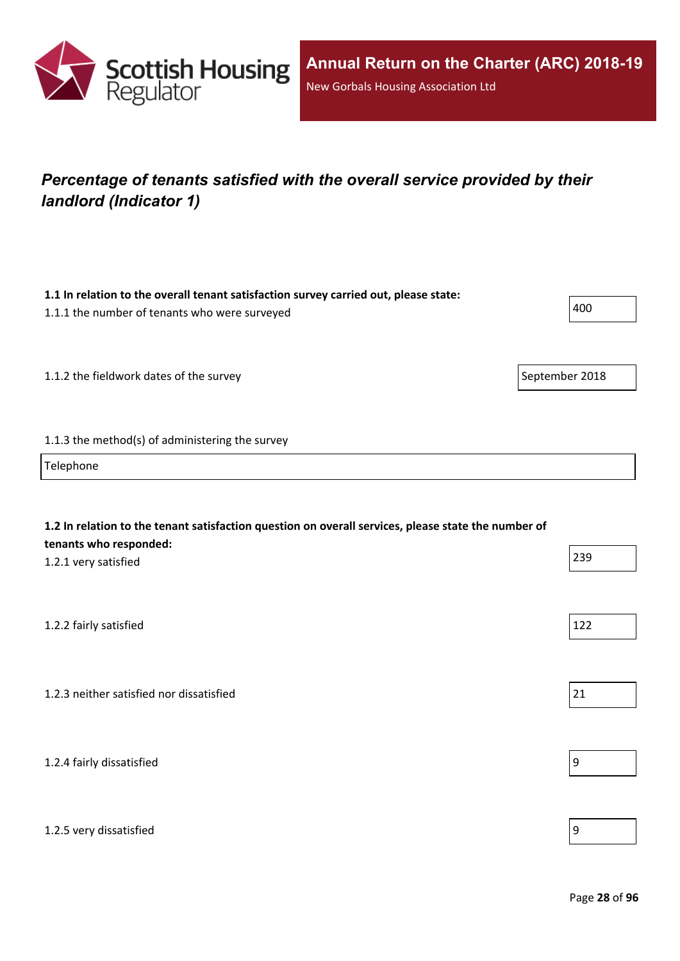

## <span id="page-27-0"></span>*Percentage of tenants satisfied with the overall service provided by their landlord (Indicator 1)*

| 1.1 In relation to the overall tenant satisfaction survey carried out, please state:<br>1.1.1 the number of tenants who were surveyed                 | 400              |
|-------------------------------------------------------------------------------------------------------------------------------------------------------|------------------|
| 1.1.2 the fieldwork dates of the survey                                                                                                               | September 2018   |
| 1.1.3 the method(s) of administering the survey                                                                                                       |                  |
| Telephone                                                                                                                                             |                  |
| 1.2 In relation to the tenant satisfaction question on overall services, please state the number of<br>tenants who responded:<br>1.2.1 very satisfied | 239              |
| 1.2.2 fairly satisfied                                                                                                                                | 122              |
| 1.2.3 neither satisfied nor dissatisfied                                                                                                              | 21               |
| 1.2.4 fairly dissatisfied                                                                                                                             | $\boldsymbol{9}$ |
| 1.2.5 very dissatisfied                                                                                                                               | 9                |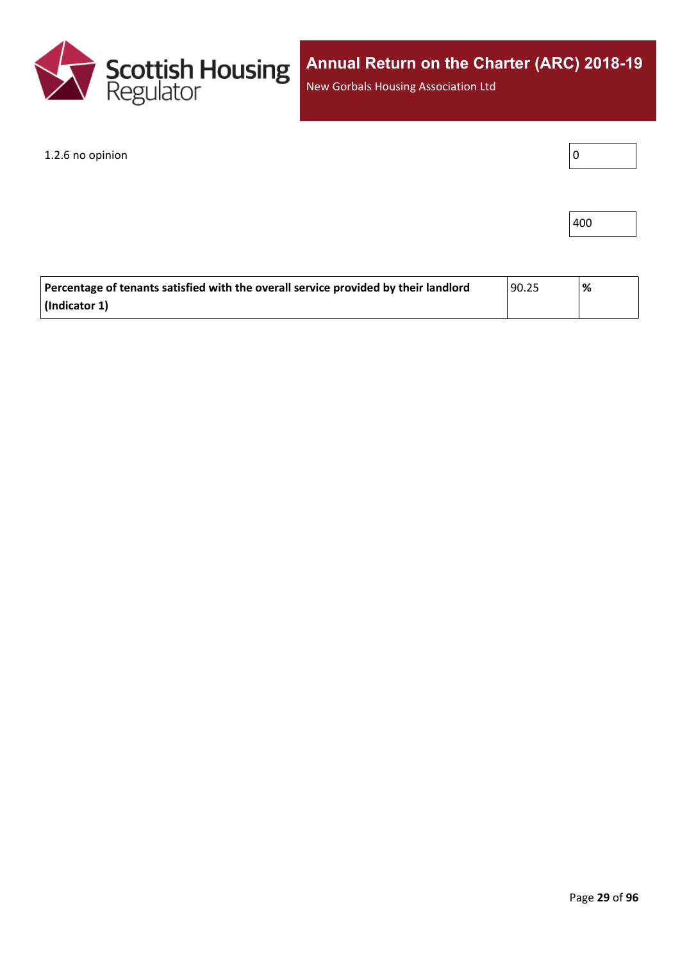

New Gorbals Housing Association Ltd

1.2.6 no opinion

| ٠ |  |
|---|--|
|---|--|

| $\vert$ 400 |  |
|-------------|--|
|-------------|--|

| Percentage of tenants satisfied with the overall service provided by their landlord | 90.25 | '% |
|-------------------------------------------------------------------------------------|-------|----|
| $\vert$ (Indicator 1)                                                               |       |    |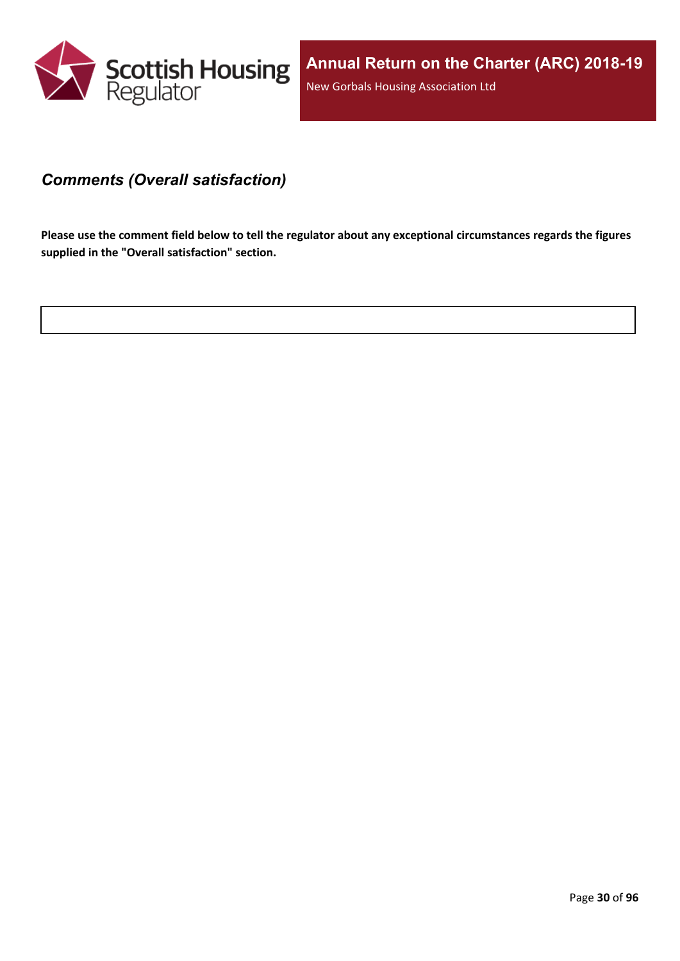

### <span id="page-29-0"></span>*Comments (Overall satisfaction)*

Please use the comment field below to tell the regulator about any exceptional circumstances regards the figures **supplied in the "Overall satisfaction" section.**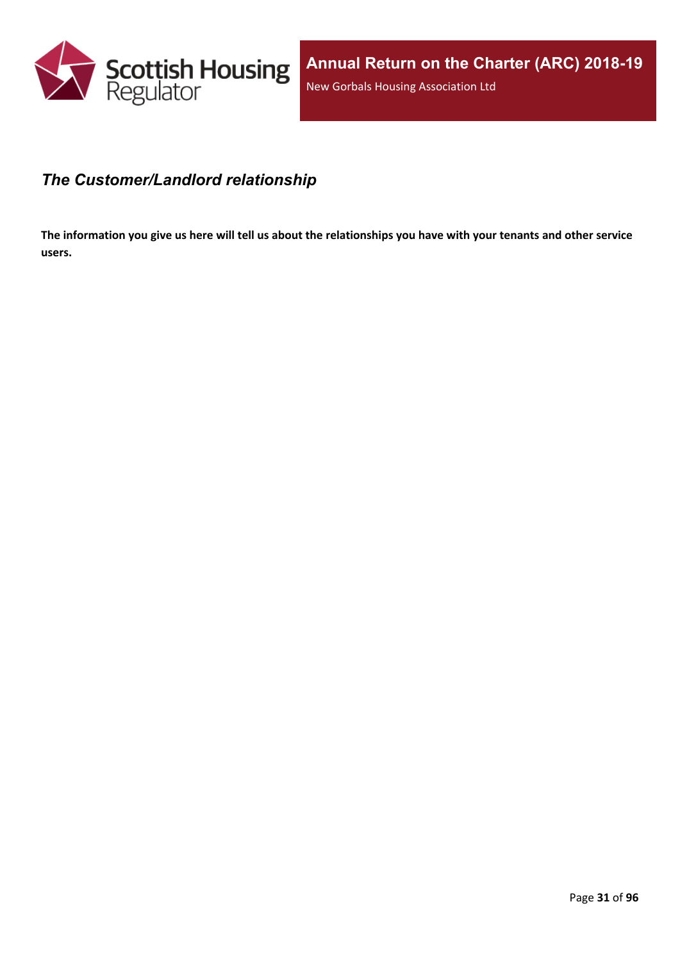

### <span id="page-30-0"></span>*The Customer/Landlord relationship*

The information you give us here will tell us about the relationships you have with your tenants and other service **users.**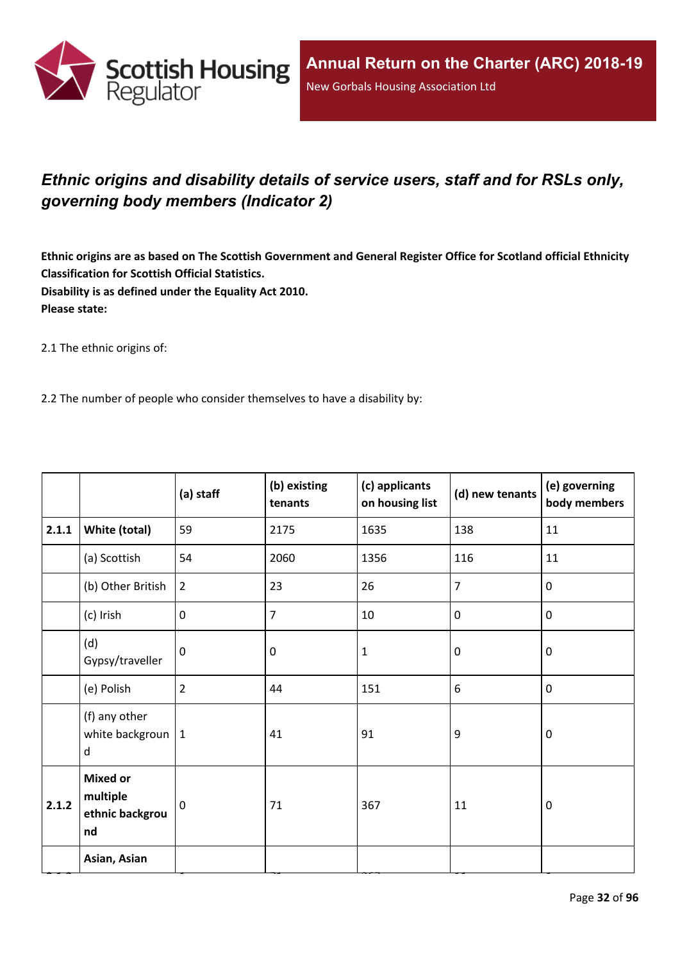

## <span id="page-31-0"></span>*Ethnic origins and disability details of service users, staff and for RSLs only, governing body members (Indicator 2)*

Ethnic origins are as based on The Scottish Government and General Register Office for Scotland official Ethnicity **Classification for Scottish Official Statistics. Disability is as defined under the Equality Act 2010. Please state:**

2.1 The ethnic origins of:

2.2 The number of people who consider themselves to have a disability by:

|       |                                                      | (a) staff      | (b) existing<br>tenants | (c) applicants<br>on housing list | (d) new tenants | (e) governing<br>body members |
|-------|------------------------------------------------------|----------------|-------------------------|-----------------------------------|-----------------|-------------------------------|
| 2.1.1 | White (total)                                        | 59             | 2175                    | 1635                              | 138             | 11                            |
|       | (a) Scottish                                         | 54             | 2060                    | 1356                              | 116             | 11                            |
|       | (b) Other British                                    | $\overline{2}$ | 23                      | 26                                | $\overline{7}$  | $\mathbf 0$                   |
|       | (c) Irish                                            | $\mathbf 0$    | 7                       | 10                                | $\mathbf 0$     | $\mathbf 0$                   |
|       | (d)<br>Gypsy/traveller                               | $\mathbf 0$    | 0                       | $\mathbf{1}$                      | $\mathbf 0$     | $\mathbf 0$                   |
|       | (e) Polish                                           | $\overline{2}$ | 44                      | 151                               | 6               | $\mathbf 0$                   |
|       | (f) any other<br>white backgroun $ 1$<br>d           |                | 41                      | 91                                | 9               | $\mathbf 0$                   |
| 2.1.2 | <b>Mixed or</b><br>multiple<br>ethnic backgrou<br>nd | $\Omega$       | 71                      | 367                               | 11              | $\mathbf 0$                   |
|       | Asian, Asian                                         |                |                         |                                   |                 |                               |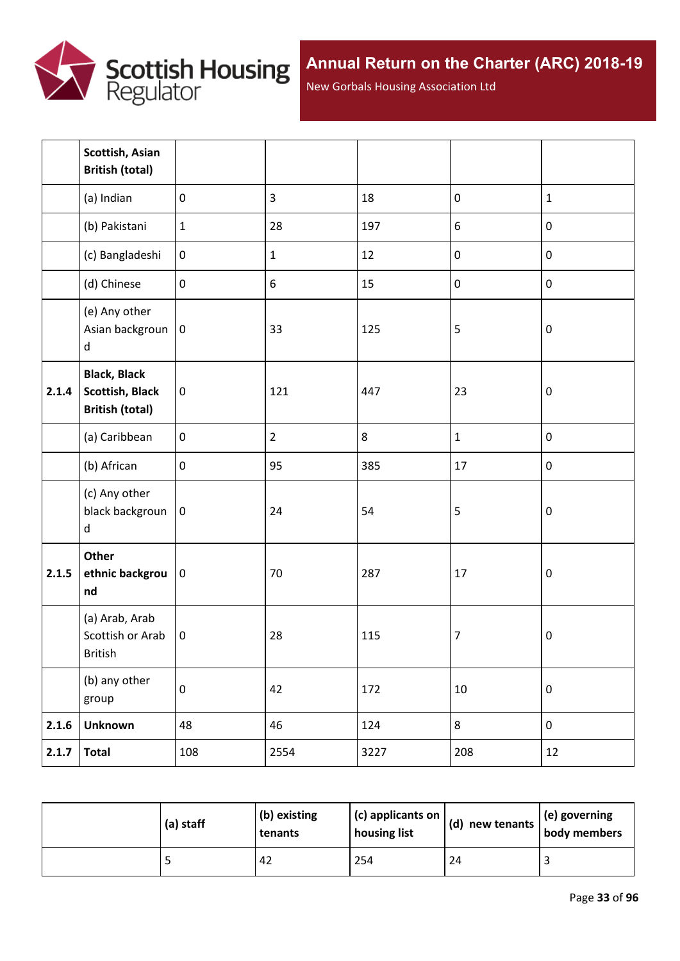

New Gorbals Housing Association Ltd

|       | Scottish, Asian<br><b>British (total)</b>                               |                  |                |      |              |              |
|-------|-------------------------------------------------------------------------|------------------|----------------|------|--------------|--------------|
|       | (a) Indian                                                              | $\mathbf 0$      | $\overline{3}$ | 18   | $\pmb{0}$    | $\mathbf{1}$ |
|       | (b) Pakistani                                                           | $\mathbf 1$      | 28             | 197  | 6            | $\pmb{0}$    |
|       | (c) Bangladeshi                                                         | $\boldsymbol{0}$ | $1\,$          | 12   | $\pmb{0}$    | $\pmb{0}$    |
|       | (d) Chinese                                                             | $\pmb{0}$        | 6              | 15   | $\pmb{0}$    | $\pmb{0}$    |
|       | (e) Any other<br>Asian backgroun<br>d                                   | $\bf{0}$         | 33             | 125  | 5            | $\pmb{0}$    |
| 2.1.4 | <b>Black, Black</b><br><b>Scottish, Black</b><br><b>British (total)</b> | $\boldsymbol{0}$ | 121            | 447  | 23           | $\pmb{0}$    |
|       | (a) Caribbean                                                           | $\pmb{0}$        | $\overline{2}$ | 8    | $\mathbf{1}$ | $\pmb{0}$    |
|       | (b) African                                                             | $\mathbf 0$      | 95             | 385  | 17           | $\pmb{0}$    |
|       | (c) Any other<br>black backgroun<br>d                                   | $\bf{0}$         | 24             | 54   | 5            | $\pmb{0}$    |
| 2.1.5 | Other<br>ethnic backgrou<br>nd                                          | $\bf{0}$         | 70             | 287  | 17           | $\pmb{0}$    |
|       | (a) Arab, Arab<br>Scottish or Arab<br><b>British</b>                    | $\pmb{0}$        | 28             | 115  | 7            | $\pmb{0}$    |
|       | (b) any other<br>group                                                  | $\pmb{0}$        | 42             | 172  | $10\,$       | $\pmb{0}$    |
| 2.1.6 | <b>Unknown</b>                                                          | 48               | 46             | 124  | 8            | $\pmb{0}$    |
| 2.1.7 | <b>Total</b>                                                            | 108              | 2554           | 3227 | 208          | 12           |

| (a) staff | (b) existing<br>tenants | (c) applicants on<br>housing list | (d) new tenants $ $ | $\vert$ (e) governing<br>body members |
|-----------|-------------------------|-----------------------------------|---------------------|---------------------------------------|
|           | 42                      | 254                               | 24                  |                                       |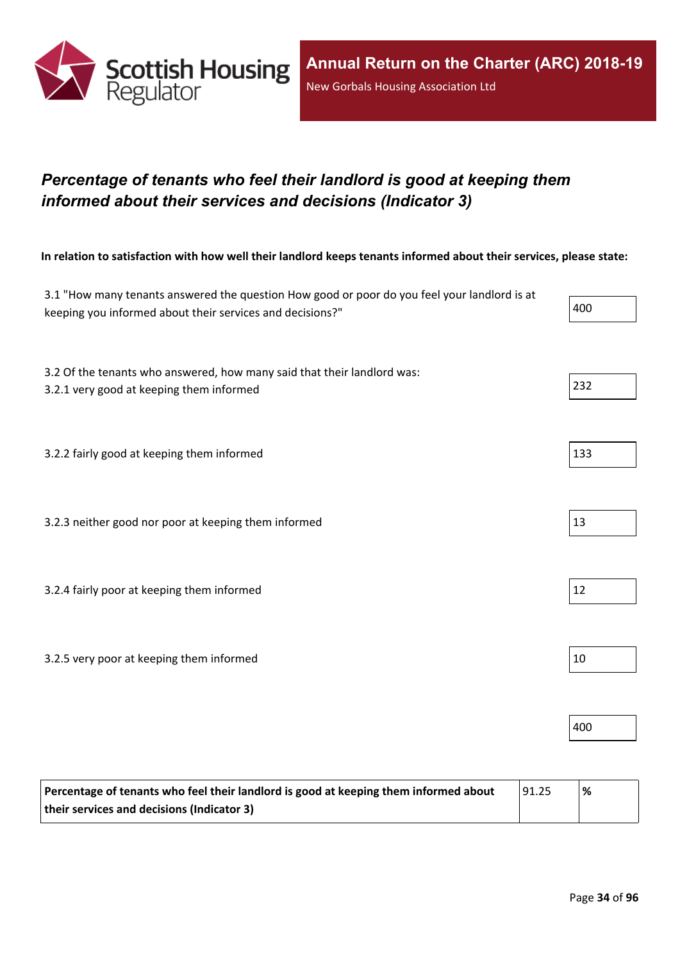

## <span id="page-33-0"></span>*Percentage of tenants who feel their landlord is good at keeping them informed about their services and decisions (Indicator 3)*

In relation to satisfaction with how well their landlord keeps tenants informed about their services, please state:

| 3.1 "How many tenants answered the question How good or poor do you feel your landlord is at<br>keeping you informed about their services and decisions?" | 400 |
|-----------------------------------------------------------------------------------------------------------------------------------------------------------|-----|
|                                                                                                                                                           |     |
| 3.2 Of the tenants who answered, how many said that their landlord was:                                                                                   | 232 |
| 3.2.1 very good at keeping them informed                                                                                                                  |     |
| 3.2.2 fairly good at keeping them informed                                                                                                                | 133 |
|                                                                                                                                                           |     |
| 3.2.3 neither good nor poor at keeping them informed                                                                                                      | 13  |
|                                                                                                                                                           |     |
| 3.2.4 fairly poor at keeping them informed                                                                                                                | 12  |
|                                                                                                                                                           |     |
| 3.2.5 very poor at keeping them informed                                                                                                                  | 10  |
|                                                                                                                                                           |     |
|                                                                                                                                                           | 400 |
|                                                                                                                                                           |     |

| Percentage of tenants who feel their landlord is good at keeping them informed about | 91.25 | % |
|--------------------------------------------------------------------------------------|-------|---|
| their services and decisions (Indicator 3)                                           |       |   |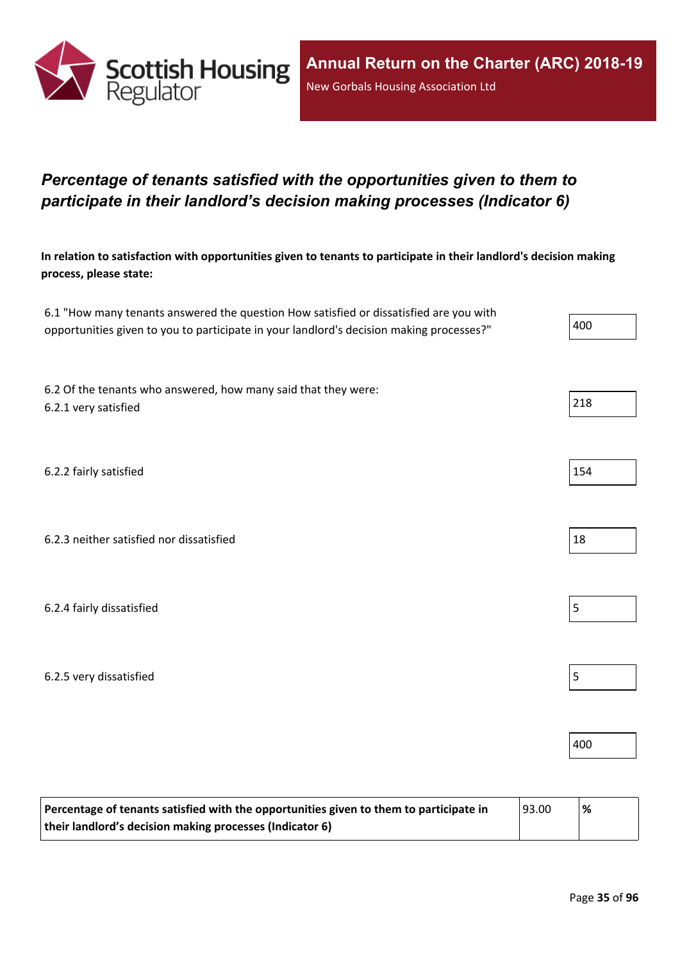

## <span id="page-34-0"></span>*Percentage of tenants satisfied with the opportunities given to them to participate in their landlord's decision making processes (Indicator 6)*

In relation to satisfaction with opportunities given to tenants to participate in their landlord's decision making **process, please state:**

| 6.1 "How many tenants answered the question How satisfied or dissatisfied are you with   |       |
|------------------------------------------------------------------------------------------|-------|
| opportunities given to you to participate in your landlord's decision making processes?" | l 400 |

6.2 Of the tenants who answered, how many said that they were:  $6.2.1$  very satisfied  $\vert$  218

6.2.2 fairly satisfied  $\vert$  154

6.2.3 neither satisfied nor dissatisfied 18

6.2.4 fairly dissatisfied  $\vert$  5

6.2.5 very dissatisfied 5

| 93.00<br>Percentage of tenants satisfied with the opportunities given to them to participate in |  | $\frac{9}{6}$ |
|-------------------------------------------------------------------------------------------------|--|---------------|
| their landlord's decision making processes (Indicator 6)                                        |  |               |





400

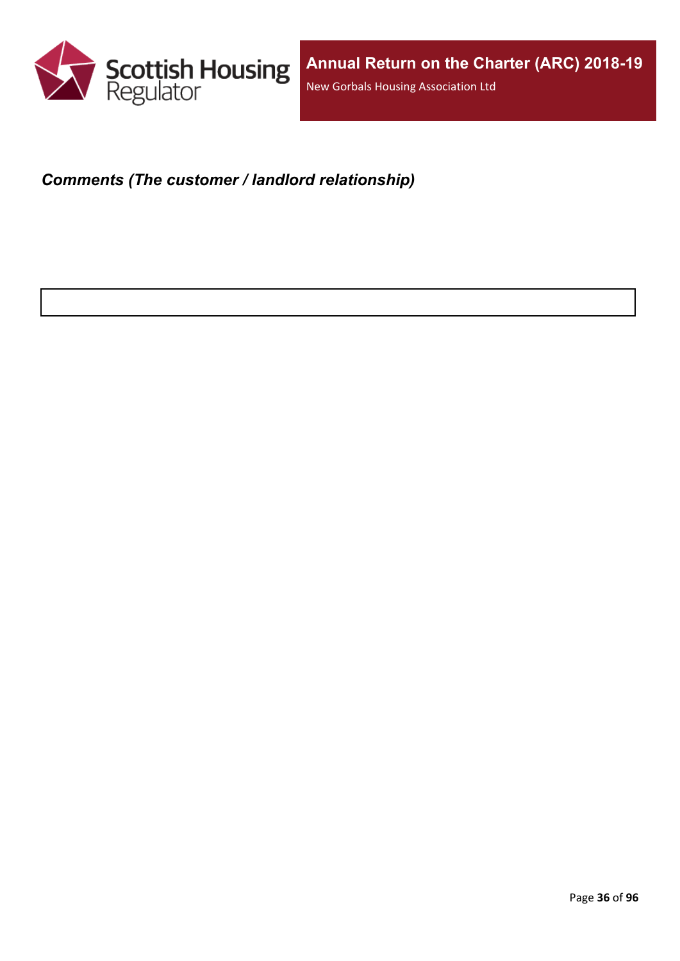

### <span id="page-35-0"></span>*Comments (The customer / landlord relationship)*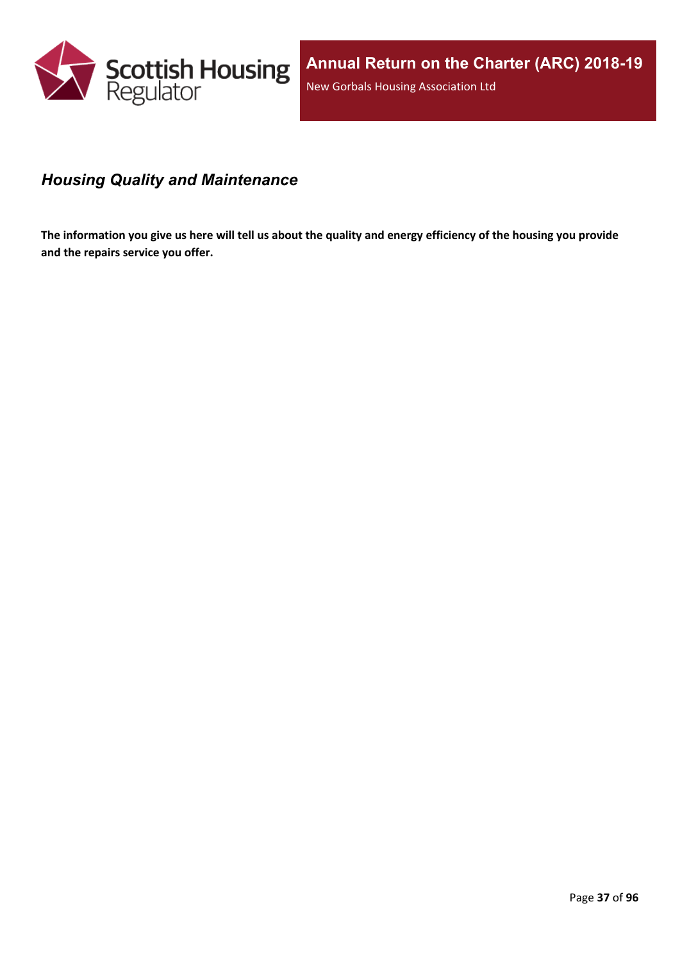

### *Housing Quality and Maintenance*

The information you give us here will tell us about the quality and energy efficiency of the housing you provide **and the repairs service you offer.**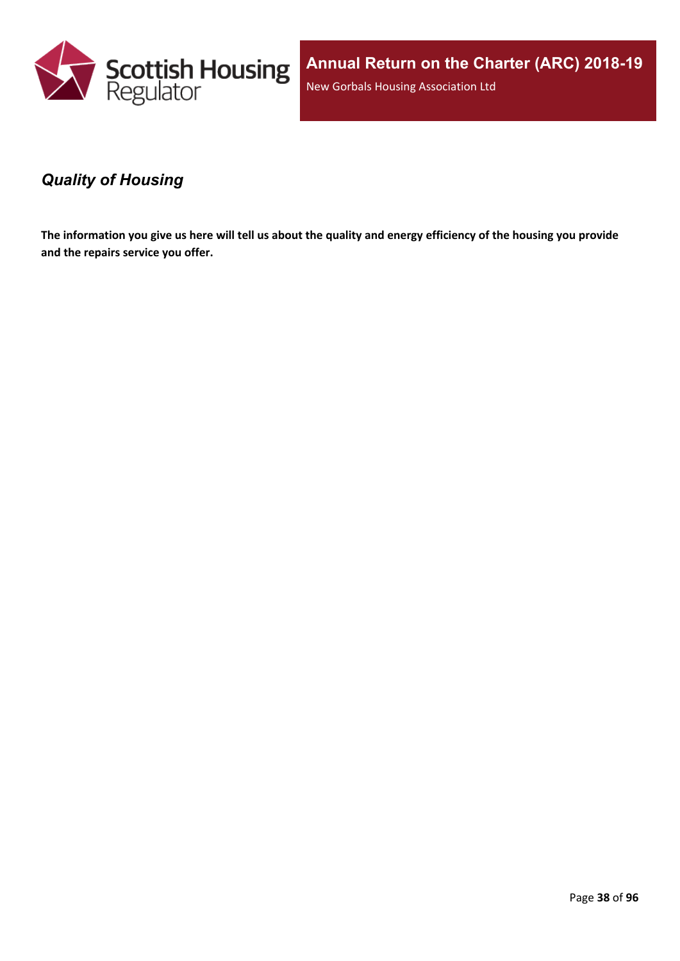

**Annual Return on the Charter (ARC) 2018-19** New Gorbals Housing Association Ltd

### *Quality of Housing*

The information you give us here will tell us about the quality and energy efficiency of the housing you provide **and the repairs service you offer.**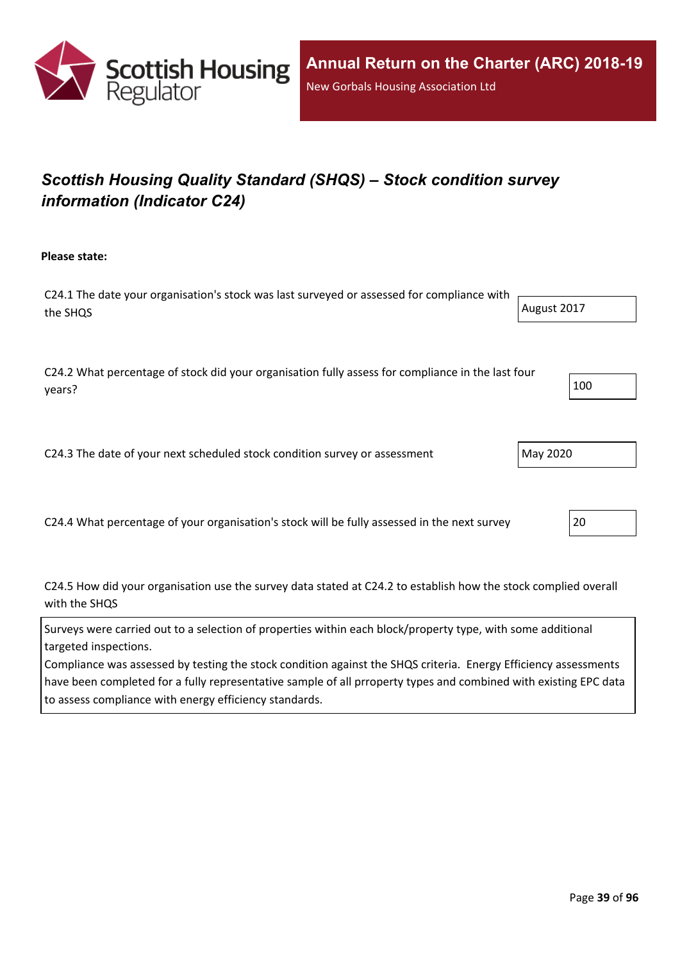

# *Scottish Housing Quality Standard (SHQS) – Stock condition survey information (Indicator C24)*

**Please state:**

C24.1 The date your organisation's stock was last surveyed or assessed for compliance with the SHQS August 2017

C24.2 What percentage of stock did your organisation fully assess for compliance in the last four years?  $\begin{vmatrix} 100 \end{vmatrix}$ 

C24.3 The date of your next scheduled stock condition survey or assessment  $\vert$  May 2020

C24.4 What percentage of your organisation's stock will be fully assessed in the next survey 20

C24.5 How did your organisation use the survey data stated at C24.2 to establish how the stock complied overall with the SHQS

Surveys were carried out to a selection of properties within each block/property type, with some additional targeted inspections.

Compliance was assessed by testing the stock condition against the SHQS criteria. Energy Efficiency assessments have been completed for a fully representative sample of all prroperty types and combined with existing EPC data to assess compliance with energy efficiency standards.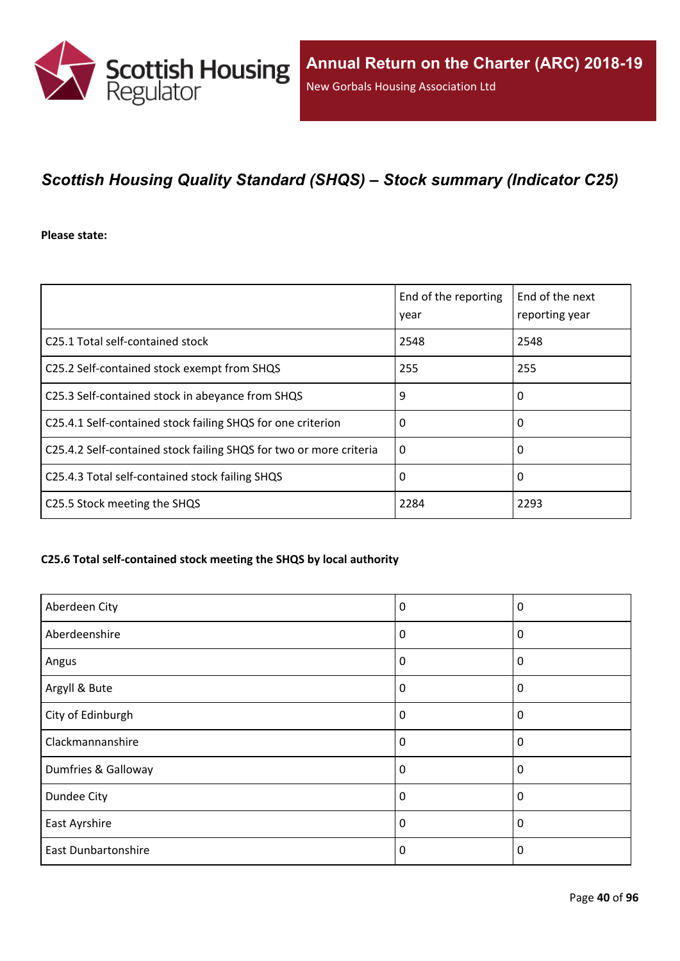

# *Scottish Housing Quality Standard (SHQS) – Stock summary (Indicator C25)*

**Please state:**

|                                                                    | End of the reporting<br>year | End of the next<br>reporting year |
|--------------------------------------------------------------------|------------------------------|-----------------------------------|
| C <sub>25.1</sub> Total self-contained stock                       | 2548                         | 2548                              |
| C25.2 Self-contained stock exempt from SHQS                        | 255                          | 255                               |
| C25.3 Self-contained stock in abeyance from SHQS                   | 9                            | 0                                 |
| C25.4.1 Self-contained stock failing SHQS for one criterion        | 0                            | 0                                 |
| C25.4.2 Self-contained stock failing SHQS for two or more criteria | $\Omega$                     | 0                                 |
| C25.4.3 Total self-contained stock failing SHQS                    | 0                            | 0                                 |
| C25.5 Stock meeting the SHQS                                       | 2284                         | 2293                              |

### **C25.6 Total self-contained stock meeting the SHQS by local authority**

| Aberdeen City              | 0        | 0           |
|----------------------------|----------|-------------|
| Aberdeenshire              | 0        | 0           |
| Angus                      | $\Omega$ | 0           |
| Argyll & Bute              | 0        | 0           |
| City of Edinburgh          | 0        | $\mathbf 0$ |
| Clackmannanshire           | $\Omega$ | $\Omega$    |
| Dumfries & Galloway        | $\Omega$ | $\Omega$    |
| Dundee City                | 0        | 0           |
| East Ayrshire              | 0        | 0           |
| <b>East Dunbartonshire</b> | 0        | $\Omega$    |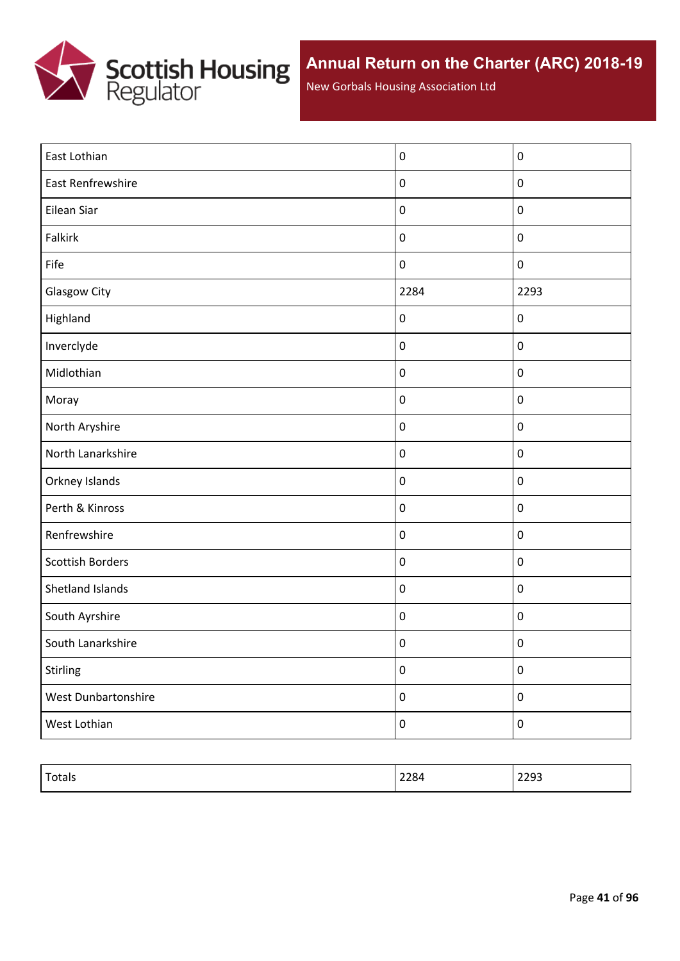

New Gorbals Housing Association Ltd

| East Lothian            | $\pmb{0}$        | $\pmb{0}$        |
|-------------------------|------------------|------------------|
| East Renfrewshire       | $\pmb{0}$        | $\pmb{0}$        |
| Eilean Siar             | $\pmb{0}$        | $\pmb{0}$        |
| <b>Falkirk</b>          | $\boldsymbol{0}$ | $\boldsymbol{0}$ |
| Fife                    | $\boldsymbol{0}$ | $\boldsymbol{0}$ |
| <b>Glasgow City</b>     | 2284             | 2293             |
| Highland                | $\boldsymbol{0}$ | $\pmb{0}$        |
| Inverclyde              | $\boldsymbol{0}$ | $\pmb{0}$        |
| Midlothian              | $\pmb{0}$        | $\pmb{0}$        |
| Moray                   | $\pmb{0}$        | $\pmb{0}$        |
| North Aryshire          | $\boldsymbol{0}$ | $\pmb{0}$        |
| North Lanarkshire       | $\pmb{0}$        | $\pmb{0}$        |
| Orkney Islands          | $\boldsymbol{0}$ | $\pmb{0}$        |
| Perth & Kinross         | $\pmb{0}$        | $\pmb{0}$        |
| Renfrewshire            | $\boldsymbol{0}$ | $\pmb{0}$        |
| <b>Scottish Borders</b> | $\pmb{0}$        | $\pmb{0}$        |
| Shetland Islands        | $\pmb{0}$        | $\pmb{0}$        |
| South Ayrshire          | $\pmb{0}$        | $\pmb{0}$        |
| South Lanarkshire       | $\pmb{0}$        | $\pmb{0}$        |
| Stirling                | $\boldsymbol{0}$ | $\pmb{0}$        |
| West Dunbartonshire     | $\boldsymbol{0}$ | $\pmb{0}$        |
| West Lothian            | $\pmb{0}$        | $\pmb{0}$        |

| Totals | 2284 | りつロコ<br>ررےے |
|--------|------|--------------|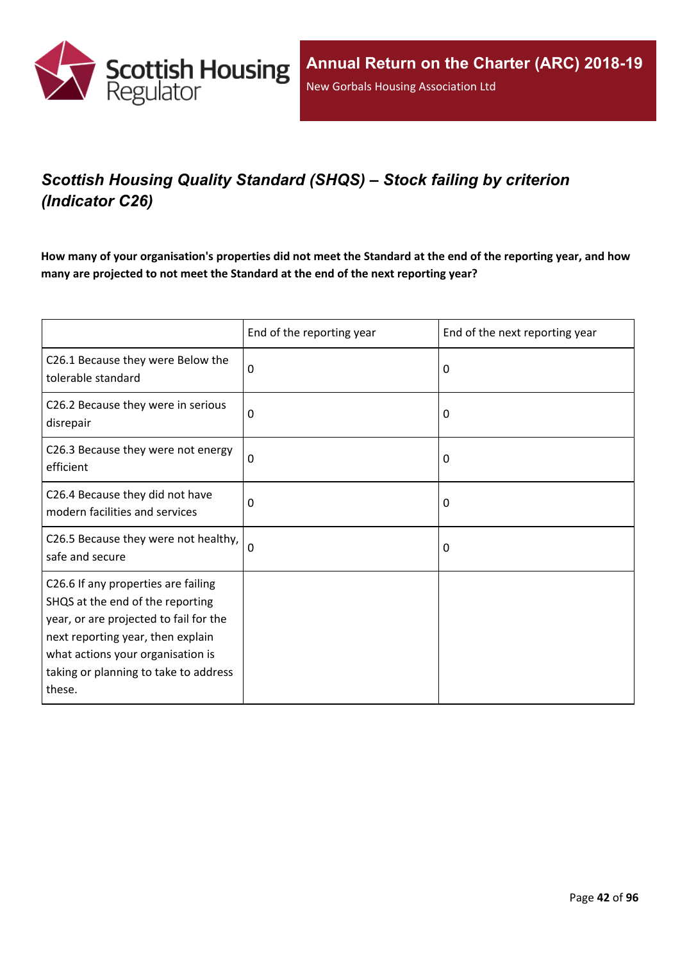

# *Scottish Housing Quality Standard (SHQS) – Stock failing by criterion (Indicator C26)*

How many of your organisation's properties did not meet the Standard at the end of the reporting year, and how **many are projected to not meet the Standard at the end of the next reporting year?**

|                                                                                                                                                                                                                                                | End of the reporting year | End of the next reporting year |
|------------------------------------------------------------------------------------------------------------------------------------------------------------------------------------------------------------------------------------------------|---------------------------|--------------------------------|
| C26.1 Because they were Below the<br>tolerable standard                                                                                                                                                                                        | 0                         | $\Omega$                       |
| C26.2 Because they were in serious<br>disrepair                                                                                                                                                                                                | 0                         | 0                              |
| C26.3 Because they were not energy<br>efficient                                                                                                                                                                                                | $\mathbf 0$               | 0                              |
| C26.4 Because they did not have<br>modern facilities and services                                                                                                                                                                              | 0                         | 0                              |
| C26.5 Because they were not healthy,<br>safe and secure                                                                                                                                                                                        | 0                         | 0                              |
| C26.6 If any properties are failing<br>SHQS at the end of the reporting<br>year, or are projected to fail for the<br>next reporting year, then explain<br>what actions your organisation is<br>taking or planning to take to address<br>these. |                           |                                |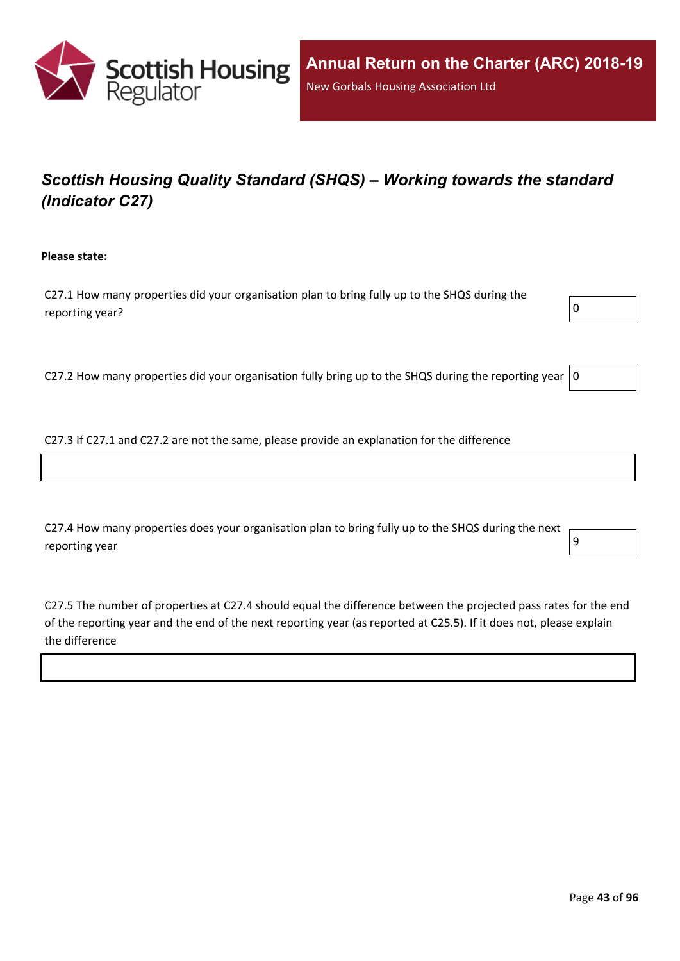

# *Scottish Housing Quality Standard (SHQS) – Working towards the standard (Indicator C27)*

**Please state:**

C27.1 How many properties did your organisation plan to bring fully up to the SHQS during the reporting year?  $\boxed{0}$ 



C27.2 How many properties did your organisation fully bring up to the SHQS during the reporting year  $|0$ 

C27.3 If C27.1 and C27.2 are not the same, please provide an explanation for the difference

C27.4 How many properties does your organisation plan to bring fully up to the SHQS during the next reporting year  $\vert 9 \vert$ 

C27.5 The number of properties at C27.4 should equal the difference between the projected pass rates for the end of the reporting year and the end of the next reporting year (as reported at C25.5). If it does not, please explain the difference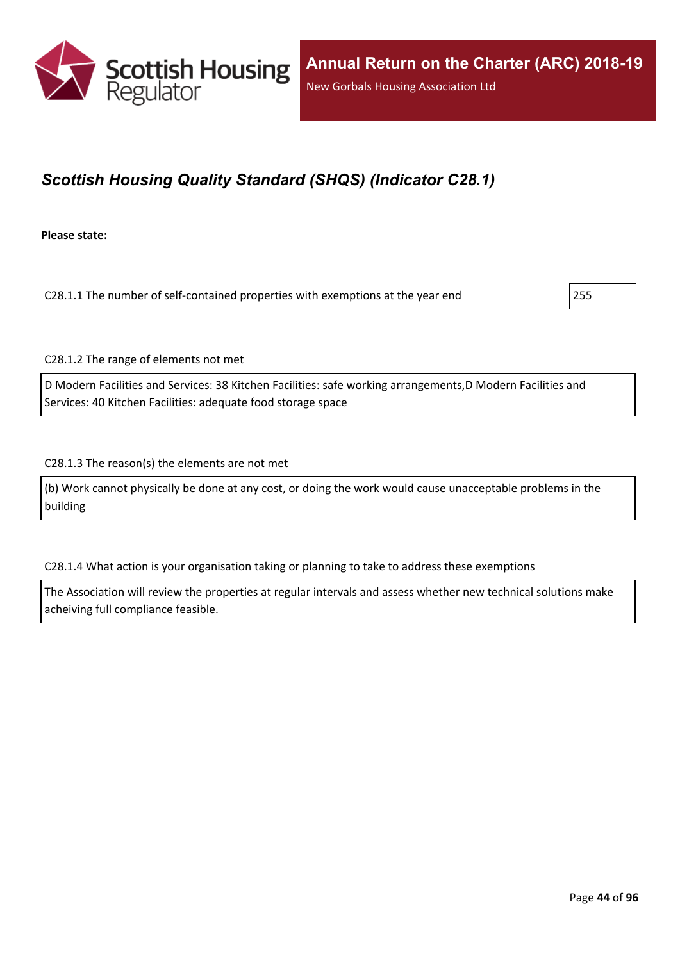

# *Scottish Housing Quality Standard (SHQS) (Indicator C28.1)*

**Please state:**

C28.1.1 The number of self-contained properties with exemptions at the year end 255

C28.1.2 The range of elements not met

D Modern Facilities and Services: 38 Kitchen Facilities: safe working arrangements,D Modern Facilities and Services: 40 Kitchen Facilities: adequate food storage space

C28.1.3 The reason(s) the elements are not met

(b) Work cannot physically be done at any cost, or doing the work would cause unacceptable problems in the building

C28.1.4 What action is your organisation taking or planning to take to address these exemptions

The Association will review the properties at regular intervals and assess whether new technical solutions make acheiving full compliance feasible.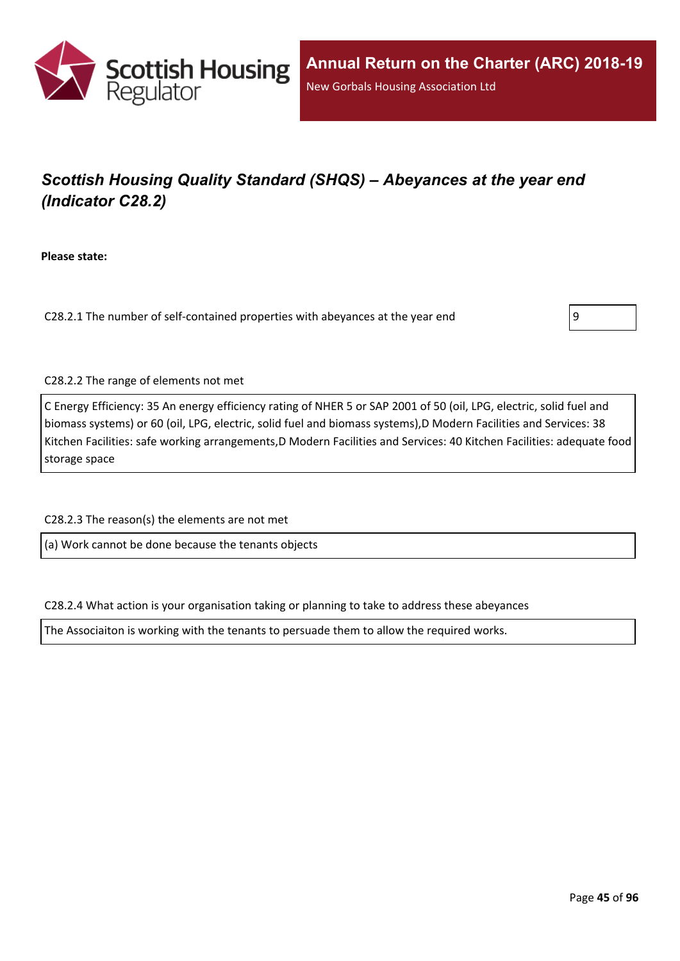

# *Scottish Housing Quality Standard (SHQS) – Abeyances at the year end (Indicator C28.2)*

**Please state:**

C28.2.1 The number of self-contained properties with abeyances at the year end 9



C28.2.2 The range of elements not met

C Energy Efficiency: 35 An energy efficiency rating of NHER 5 or SAP 2001 of 50 (oil, LPG, electric, solid fuel and biomass systems) or 60 (oil, LPG, electric, solid fuel and biomass systems),D Modern Facilities and Services: 38 Kitchen Facilities: safe working arrangements,D Modern Facilities and Services: 40 Kitchen Facilities: adequate food storage space

C28.2.3 The reason(s) the elements are not met

(a) Work cannot be done because the tenants objects

C28.2.4 What action is your organisation taking or planning to take to address these abeyances

The Associaiton is working with the tenants to persuade them to allow the required works.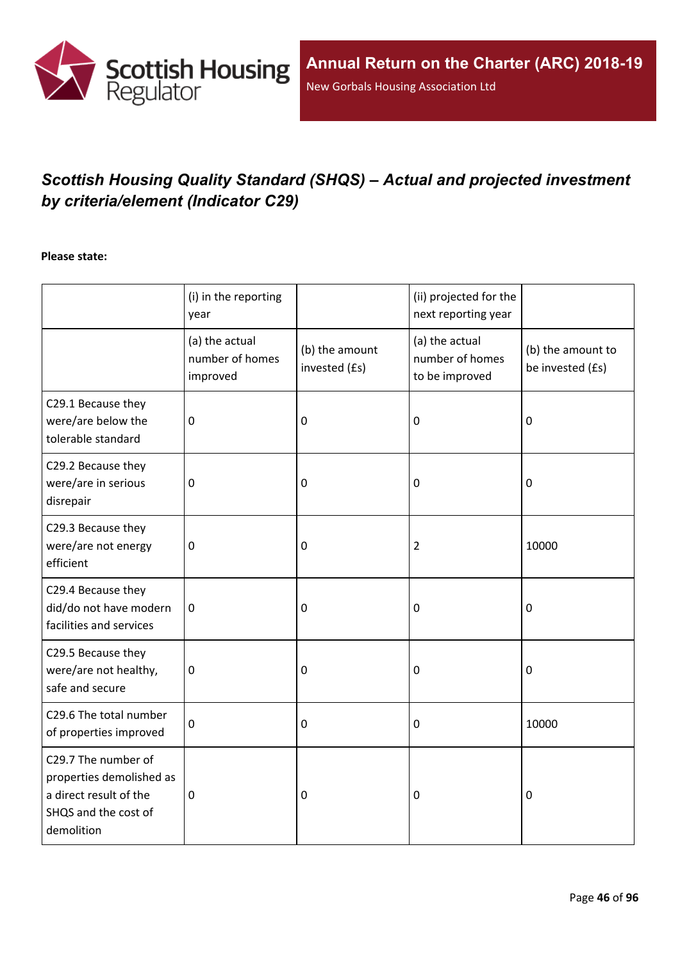

# *Scottish Housing Quality Standard (SHQS) – Actual and projected investment by criteria/element (Indicator C29)*

#### **Please state:**

|                                                                                                                 | (i) in the reporting<br>year                  |                                 | (ii) projected for the<br>next reporting year       |                                       |
|-----------------------------------------------------------------------------------------------------------------|-----------------------------------------------|---------------------------------|-----------------------------------------------------|---------------------------------------|
|                                                                                                                 | (a) the actual<br>number of homes<br>improved | (b) the amount<br>invested (£s) | (a) the actual<br>number of homes<br>to be improved | (b) the amount to<br>be invested (£s) |
| C29.1 Because they<br>were/are below the<br>tolerable standard                                                  | $\mathbf 0$                                   | 0                               | 0                                                   | $\mathbf 0$                           |
| C29.2 Because they<br>were/are in serious<br>disrepair                                                          | $\mathbf 0$                                   | $\pmb{0}$                       | 0                                                   | $\boldsymbol{0}$                      |
| C29.3 Because they<br>were/are not energy<br>efficient                                                          | $\mathbf 0$                                   | 0                               | $\overline{2}$                                      | 10000                                 |
| C29.4 Because they<br>did/do not have modern<br>facilities and services                                         | $\mathbf 0$                                   | 0                               | 0                                                   | $\mathbf 0$                           |
| C29.5 Because they<br>were/are not healthy,<br>safe and secure                                                  | $\mathbf 0$                                   | 0                               | 0                                                   | $\mathbf 0$                           |
| C29.6 The total number<br>of properties improved                                                                | $\mathbf 0$                                   | 0                               | $\mathbf 0$                                         | 10000                                 |
| C29.7 The number of<br>properties demolished as<br>a direct result of the<br>SHQS and the cost of<br>demolition | $\mathbf 0$                                   | 0                               | 0                                                   | 0                                     |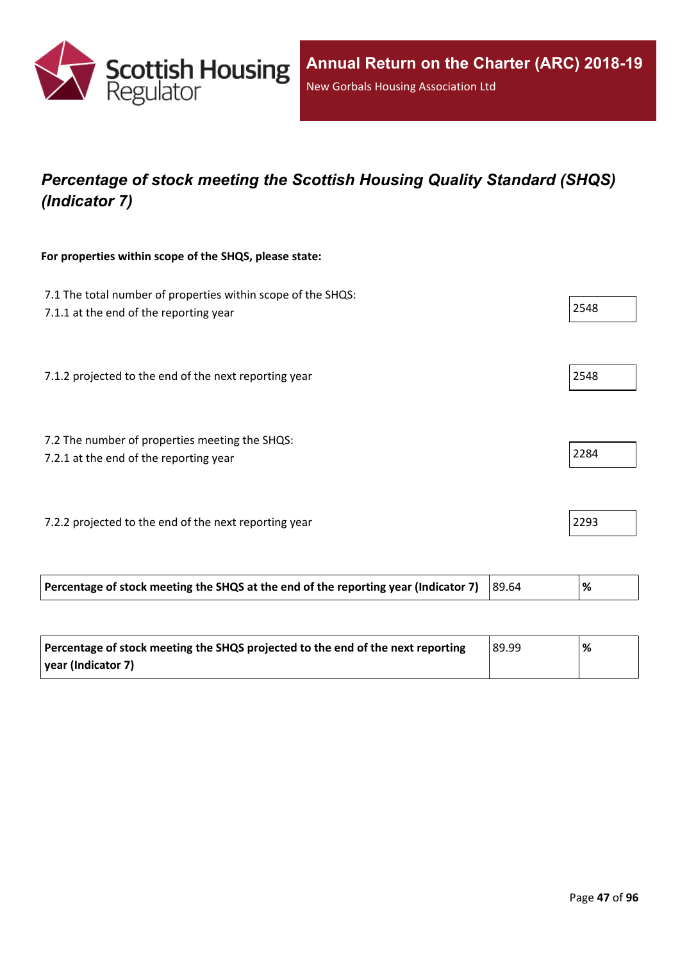

# *Percentage of stock meeting the Scottish Housing Quality Standard (SHQS) (Indicator 7)*

### **For properties within scope of the SHQS, please state:**

| 7.1 The total number of properties within scope of the SHQS:<br>7.1.1 at the end of the reporting year | 2548 |
|--------------------------------------------------------------------------------------------------------|------|
| 7.1.2 projected to the end of the next reporting year                                                  | 2548 |
| 7.2 The number of properties meeting the SHQS:<br>7.2.1 at the end of the reporting year               | 2284 |
| 7.2.2 projected to the end of the next reporting year                                                  | 2293 |

| Percentage of stock meeting the SHQS at the end of the reporting year (Indicator 7) $ 89.64 $ | '% |
|-----------------------------------------------------------------------------------------------|----|
|                                                                                               |    |

| Percentage of stock meeting the SHQS projected to the end of the next reporting | 89.99 | % |
|---------------------------------------------------------------------------------|-------|---|
| year (Indicator 7)                                                              |       |   |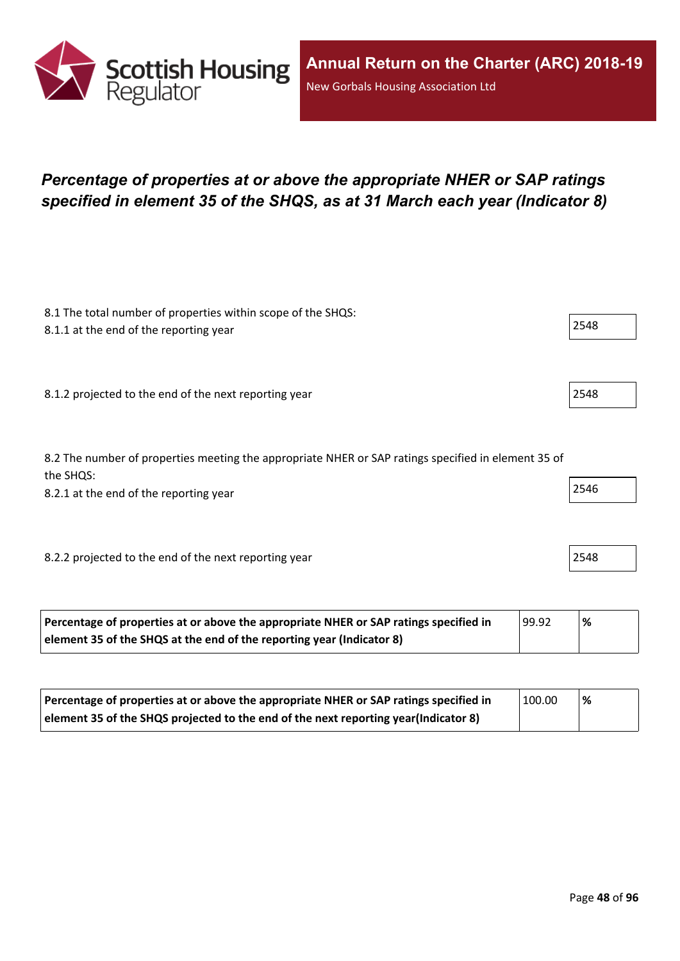

# *Percentage of properties at or above the appropriate NHER or SAP ratings specified in element 35 of the SHQS, as at 31 March each year (Indicator 8)*

| 8.1 The total number of properties within scope of the SHQS:<br>8.1.1 at the end of the reporting year           | 2548 |
|------------------------------------------------------------------------------------------------------------------|------|
|                                                                                                                  |      |
| 8.1.2 projected to the end of the next reporting year                                                            | 2548 |
|                                                                                                                  |      |
| 8.2 The number of properties meeting the appropriate NHER or SAP ratings specified in element 35 of<br>the SHQS: |      |
| 8.2.1 at the end of the reporting year                                                                           | 2546 |
|                                                                                                                  |      |
| 8.2.2 projected to the end of the next reporting year                                                            | 2548 |
|                                                                                                                  |      |

| Percentage of properties at or above the appropriate NHER or SAP ratings specified in | 99.92 | '% |
|---------------------------------------------------------------------------------------|-------|----|
| element 35 of the SHQS at the end of the reporting year (Indicator 8)                 |       |    |

| Percentage of properties at or above the appropriate NHER or SAP ratings specified in | 100.00 | % |
|---------------------------------------------------------------------------------------|--------|---|
| element 35 of the SHQS projected to the end of the next reporting year(Indicator 8)   |        |   |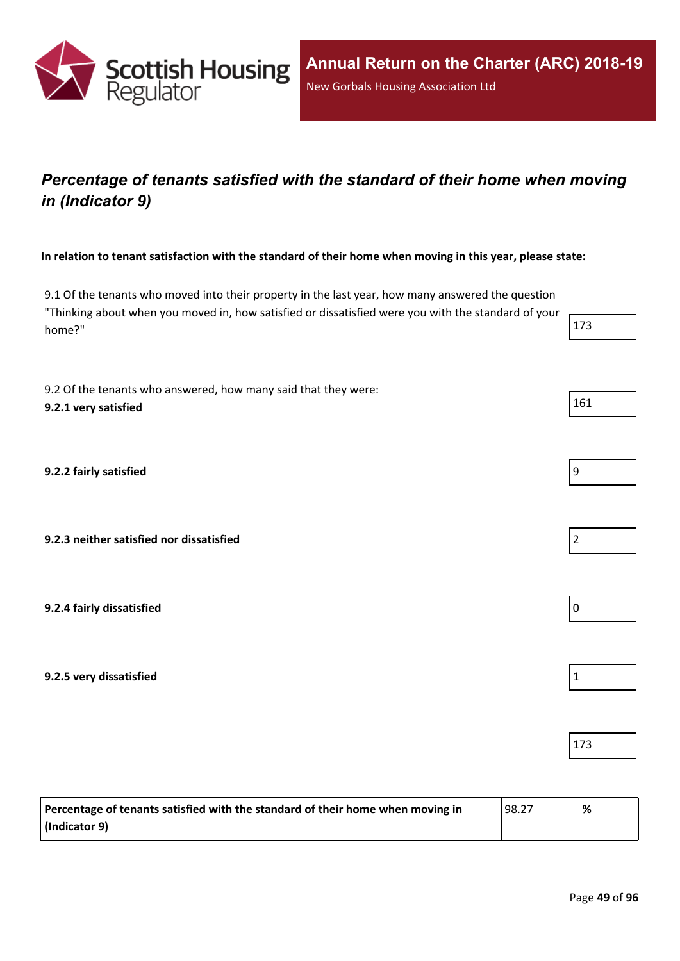

# *Percentage of tenants satisfied with the standard of their home when moving in (Indicator 9)*

In relation to tenant satisfaction with the standard of their home when moving in this year, please state:

9.1 Of the tenants who moved into their property in the last year, how many answered the question "Thinking about when you moved in, how satisfied or dissatisfied were you with the standard of your home?"  $\vert$  173

9.2 Of the tenants who answered, how many said that they were: **9.2.1 very satisfied** 161

**9.2.2 fairly satisfied** 9

**9.2.3 neither satisfied nor dissatisfied** 2

**9.2.4 fairly dissatisfied** 0

**9.2.5 very dissatisfied** 1

| Percentage of tenants satisfied with the standard of their home when moving in | 98.27 | % |
|--------------------------------------------------------------------------------|-------|---|
| (Indicator 9)                                                                  |       |   |

| 9 |  |  |
|---|--|--|





173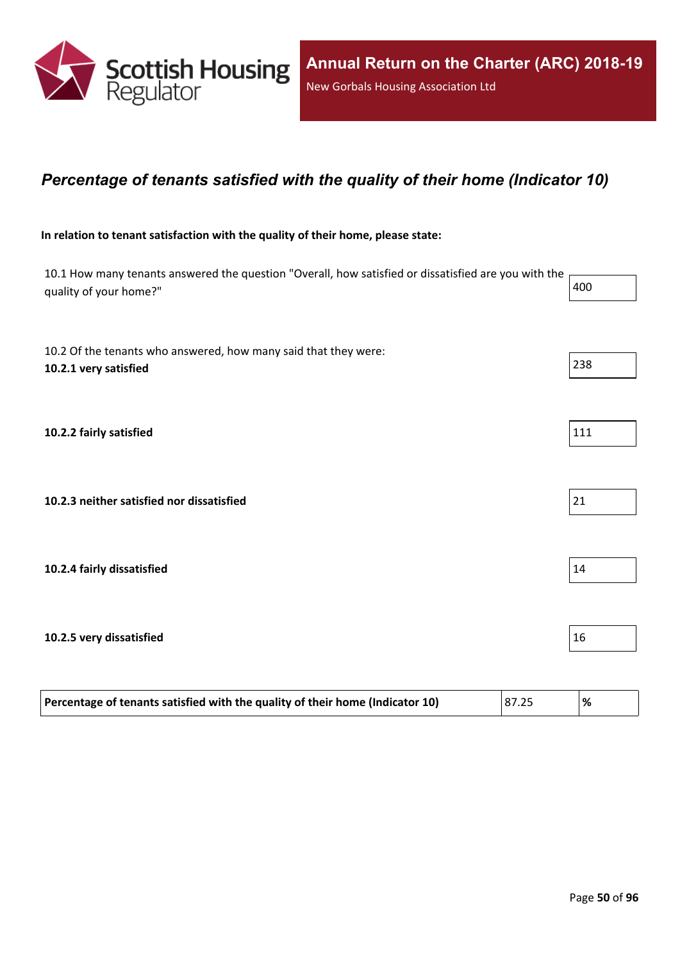

### *Percentage of tenants satisfied with the quality of their home (Indicator 10)*

#### **In relation to tenant satisfaction with the quality of their home, please state:**

| 10.1 How many tenants answered the question "Overall, how satisfied or dissatisfied are you with the<br>quality of your home?" | 400 |
|--------------------------------------------------------------------------------------------------------------------------------|-----|
| 10.2 Of the tenants who answered, how many said that they were:<br>10.2.1 very satisfied                                       | 238 |
| 10.2.2 fairly satisfied                                                                                                        | 111 |
| 10.2.3 neither satisfied nor dissatisfied                                                                                      | 21  |
| 10.2.4 fairly dissatisfied                                                                                                     | 14  |
| 10.2.5 very dissatisfied                                                                                                       | 16  |

| Percentage of tenants satisfied with the quality of their home (Indicator 10) | 87.25 | $\frac{9}{6}$ |
|-------------------------------------------------------------------------------|-------|---------------|
|                                                                               |       |               |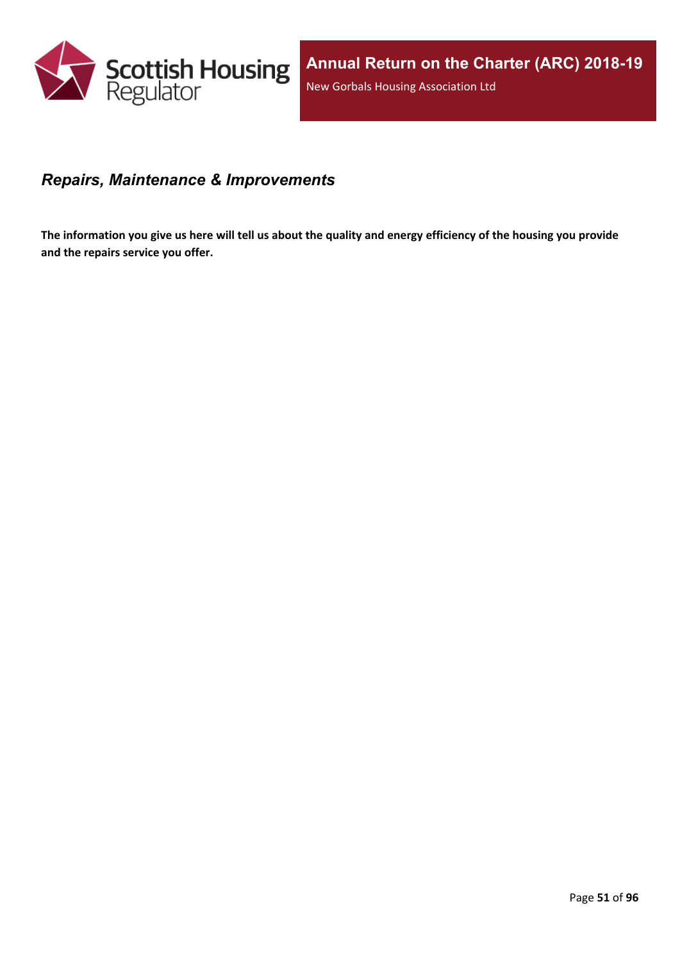

### *Repairs, Maintenance & Improvements*

The information you give us here will tell us about the quality and energy efficiency of the housing you provide **and the repairs service you offer.**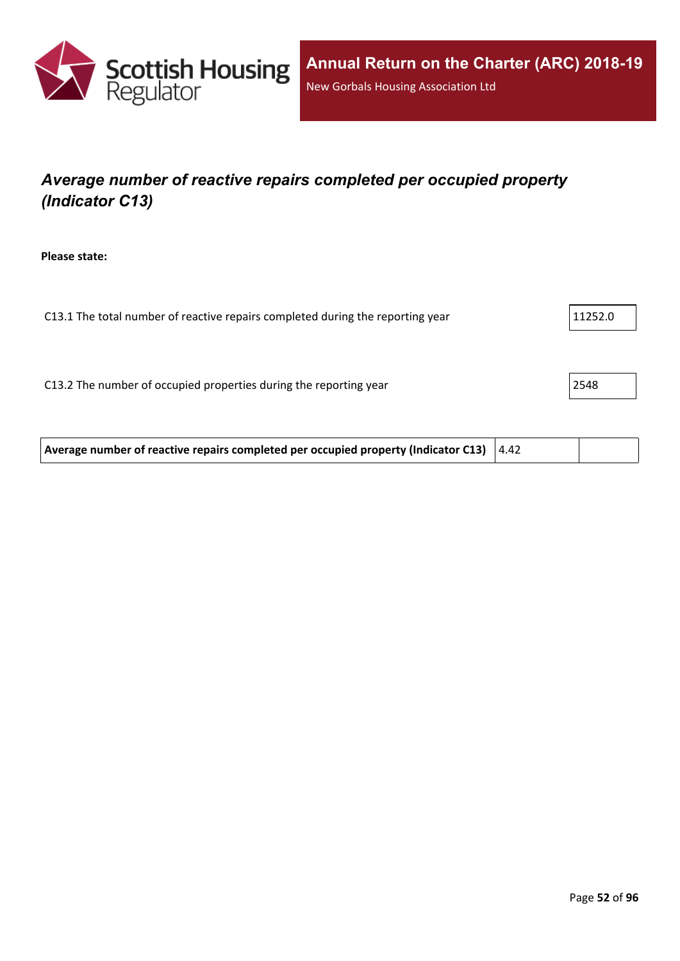

# *Average number of reactive repairs completed per occupied property (Indicator C13)*

**Please state:**

| C13.1 The total number of reactive repairs completed during the reporting year | 11252.0 |
|--------------------------------------------------------------------------------|---------|
|                                                                                |         |
|                                                                                |         |
| C13.2 The number of occupied properties during the reporting year              | 2548    |
|                                                                                |         |

**Average number of reactive repairs completed per occupied property (Indicator C13)** 4.42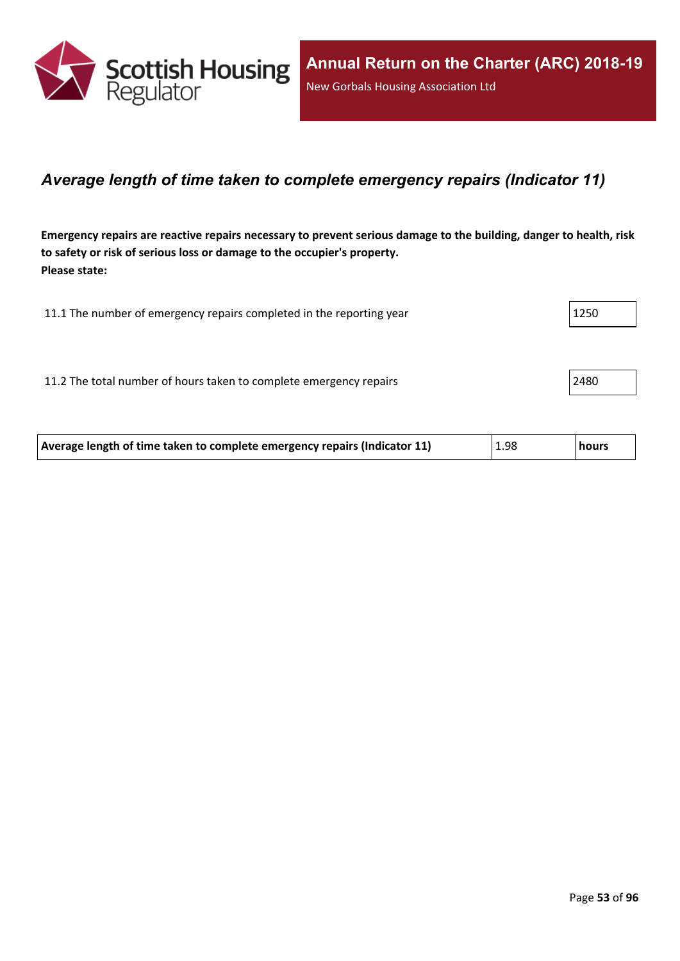

### *Average length of time taken to complete emergency repairs (Indicator 11)*

Emergency repairs are reactive repairs necessary to prevent serious damage to the building, danger to health, risk **to safety or risk of serious loss or damage to the occupier's property. Please state:**

| 11.1 The number of emergency repairs completed in the reporting year | 1250 |
|----------------------------------------------------------------------|------|
|                                                                      |      |
| 11.2 The total number of hours taken to complete emergency repairs   | 2480 |
|                                                                      |      |

| Average length of time taken to complete emergency repairs (Indicator 11) | 1.98 | <b>hours</b> |
|---------------------------------------------------------------------------|------|--------------|
|---------------------------------------------------------------------------|------|--------------|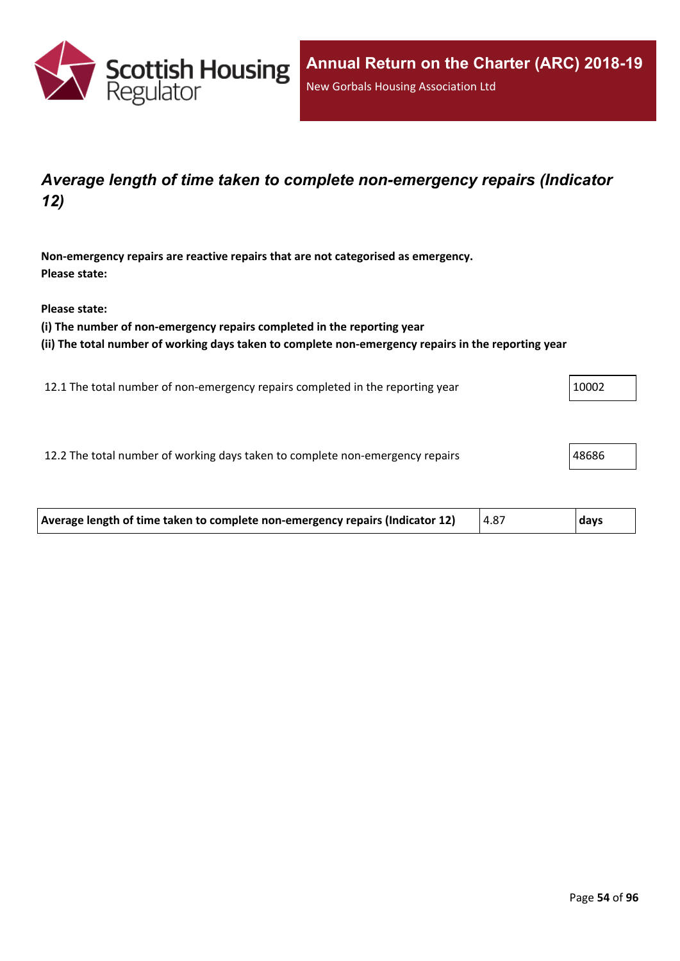

## *Average length of time taken to complete non-emergency repairs (Indicator 12)*

**Non-emergency repairs are reactive repairs that are not categorised as emergency. Please state:**

**Please state:**

**(i) The number of non-emergency repairs completed in the reporting year**

**(ii) The total number of working days taken to complete non-emergency repairs in the reporting year**

12.1 The total number of non-emergency repairs completed in the reporting year 10002

12.2 The total number of working days taken to complete non-emergency repairs 48686

| Average length of time taken to complete non-emergency repairs (Indicator 12) | 4.87 | days |  |
|-------------------------------------------------------------------------------|------|------|--|
|                                                                               |      |      |  |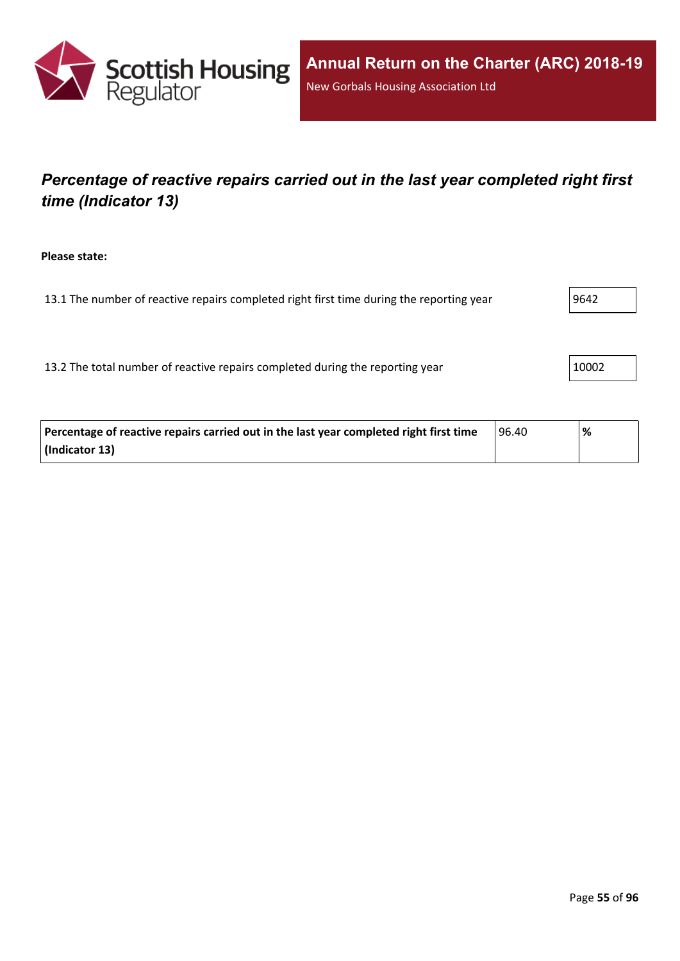

# *Percentage of reactive repairs carried out in the last year completed right first time (Indicator 13)*

**Please state:**

13.1 The number of reactive repairs completed right first time during the reporting year  $9642$ 

13.2 The total number of reactive repairs completed during the reporting year 10002

| Percentage of reactive repairs carried out in the last year completed right first time | 96.40 | % |
|----------------------------------------------------------------------------------------|-------|---|
| (Indicator 13)                                                                         |       |   |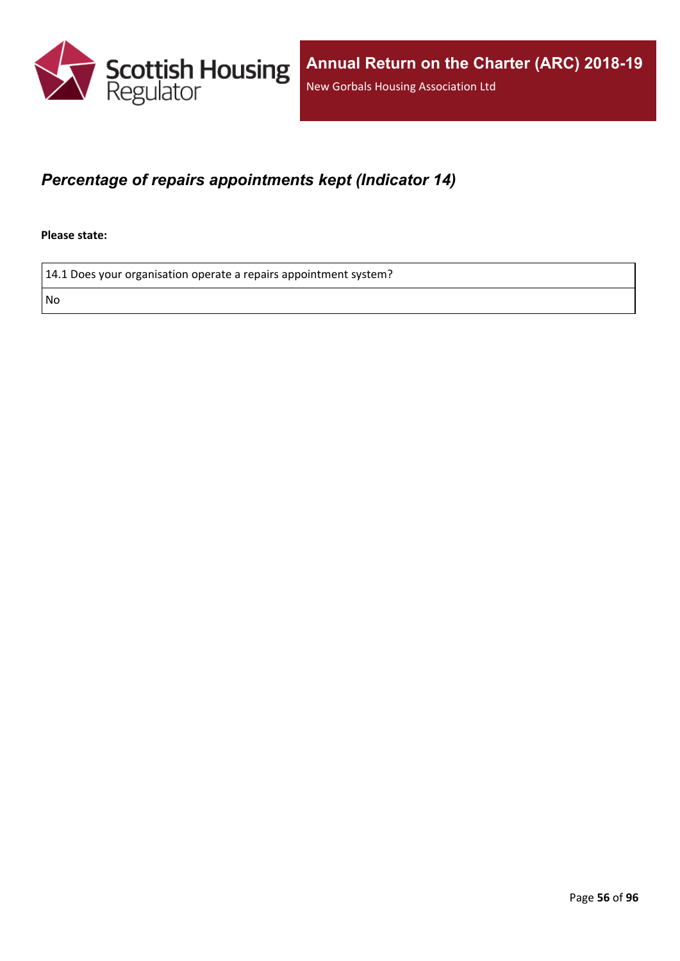

## *Percentage of repairs appointments kept (Indicator 14)*

**Please state:**

14.1 Does your organisation operate a repairs appointment system?

No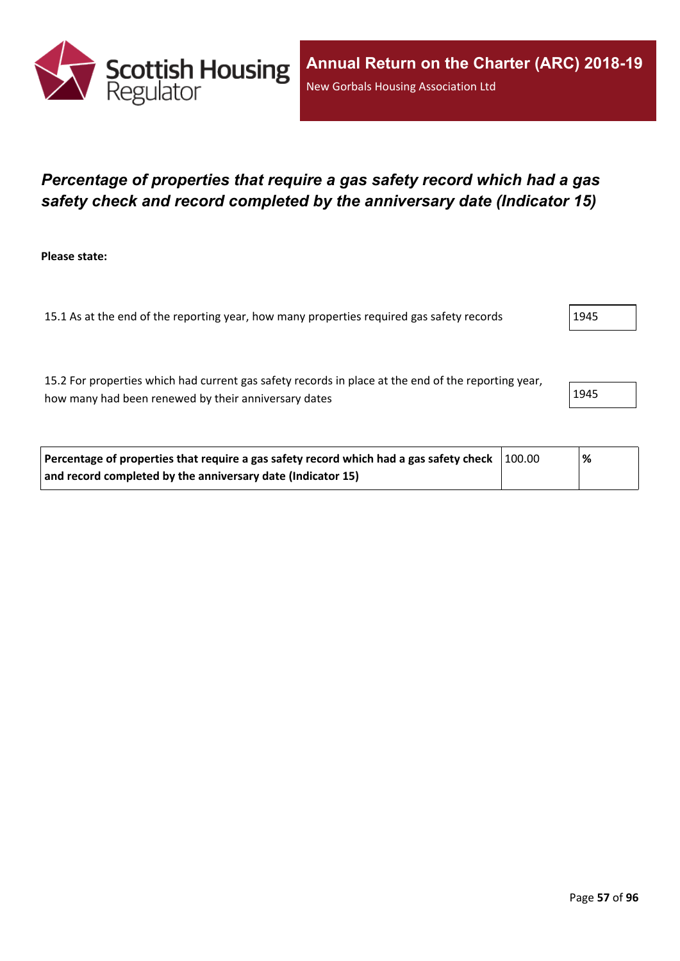

## *Percentage of properties that require a gas safety record which had a gas safety check and record completed by the anniversary date (Indicator 15)*

**Please state:**

15.1 As at the end of the reporting year, how many properties required gas safety records 1945

15.2 For properties which had current gas safety records in place at the end of the reporting year, how many had been renewed by their anniversary dates 1945

| Percentage of properties that require a gas safety record which had a gas safety check $\vert$ 100.00 | '% |
|-------------------------------------------------------------------------------------------------------|----|
| and record completed by the anniversary date (Indicator 15)                                           |    |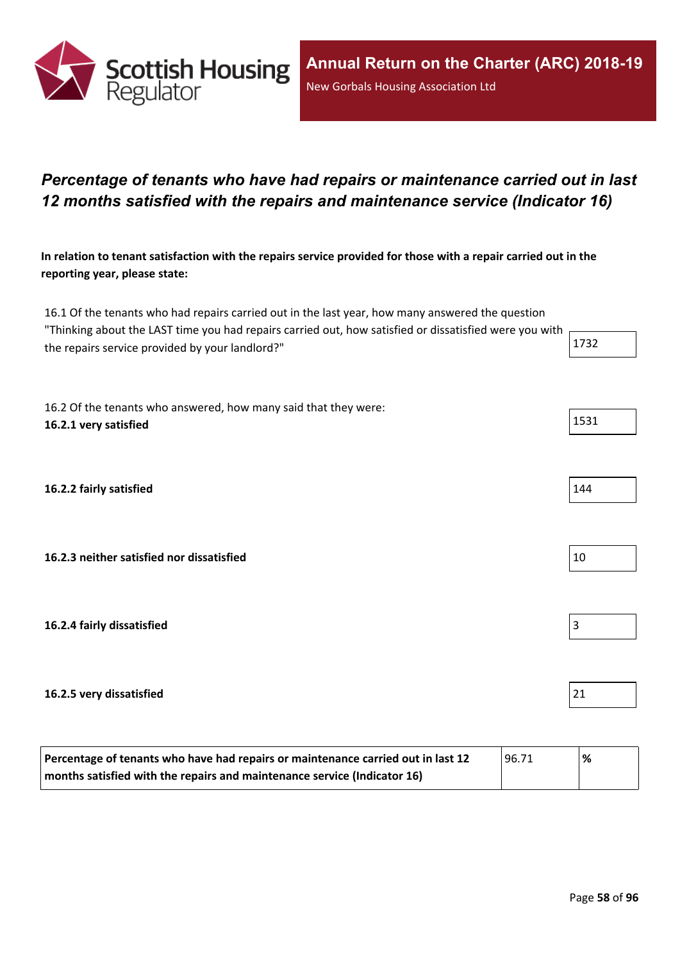

# *Percentage of tenants who have had repairs or maintenance carried out in last 12 months satisfied with the repairs and maintenance service (Indicator 16)*

In relation to tenant satisfaction with the repairs service provided for those with a repair carried out in the **reporting year, please state:**

16.1 Of the tenants who had repairs carried out in the last year, how many answered the question "Thinking about the LAST time you had repairs carried out, how satisfied or dissatisfied were you with the repairs service provided by your landlord?"  $1732$ 

16.2 Of the tenants who answered, how many said that they were: **16.2.1 very satisfied** 1531

**16.2.2 fairly satisfied** 144

**16.2.3 neither satisfied nor dissatisfied** 10

**16.2.4 fairly dissatisfied** 3

#### **16.2.5 very dissatisfied** 21

| Percentage of tenants who have had repairs or maintenance carried out in last 12 | 196.71 | % |
|----------------------------------------------------------------------------------|--------|---|
| months satisfied with the repairs and maintenance service (Indicator 16)         |        |   |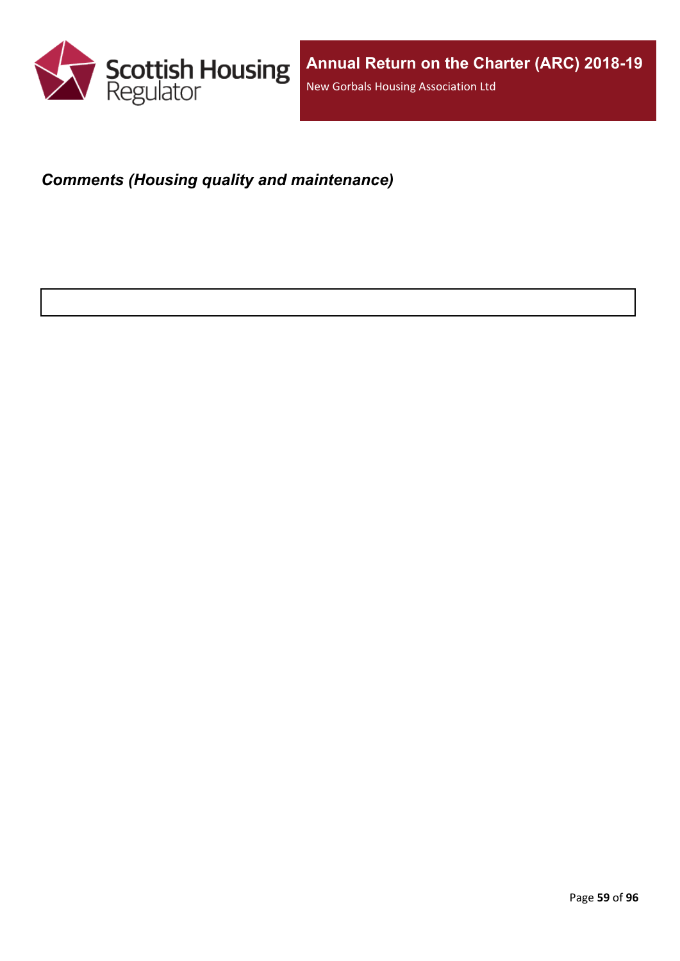

# *Comments (Housing quality and maintenance)*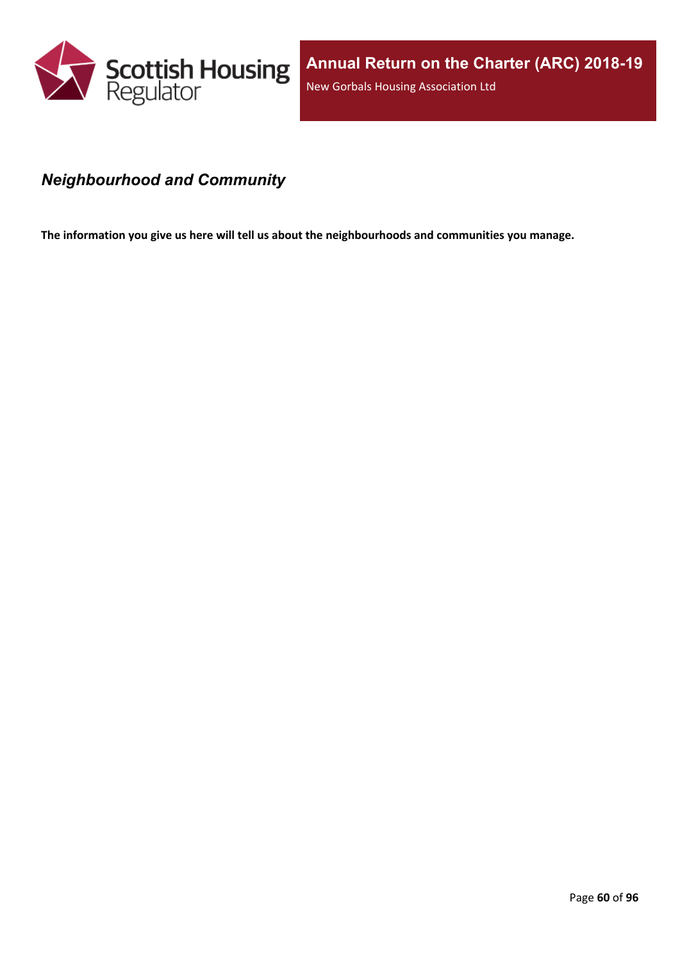

## *Neighbourhood and Community*

**The information you give us here will tell us about the neighbourhoods and communities you manage.**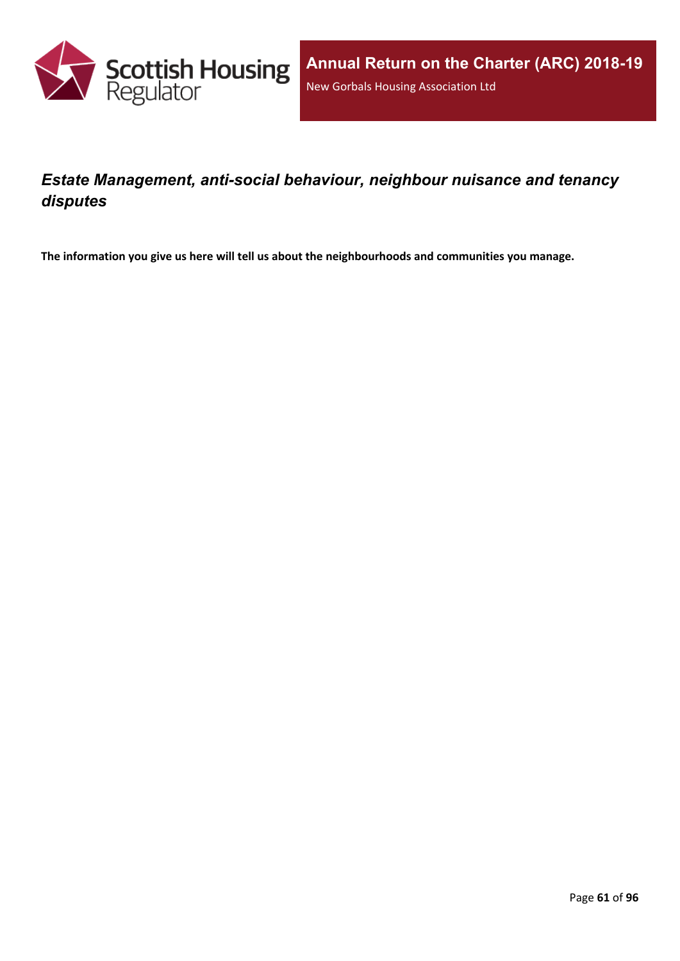

# *Estate Management, anti-social behaviour, neighbour nuisance and tenancy disputes*

**The information you give us here will tell us about the neighbourhoods and communities you manage.**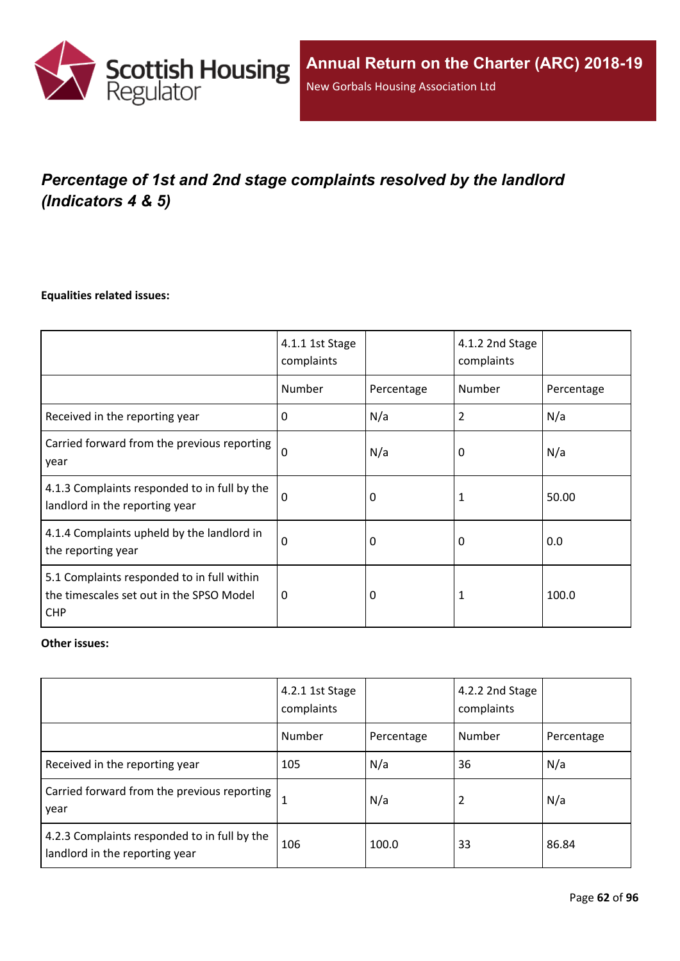

# *Percentage of 1st and 2nd stage complaints resolved by the landlord (Indicators 4 & 5)*

#### **Equalities related issues:**

|                                                                                                      | 4.1.1 1st Stage<br>complaints |            | 4.1.2 2nd Stage<br>complaints |            |
|------------------------------------------------------------------------------------------------------|-------------------------------|------------|-------------------------------|------------|
|                                                                                                      | Number                        | Percentage | Number                        | Percentage |
| Received in the reporting year                                                                       | $\Omega$                      | N/a        | 2                             | N/a        |
| Carried forward from the previous reporting<br>year                                                  | $\Omega$                      | N/a        | 0                             | N/a        |
| 4.1.3 Complaints responded to in full by the<br>landlord in the reporting year                       | $\Omega$                      | 0          | 1                             | 50.00      |
| 4.1.4 Complaints upheld by the landlord in<br>the reporting year                                     | 0                             | 0          | 0                             | 0.0        |
| 5.1 Complaints responded to in full within<br>the timescales set out in the SPSO Model<br><b>CHP</b> | $\Omega$                      | 0          |                               | 100.0      |

### **Other issues:**

|                                                                                | 4.2.1 1st Stage<br>complaints |            | 4.2.2 2nd Stage<br>complaints |            |
|--------------------------------------------------------------------------------|-------------------------------|------------|-------------------------------|------------|
|                                                                                | Number                        | Percentage | Number                        | Percentage |
| Received in the reporting year                                                 | 105                           | N/a        | 36                            | N/a        |
| Carried forward from the previous reporting  <br>year                          | 1                             | N/a        | 2                             | N/a        |
| 4.2.3 Complaints responded to in full by the<br>landlord in the reporting year | 106                           | 100.0      | 33                            | 86.84      |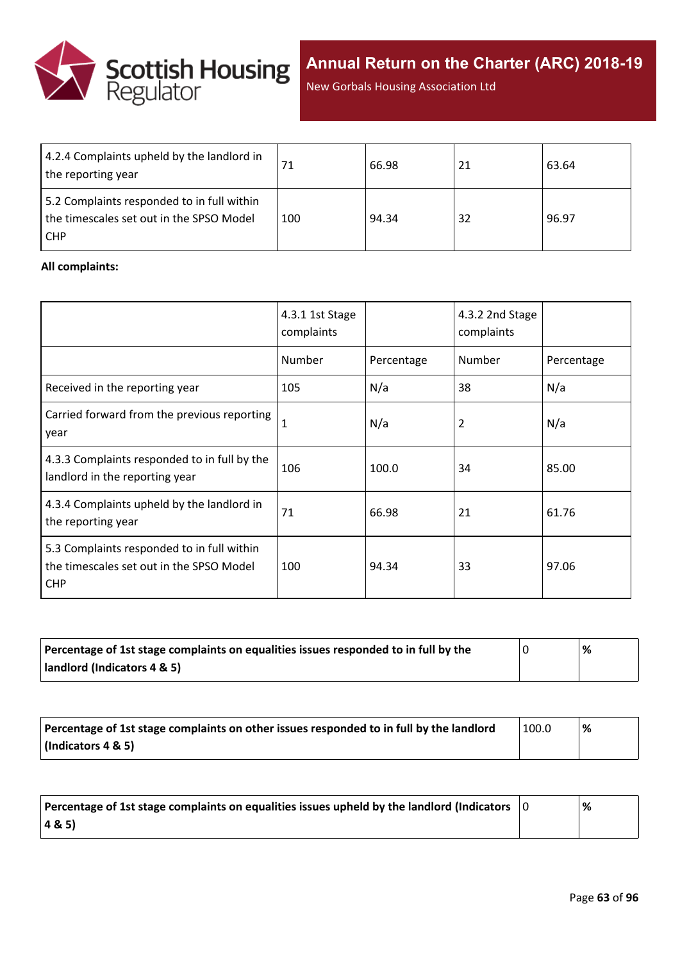

New Gorbals Housing Association Ltd

| 4.2.4 Complaints upheld by the landlord in<br>the reporting year                                     |     | 66.98 | 21 | 63.64 |
|------------------------------------------------------------------------------------------------------|-----|-------|----|-------|
| 5.2 Complaints responded to in full within<br>the timescales set out in the SPSO Model<br><b>CHP</b> | 100 | 94.34 | 32 | 96.97 |

### **All complaints:**

|                                                                                                      | 4.3.1 1st Stage<br>complaints |            | 4.3.2 2nd Stage<br>complaints |            |
|------------------------------------------------------------------------------------------------------|-------------------------------|------------|-------------------------------|------------|
|                                                                                                      | Number                        | Percentage | Number                        | Percentage |
| Received in the reporting year                                                                       | 105                           | N/a        | 38                            | N/a        |
| Carried forward from the previous reporting<br>year                                                  | 1                             | N/a        | 2                             | N/a        |
| 4.3.3 Complaints responded to in full by the<br>landlord in the reporting year                       | 106                           | 100.0      | 34                            | 85.00      |
| 4.3.4 Complaints upheld by the landlord in<br>the reporting year                                     | 71                            | 66.98      | 21                            | 61.76      |
| 5.3 Complaints responded to in full within<br>the timescales set out in the SPSO Model<br><b>CHP</b> | 100                           | 94.34      | 33                            | 97.06      |

| Percentage of 1st stage complaints on equalities issues responded to in full by the | % |
|-------------------------------------------------------------------------------------|---|
| landlord (Indicators 4 & 5)                                                         |   |

| Percentage of 1st stage complaints on other issues responded to in full by the landlord | 100.0 | ℅ |
|-----------------------------------------------------------------------------------------|-------|---|
| (Indicators 4 & 5)                                                                      |       |   |

| Percentage of 1st stage complaints on equalities issues upheld by the landlord (Indicators $\,$   0 | % |
|-----------------------------------------------------------------------------------------------------|---|
| $ 48, 5\rangle$                                                                                     |   |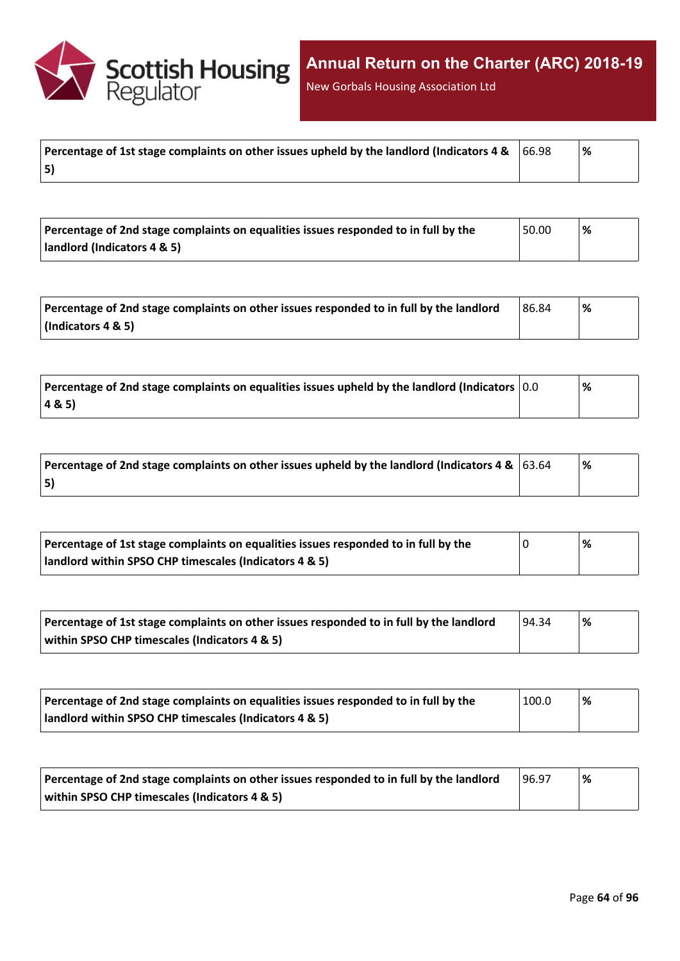

New Gorbals Housing Association Ltd

| Percentage of 1st stage complaints on other issues upheld by the landlord (Indicators 4 & $\,$ $\,$ 66.98 | ∣% |
|-----------------------------------------------------------------------------------------------------------|----|
| 5)                                                                                                        |    |

| Percentage of 2nd stage complaints on equalities issues responded to in full by the | 50.00 | '% |
|-------------------------------------------------------------------------------------|-------|----|
| landlord (Indicators 4 & 5)                                                         |       |    |

| Percentage of 2nd stage complaints on other issues responded to in full by the landlord | 86.84 | % |
|-----------------------------------------------------------------------------------------|-------|---|
| $\vert$ (Indicators 4 & 5)                                                              |       |   |

| $^{\circ}$ Percentage of 2nd stage complaints on equalities issues upheld by the landlord (Indicators $\vert$ 0.0 | % |
|-------------------------------------------------------------------------------------------------------------------|---|
| 4 & 5)                                                                                                            |   |

| Percentage of 2nd stage complaints on other issues upheld by the landlord (Indicators 4 & $ 63.64 $ | % |
|-----------------------------------------------------------------------------------------------------|---|
| 5)                                                                                                  |   |

| Percentage of 1st stage complaints on equalities issues responded to in full by the | % |
|-------------------------------------------------------------------------------------|---|
| landlord within SPSO CHP timescales (Indicators 4 & 5)                              |   |

| Percentage of 1st stage complaints on other issues responded to in full by the landlord | 94.34 | % |
|-----------------------------------------------------------------------------------------|-------|---|
| within SPSO CHP timescales (Indicators 4 & 5)                                           |       |   |

| Percentage of 2nd stage complaints on equalities issues responded to in full by the | 100.0 | '% |  |
|-------------------------------------------------------------------------------------|-------|----|--|
| landlord within SPSO CHP timescales (Indicators 4 & 5)                              |       |    |  |

| Percentage of 2nd stage complaints on other issues responded to in full by the landlord | 96.97 | % |
|-----------------------------------------------------------------------------------------|-------|---|
| within SPSO CHP timescales (Indicators 4 & 5)                                           |       |   |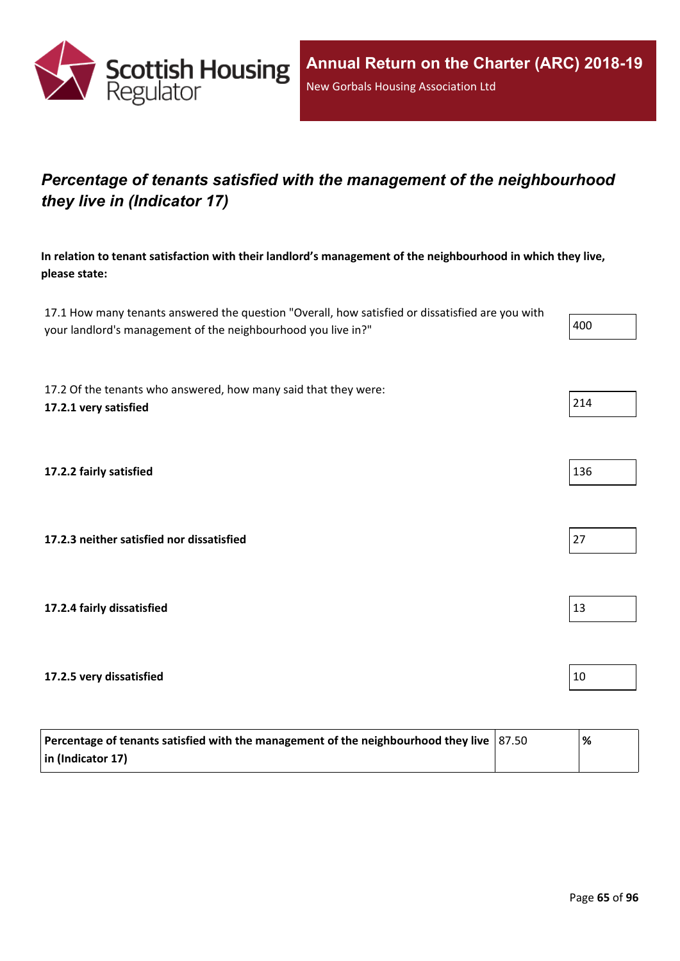

# *Percentage of tenants satisfied with the management of the neighbourhood they live in (Indicator 17)*

**In relation to tenant satisfaction with their landlord's management of the neighbourhood in which they live, please state:**

17.1 How many tenants answered the question "Overall, how satisfied or dissatisfied are you with your landlord's management of the neighbourhood you live in?"

17.2 Of the tenants who answered, how many said that they were: **17.2.1 very satisfied** 214

**17.2.2 fairly satisfied** 136

**17.2.3 neither satisfied nor dissatisfied** 27

**17.2.4 fairly dissatisfied** 13

**17.2.5 very dissatisfied** 10

| Percentage of tenants satisfied with the management of the neighbourhood they live $ 87.50 $ | '% |
|----------------------------------------------------------------------------------------------|----|
| $\vert$ in (Indicator 17)                                                                    |    |

|--|

| - |  |  |  |
|---|--|--|--|
|   |  |  |  |
|   |  |  |  |
|   |  |  |  |
|   |  |  |  |
|   |  |  |  |



| $\prime$ |  |  |
|----------|--|--|
|          |  |  |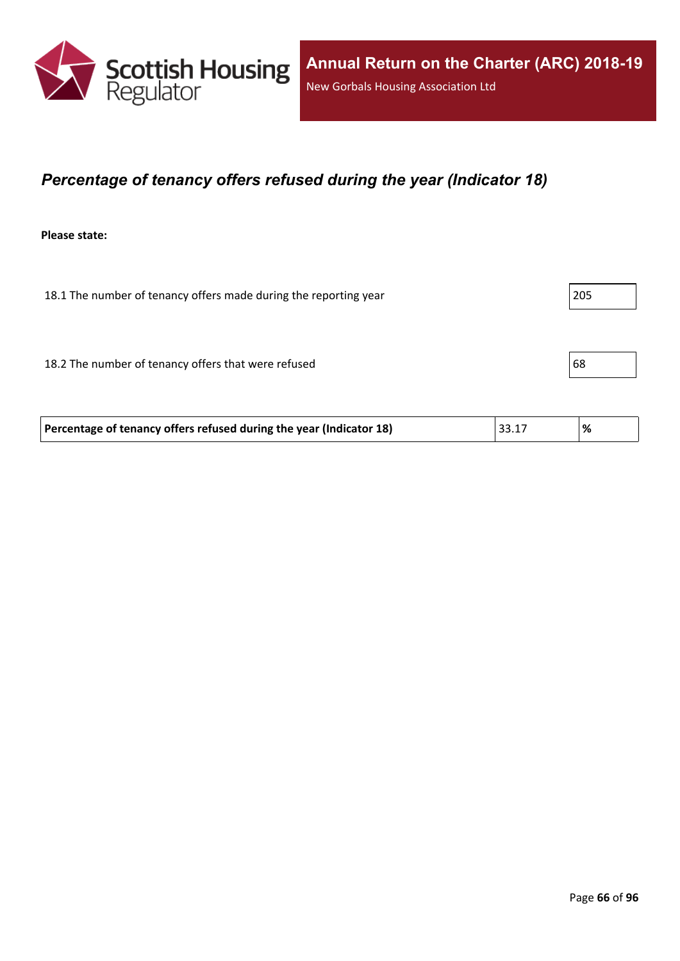

## *Percentage of tenancy offers refused during the year (Indicator 18)*

**Please state:**

| 18.1 The number of tenancy offers made during the reporting year | 205 |
|------------------------------------------------------------------|-----|
|                                                                  |     |
| 18.2 The number of tenancy offers that were refused              | 68  |
|                                                                  |     |

| Percentage of tenancy offers refused during the year (Indicator 18) | 33.17 | '% |
|---------------------------------------------------------------------|-------|----|
|---------------------------------------------------------------------|-------|----|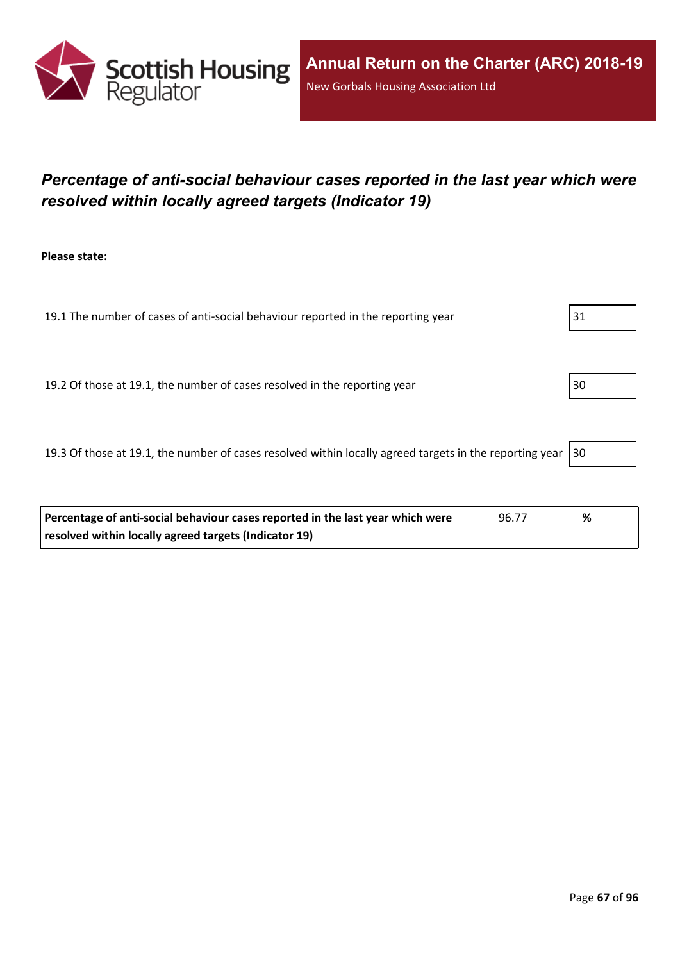

# *Percentage of anti-social behaviour cases reported in the last year which were resolved within locally agreed targets (Indicator 19)*

**Please state:**

19.1 The number of cases of anti-social behaviour reported in the reporting year 31

19.2 Of those at 19.1, the number of cases resolved in the reporting year 30

19.3 Of those at 19.1, the number of cases resolved within locally agreed targets in the reporting year  $|30$ 

| Percentage of anti-social behaviour cases reported in the last year which were | 96.77 | '% |
|--------------------------------------------------------------------------------|-------|----|
| resolved within locally agreed targets (Indicator 19)                          |       |    |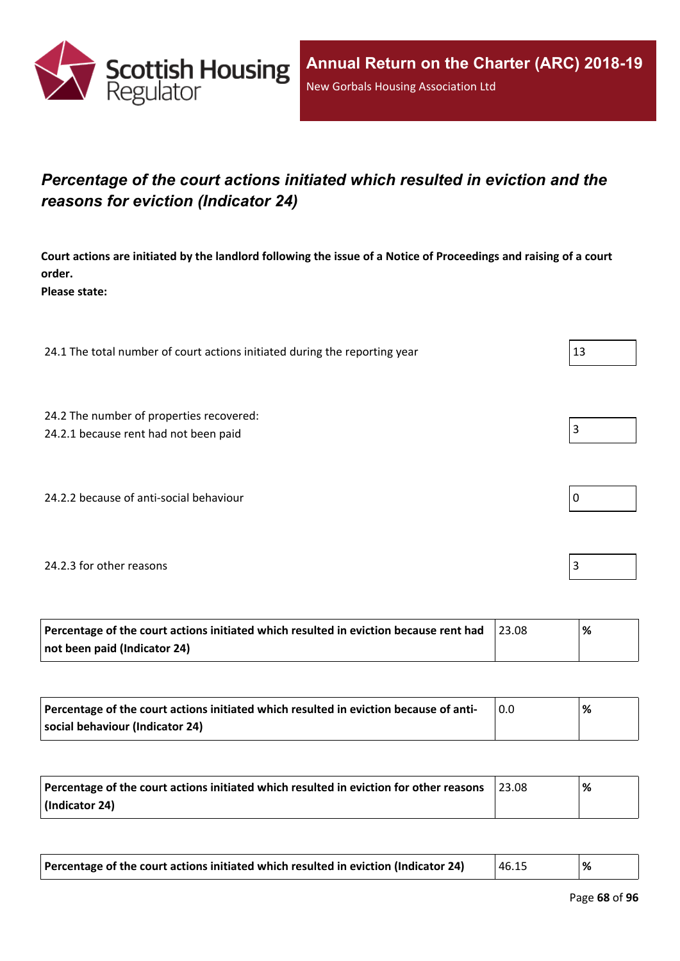

# *Percentage of the court actions initiated which resulted in eviction and the reasons for eviction (Indicator 24)*

Court actions are initiated by the landlord following the issue of a Notice of Proceedings and raising of a court **order.**

**Please state:**

24.1 The total number of court actions initiated during the reporting year 13

24.2 The number of properties recovered:

24.2.1 because rent had not been paid  $\vert$  3

24.2.2 because of anti-social behaviour  $\vert 0 \rangle$ 

#### 24.2.3 for other reasons 3

| Percentage of the court actions initiated which resulted in eviction because rent had | ℅ |
|---------------------------------------------------------------------------------------|---|
| not been paid (Indicator 24)                                                          |   |

| Percentage of the court actions initiated which resulted in eviction because of anti- | % |
|---------------------------------------------------------------------------------------|---|
| social behaviour (Indicator 24)                                                       |   |

| Percentage of the court actions initiated which resulted in eviction for other reasons | 23.08 | % |
|----------------------------------------------------------------------------------------|-------|---|
| (Indicator 24)                                                                         |       |   |

| Percentage of the court actions initiated which resulted in eviction (Indicator 24) | 46.15 | % |
|-------------------------------------------------------------------------------------|-------|---|
|-------------------------------------------------------------------------------------|-------|---|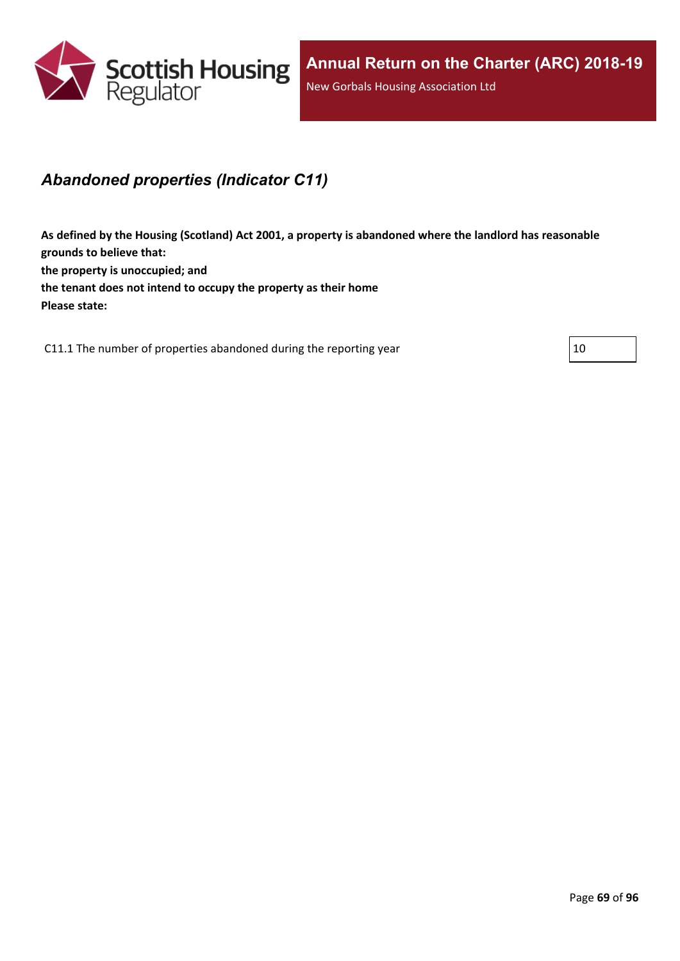

# *Abandoned properties (Indicator C11)*

**As defined by the Housing (Scotland) Act 2001, a property is abandoned where the landlord has reasonable grounds to believe that: the property is unoccupied; and the tenant does not intend to occupy the property as their home Please state:**

C11.1 The number of properties abandoned during the reporting year  $|10 \rangle$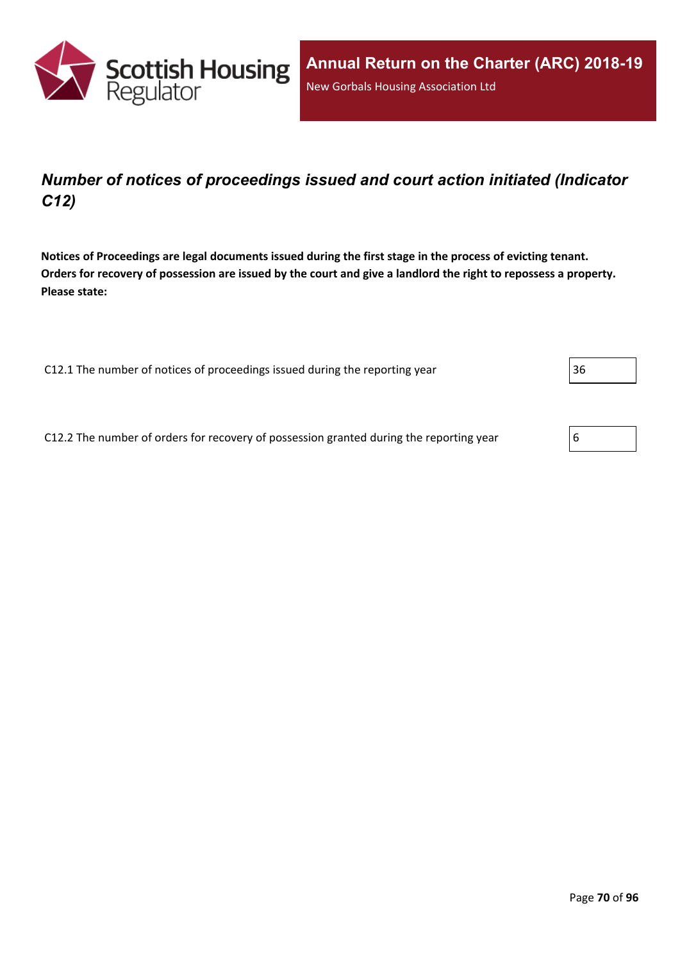

# *Number of notices of proceedings issued and court action initiated (Indicator C12)*

Notices of Proceedings are legal documents issued during the first stage in the process of evicting tenant. Orders for recovery of possession are issued by the court and give a landlord the right to repossess a property. **Please state:**

C12.1 The number of notices of proceedings issued during the reporting year 36

C12.2 The number of orders for recovery of possession granted during the reporting year  $\vert 6 \rangle$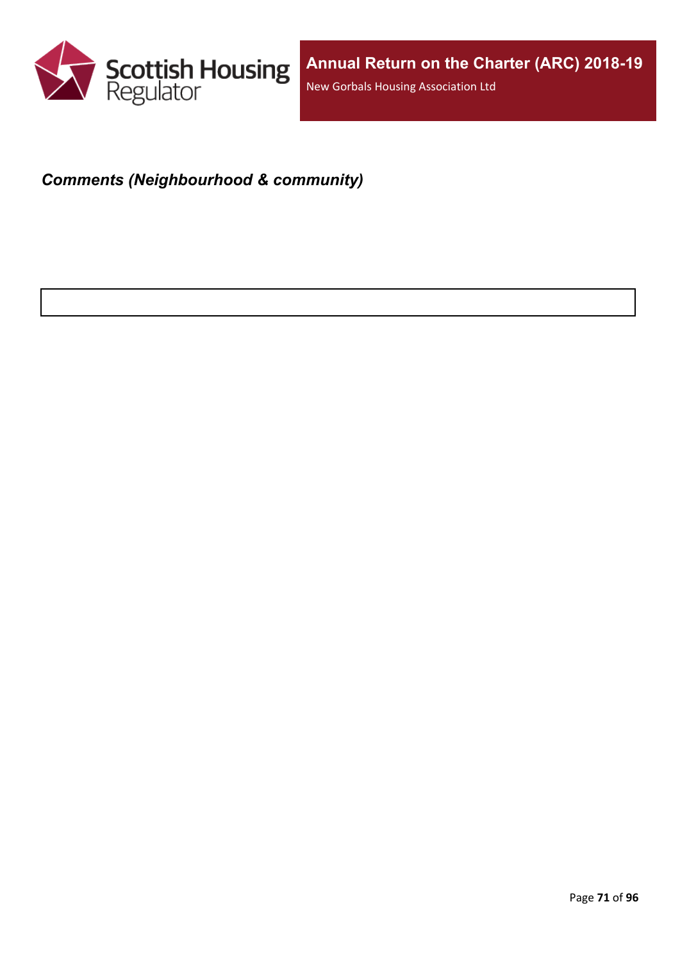

# *Comments (Neighbourhood & community)*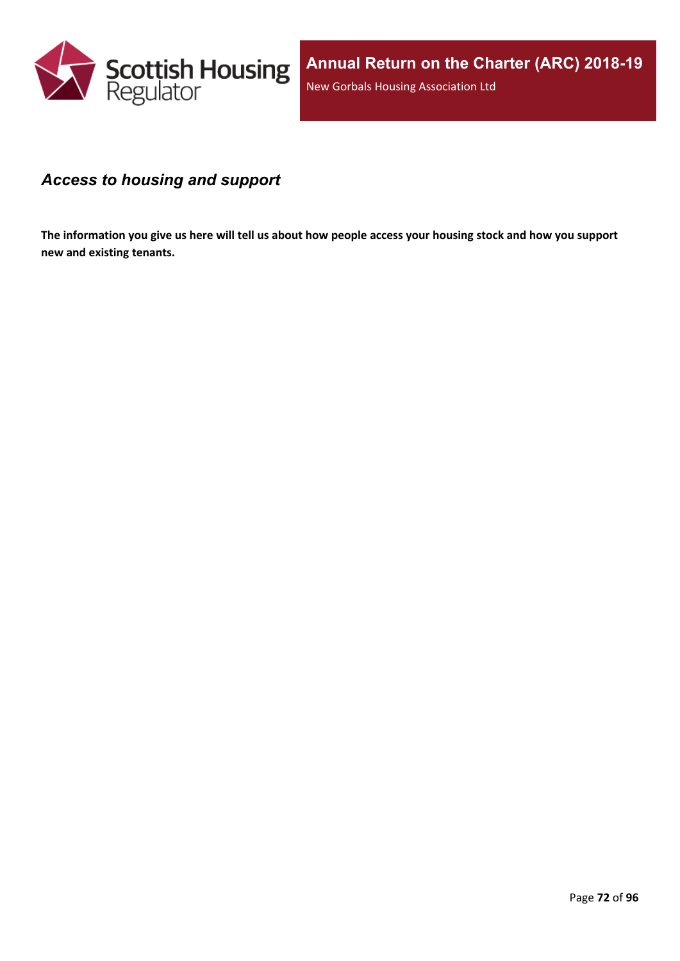

### *Access to housing and support*

The information you give us here will tell us about how people access your housing stock and how you support **new and existing tenants.**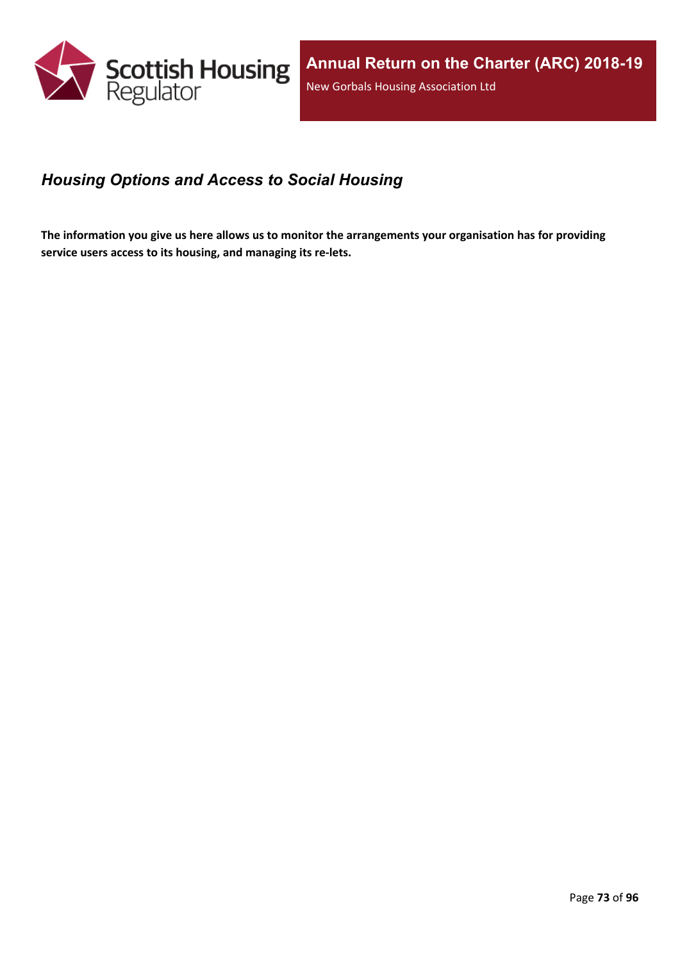

## *Housing Options and Access to Social Housing*

The information you give us here allows us to monitor the arrangements your organisation has for providing **service users access to its housing, and managing its re-lets.**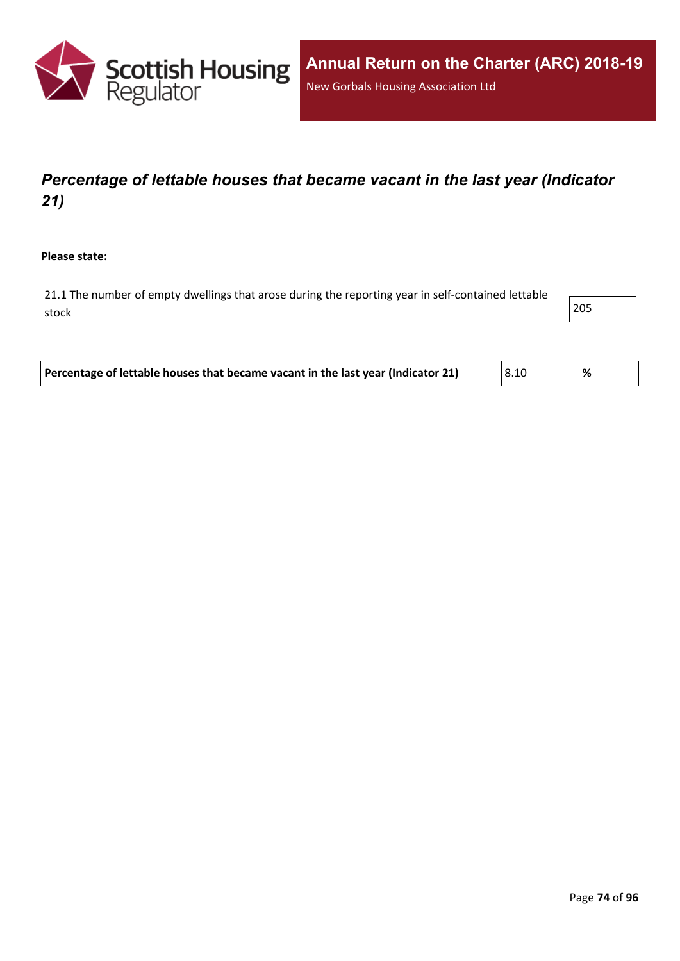

# *Percentage of lettable houses that became vacant in the last year (Indicator 21)*

**Please state:**

21.1 The number of empty dwellings that arose during the reporting year in self-contained lettable stock and the contract of  $\sim$  205  $\sim$ 

| Percentage of lettable houses that became vacant in the last year (Indicator 21) | 8.10 |  |
|----------------------------------------------------------------------------------|------|--|
|----------------------------------------------------------------------------------|------|--|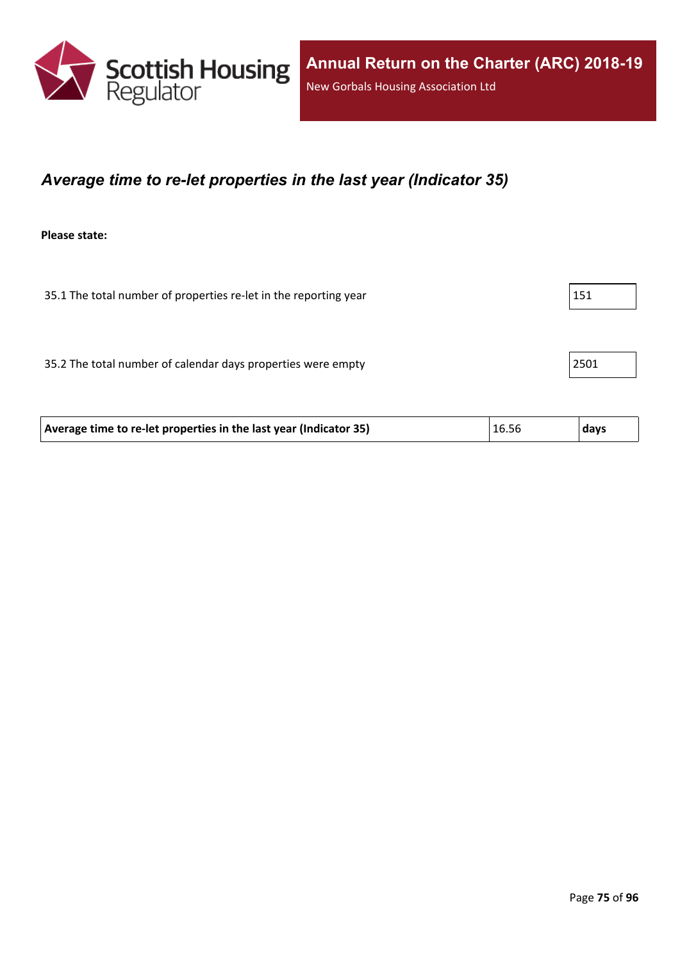

#### *Average time to re-let properties in the last year (Indicator 35)*

**Please state:**

35.1 The total number of properties re-let in the reporting year 151

35.2 The total number of calendar days properties were empty 2501

| Average time to re-let properties in the last year (Indicator 35) | 16.56 | ∣ days |
|-------------------------------------------------------------------|-------|--------|
|-------------------------------------------------------------------|-------|--------|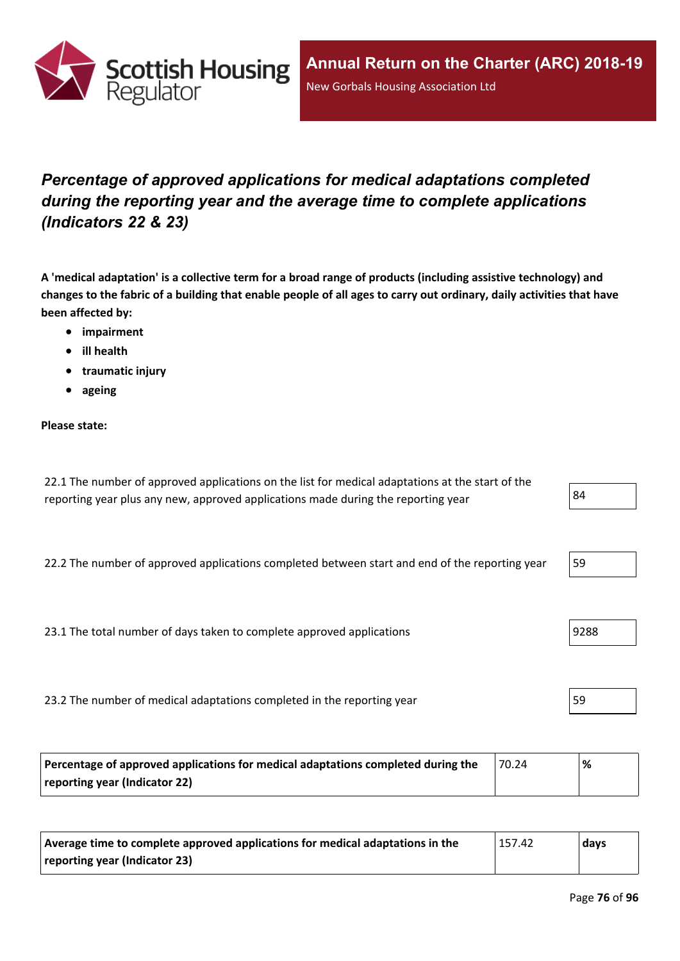

# *Percentage of approved applications for medical adaptations completed during the reporting year and the average time to complete applications (Indicators 22 & 23)*

A 'medical adaptation' is a collective term for a broad range of products (including assistive technology) and changes to the fabric of a building that enable people of all ages to carry out ordinary, daily activities that have **been affected by:**

- **impairment**
- **ill health**
- **traumatic injury**
- **ageing**

#### **Please state:**

| 22.1 The number of approved applications on the list for medical adaptations at the start of the |    |
|--------------------------------------------------------------------------------------------------|----|
| reporting year plus any new, approved applications made during the reporting year                | 84 |

22.2 The number of approved applications completed between start and end of the reporting year 159

23.1 The total number of days taken to complete approved applications | 9288 | 9288

23.2 The number of medical adaptations completed in the reporting year 59

| Percentage of approved applications for medical adaptations completed during the | 70.24 | ℅ |
|----------------------------------------------------------------------------------|-------|---|
| reporting year (Indicator 22)                                                    |       |   |

| Average time to complete approved applications for medical adaptations in the | 157.42 | days |
|-------------------------------------------------------------------------------|--------|------|
| reporting year (Indicator 23)                                                 |        |      |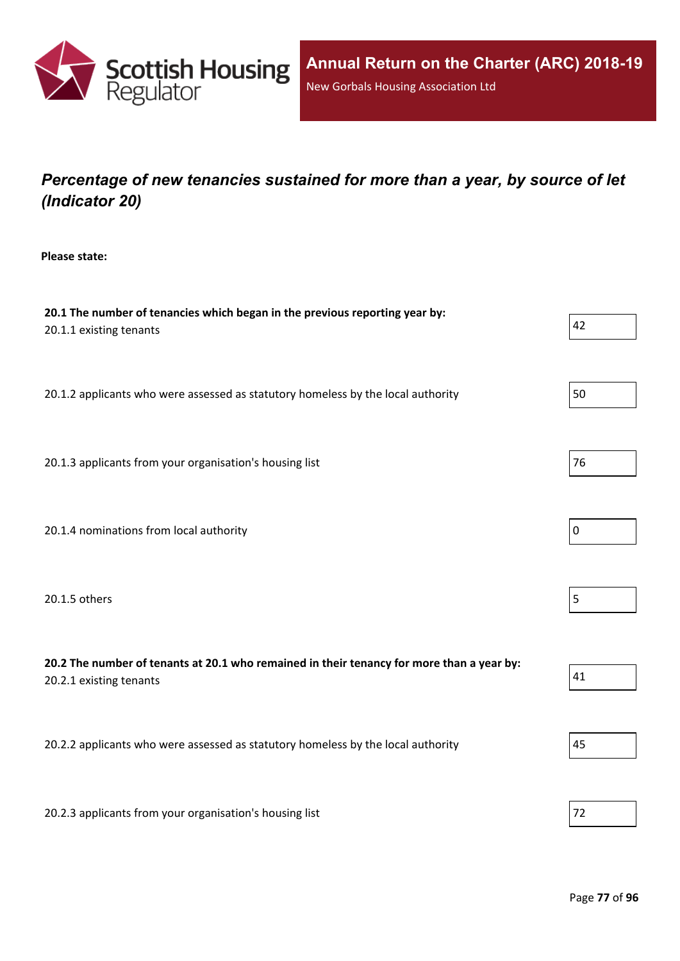

# *Percentage of new tenancies sustained for more than a year, by source of let (Indicator 20)*

**Please state:**

| 20.1 The number of tenancies which began in the previous reporting year by:<br>20.1.1 existing tenants               | 42 |
|----------------------------------------------------------------------------------------------------------------------|----|
| 20.1.2 applicants who were assessed as statutory homeless by the local authority                                     | 50 |
| 20.1.3 applicants from your organisation's housing list                                                              | 76 |
| 20.1.4 nominations from local authority                                                                              | 0  |
| 20.1.5 others                                                                                                        | 5  |
| 20.2 The number of tenants at 20.1 who remained in their tenancy for more than a year by:<br>20.2.1 existing tenants | 41 |
| 20.2.2 applicants who were assessed as statutory homeless by the local authority                                     | 45 |
| 20.2.3 applicants from your organisation's housing list                                                              | 72 |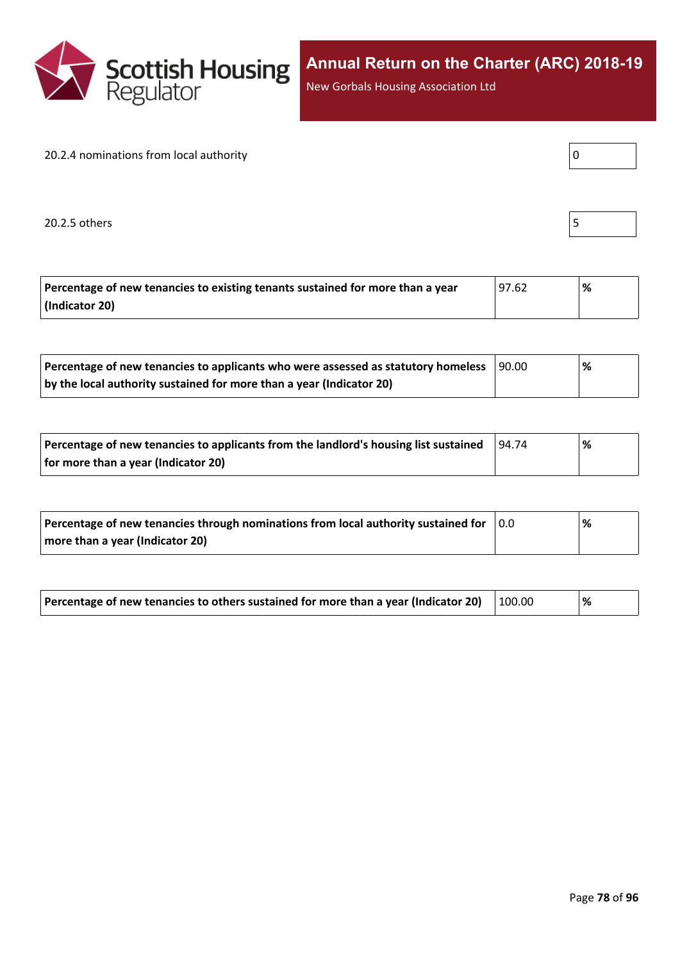

New Gorbals Housing Association Ltd

#### 20.2.4 nominations from local authority

20.2.5 others  $\vert$  5

| Percentage of new tenancies to existing tenants sustained for more than a year | 97.62 ا | '% |
|--------------------------------------------------------------------------------|---------|----|
| (Indicator 20)                                                                 |         |    |

| Percentage of new tenancies to applicants who were assessed as statutory homeless | 90.00 | % |
|-----------------------------------------------------------------------------------|-------|---|
| by the local authority sustained for more than a year (Indicator 20)              |       |   |

| Percentage of new tenancies to applicants from the landlord's housing list sustained | 94.74 | % |
|--------------------------------------------------------------------------------------|-------|---|
| for more than a year (Indicator 20)                                                  |       |   |

| Percentage of new tenancies through nominations from local authority sustained for | 10.0 | % |
|------------------------------------------------------------------------------------|------|---|
| more than a year (Indicator 20)                                                    |      |   |

| Percentage of new tenancies to others sustained for more than a year (Indicator 20) $\mid$ 100.00 |  |  | % |  |
|---------------------------------------------------------------------------------------------------|--|--|---|--|
|---------------------------------------------------------------------------------------------------|--|--|---|--|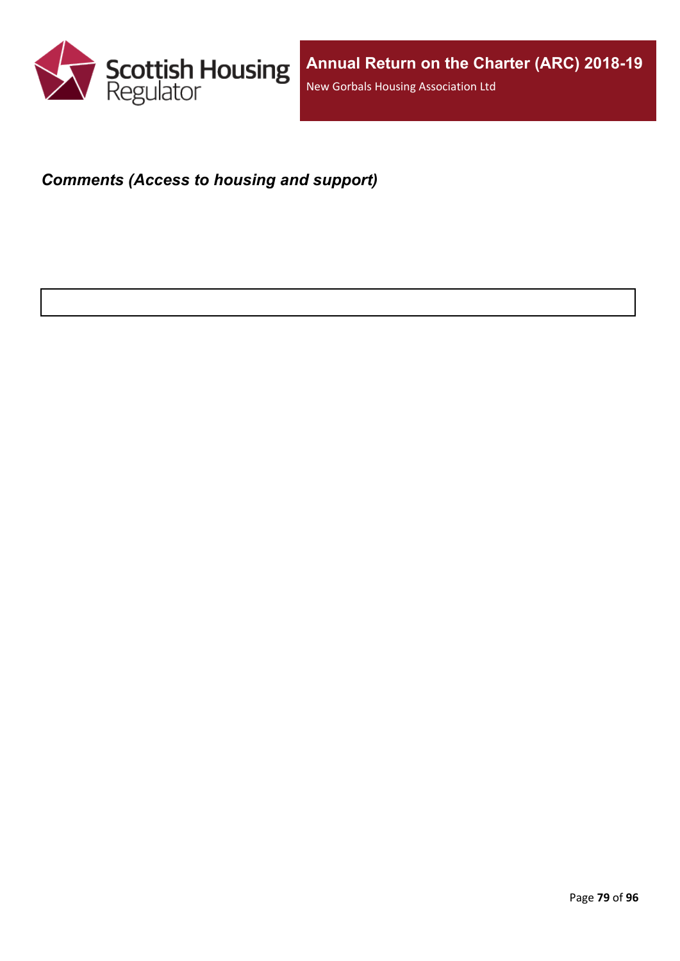

#### *Comments (Access to housing and support)*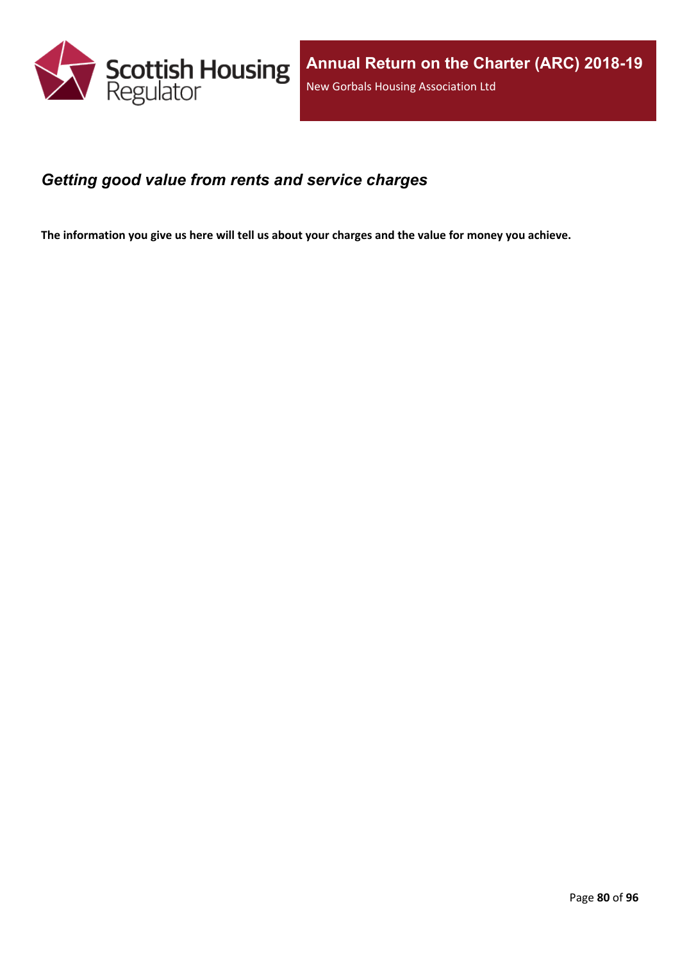

#### *Getting good value from rents and service charges*

The information you give us here will tell us about your charges and the value for money you achieve.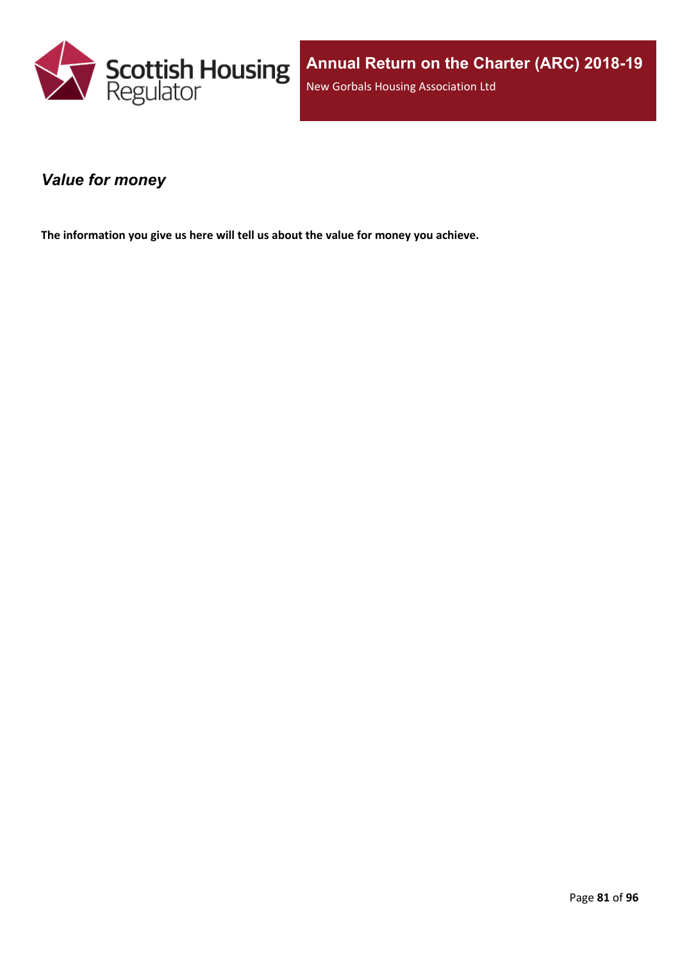

#### *Value for money*

**The information you give us here will tell us about the value for money you achieve.**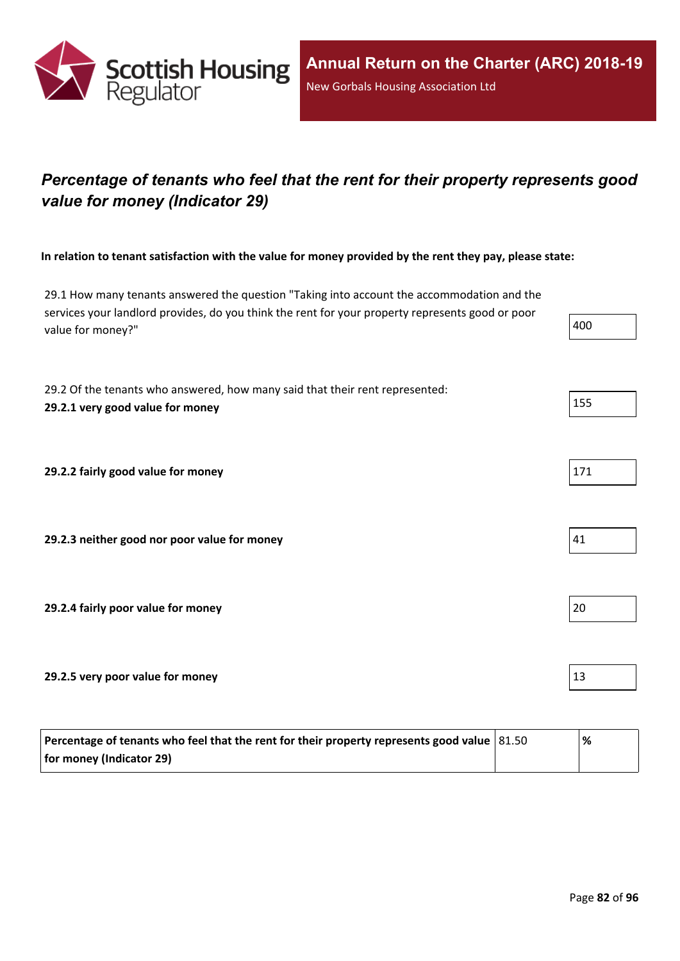

# *Percentage of tenants who feel that the rent for their property represents good value for money (Indicator 29)*

In relation to tenant satisfaction with the value for money provided by the rent they pay, please state:

29.1 How many tenants answered the question "Taking into account the accommodation and the services your landlord provides, do you think the rent for your property represents good or poor value for money?"  $\vert$  400

29.2 Of the tenants who answered, how many said that their rent represented: **29.2.1 very good value for money** 155

**29.2.2 fairly good value for money** 

**29.2.3 neither good nor poor value for money** 41

**29.2.4 fairly poor value for money** 20

**29.2.5 very poor value for money** 13

| Percentage of tenants who feel that the rent for their property represents good value $ 81.50 $ | '% |
|-------------------------------------------------------------------------------------------------|----|
| for money (Indicator 29)                                                                        |    |

| 400 |  |
|-----|--|
|     |  |

| 17 |  |  |
|----|--|--|
|    |  |  |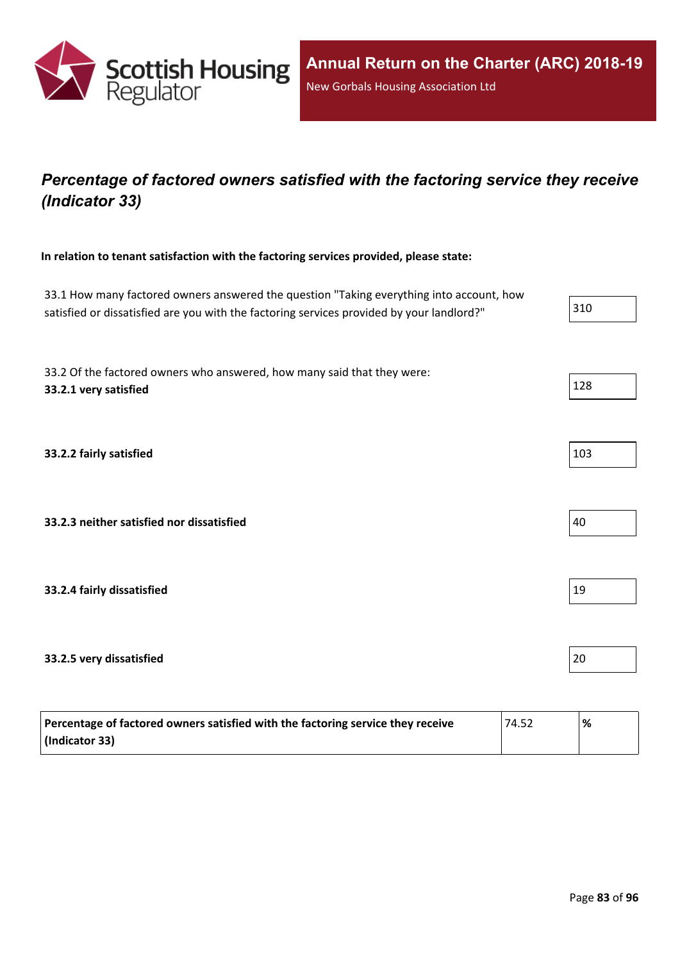

## *Percentage of factored owners satisfied with the factoring service they receive (Indicator 33)*

**In relation to tenant satisfaction with the factoring services provided, please state:**

33.1 How many factored owners answered the question "Taking everything into account, how satisfied or dissatisfied are you with the factoring services provided by your landlord?"  $\vert$  310 33.2 Of the factored owners who answered, how many said that they were: **33.2.1 very satisfied** 128 **33.2.2 fairly satisfied** 103 **33.2.3 neither satisfied nor dissatisfied** 40 **33.2.4 fairly dissatisfied** 19 **33.2.5 very dissatisfied** 20

| Percentage of factored owners satisfied with the factoring service they receive | 74.52 | % |
|---------------------------------------------------------------------------------|-------|---|
| (Indicator 33)                                                                  |       |   |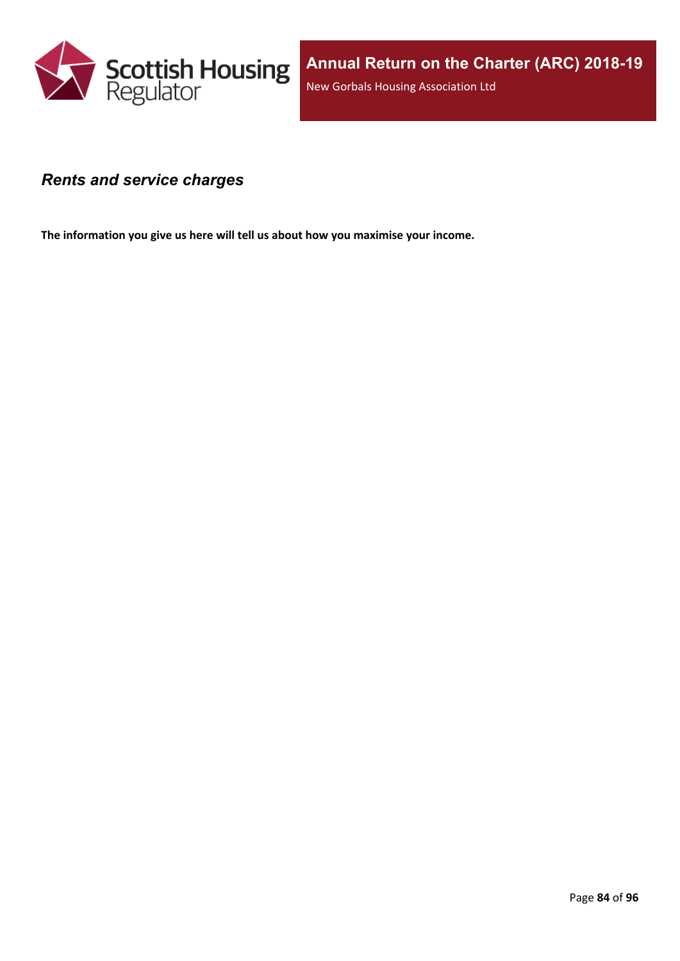

#### *Rents and service charges*

**The information you give us here will tell us about how you maximise your income.**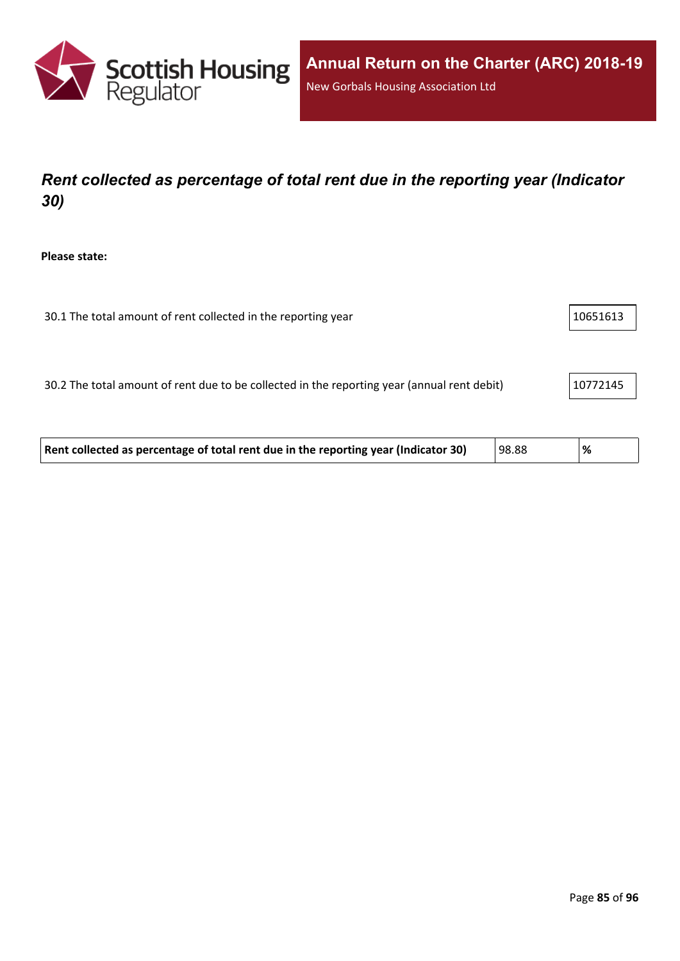

# *Rent collected as percentage of total rent due in the reporting year (Indicator 30)*

**Please state:**

| 30.1 The total amount of rent collected in the reporting year | 10651613 |
|---------------------------------------------------------------|----------|
|                                                               |          |
|                                                               |          |

30.2 The total amount of rent due to be collected in the reporting year (annual rent debit) 20772145

| Rent collected as percentage of total rent due in the reporting year (Indicator 30) | 98.88 | <u>'%</u> |  |
|-------------------------------------------------------------------------------------|-------|-----------|--|
|-------------------------------------------------------------------------------------|-------|-----------|--|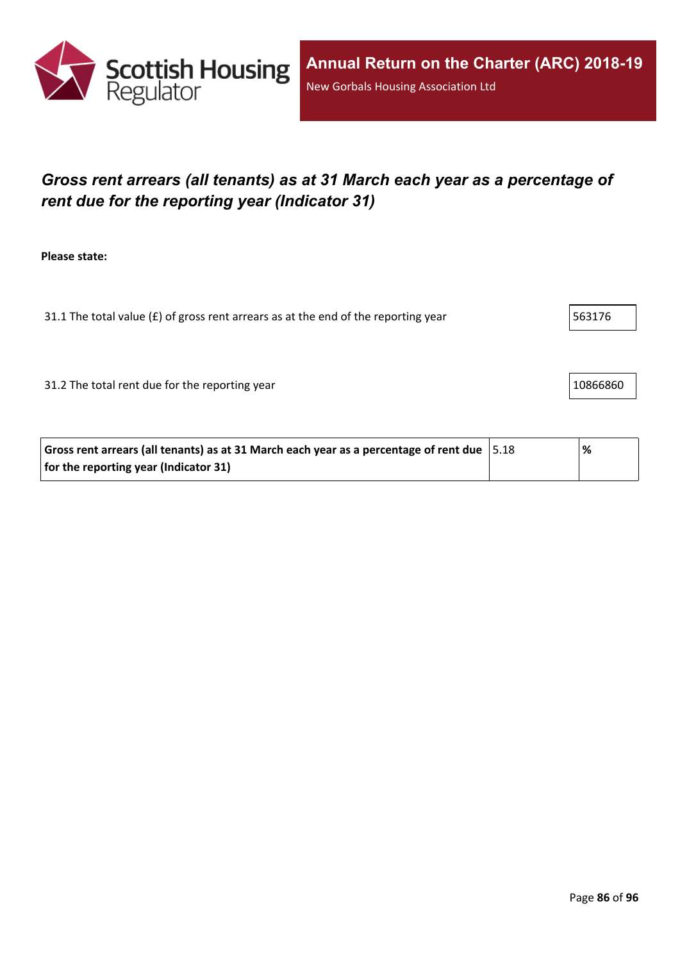

# *Gross rent arrears (all tenants) as at 31 March each year as a percentage of rent due for the reporting year (Indicator 31)*

**Please state:**

31.1 The total value ( $E$ ) of gross rent arrears as at the end of the reporting year  $\vert$  563176

31.2 The total rent due for the reporting year 10866860

| Gross rent arrears (all tenants) as at 31 March each year as a percentage of rent due $ 5.18 $ | % |
|------------------------------------------------------------------------------------------------|---|
| for the reporting year (Indicator 31)                                                          |   |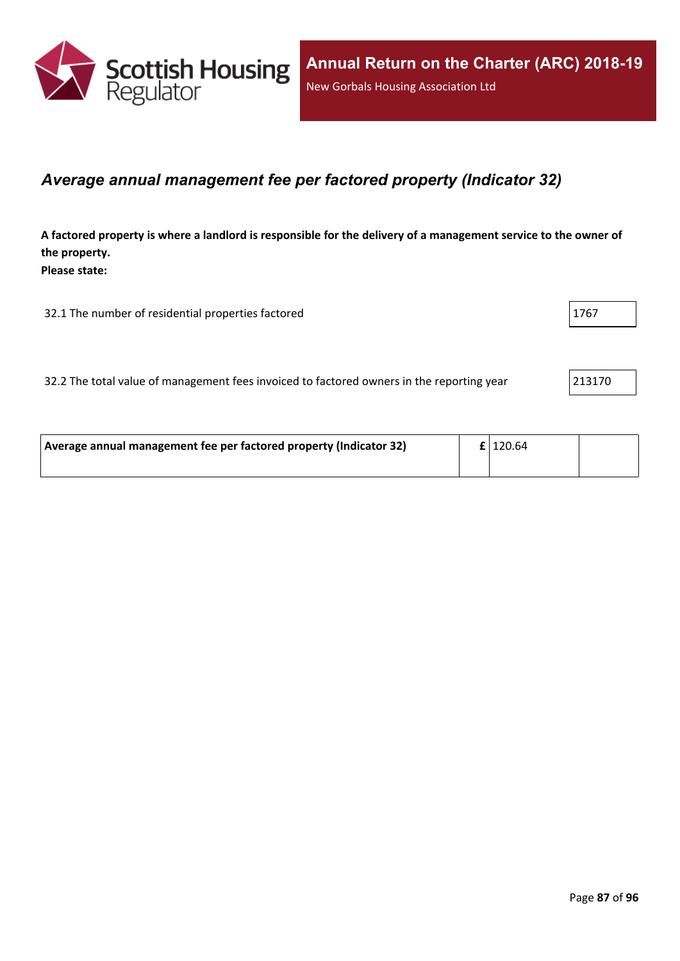

#### *Average annual management fee per factored property (Indicator 32)*

A factored property is where a landlord is responsible for the delivery of a management service to the owner of **the property. Please state:**

32.1 The number of residential properties factored 1767 1767

32.2 The total value of management fees invoiced to factored owners in the reporting year 213170

| Average annual management fee per factored property (Indicator 32) | $\mathbf{f}$   120.64 |  |
|--------------------------------------------------------------------|-----------------------|--|
|                                                                    |                       |  |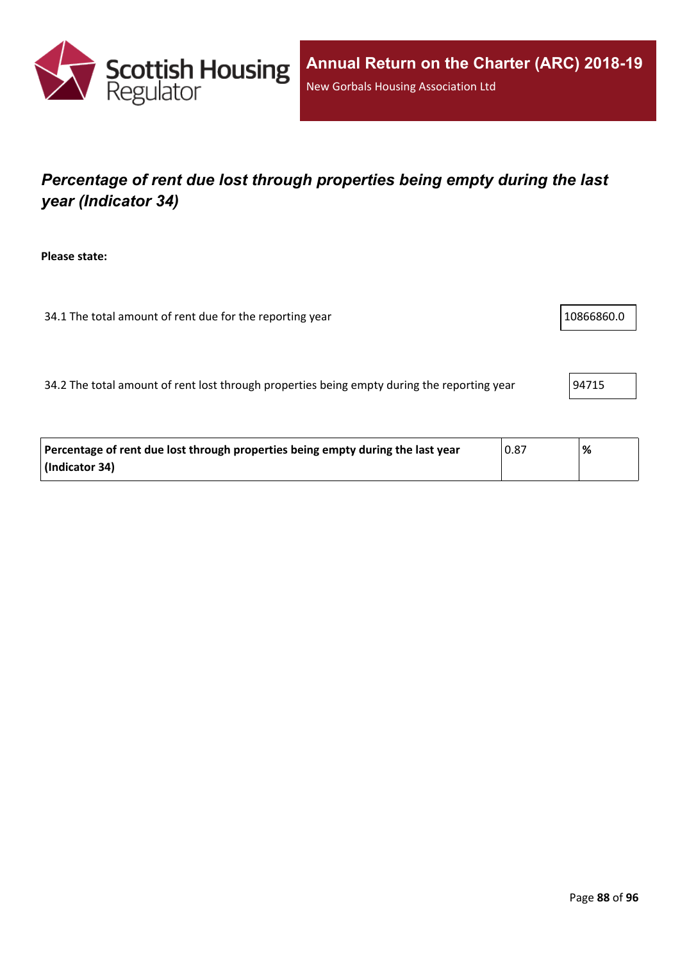

# *Percentage of rent due lost through properties being empty during the last year (Indicator 34)*

**Please state:**

34.1 The total amount of rent due for the reporting year 10866860.0

34.2 The total amount of rent lost through properties being empty during the reporting year  $94715$ 

| Percentage of rent due lost through properties being empty during the last year | 0.87 | % |
|---------------------------------------------------------------------------------|------|---|
| (Indicator 34)                                                                  |      |   |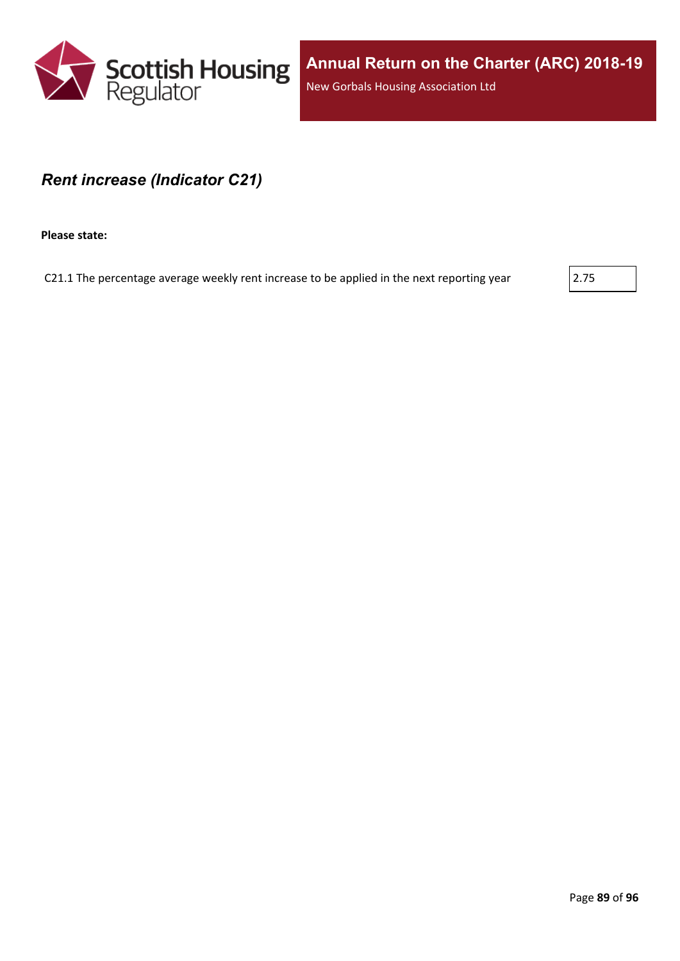

#### *Rent increase (Indicator C21)*

**Please state:**

C21.1 The percentage average weekly rent increase to be applied in the next reporting year  $\vert$  2.75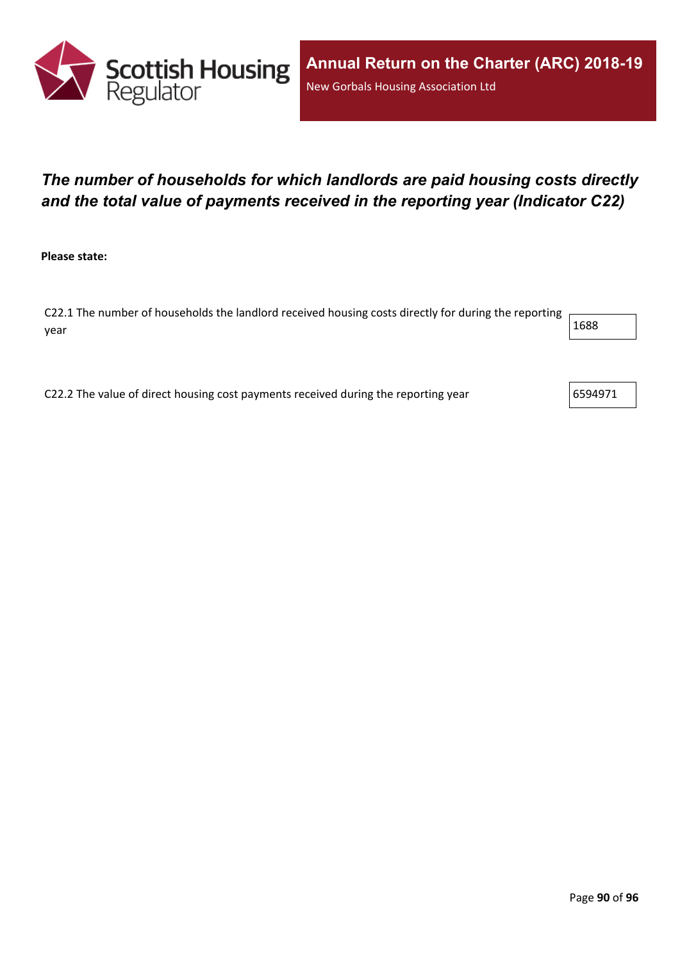

## *The number of households for which landlords are paid housing costs directly and the total value of payments received in the reporting year (Indicator C22)*

**Please state:**

C22.1 The number of households the landlord received housing costs directly for during the reporting year  $1688$ 

C22.2 The value of direct housing cost payments received during the reporting year  $\vert$ 6594971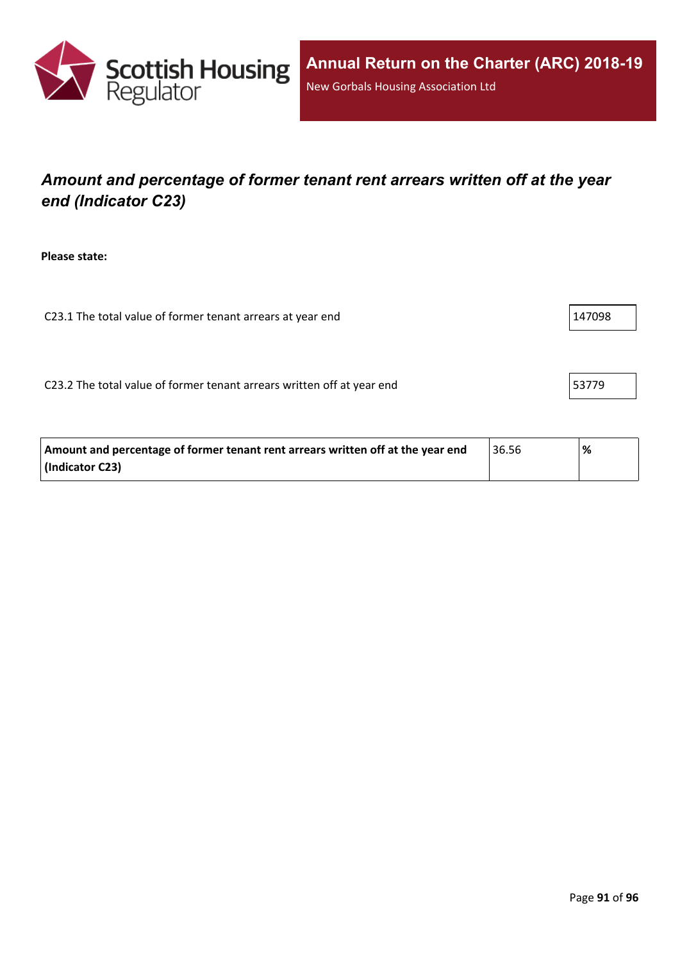

## *Amount and percentage of former tenant rent arrears written off at the year end (Indicator C23)*

**Please state:**

C23.1 The total value of former tenant arrears at year end  $\vert$  147098

C23.2 The total value of former tenant arrears written off at year end  $\vert$  53779

| Amount and percentage of former tenant rent arrears written off at the year end | 36.56 | % |
|---------------------------------------------------------------------------------|-------|---|
| (Indicator C23)                                                                 |       |   |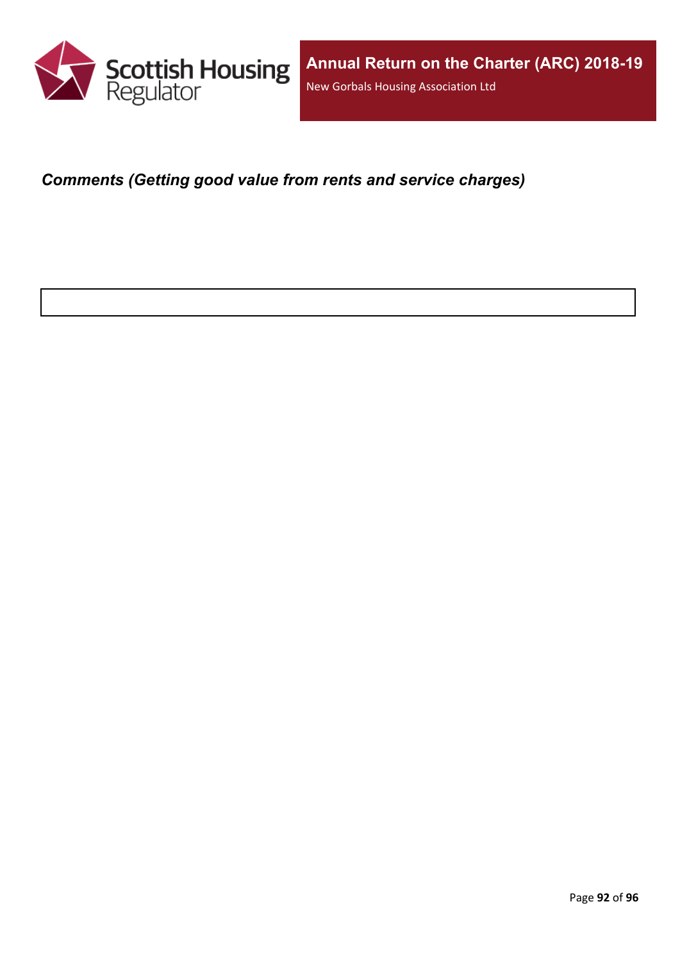

*Comments (Getting good value from rents and service charges)*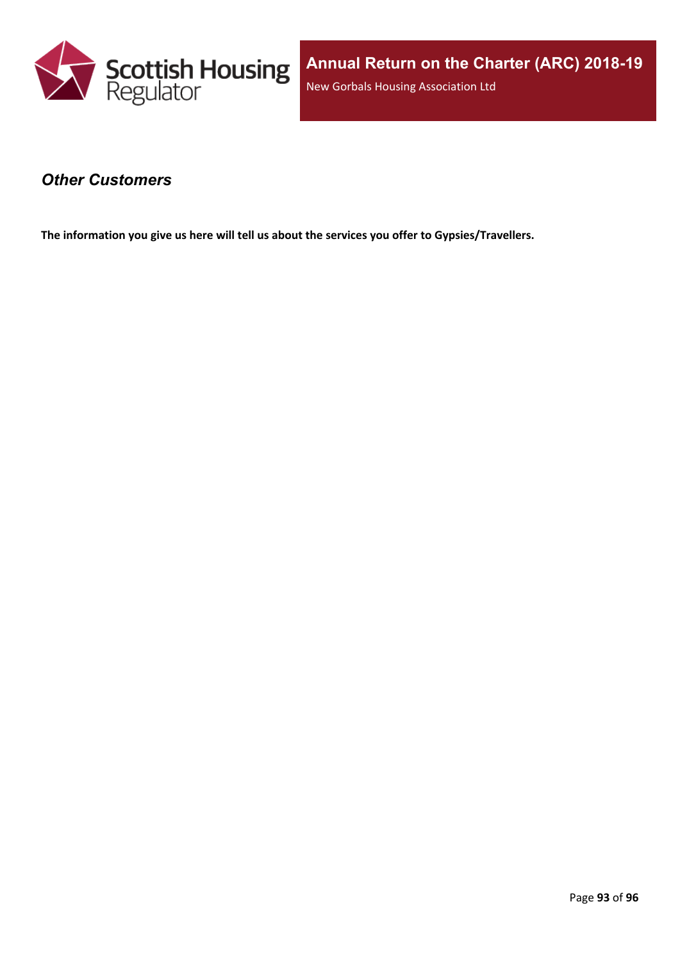

#### *Other Customers*

**The information you give us here will tell us about the services you offer to Gypsies/Travellers.**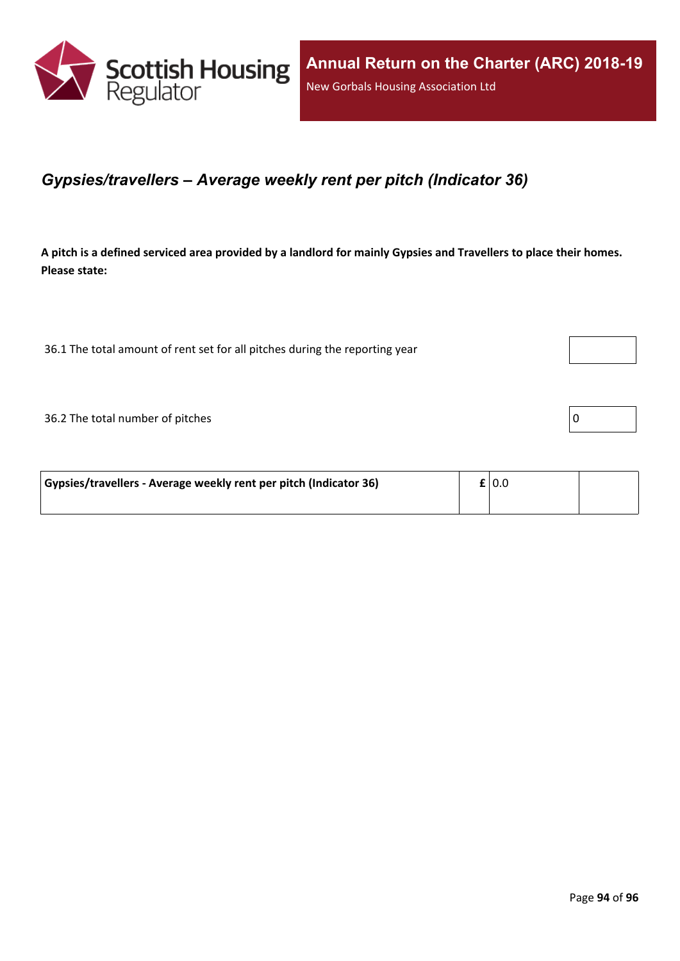

#### *Gypsies/travellers – Average weekly rent per pitch (Indicator 36)*

A pitch is a defined serviced area provided by a landlord for mainly Gypsies and Travellers to place their homes. **Please state:**

36.1 The total amount of rent set for all pitches during the reporting year

 $36.2$  The total number of pitches  $\boxed{0}$ 

| Gypsies/travellers - Average weekly rent per pitch (Indicator 36) | $\mathbf{f}$   0.0 |  |
|-------------------------------------------------------------------|--------------------|--|
|                                                                   |                    |  |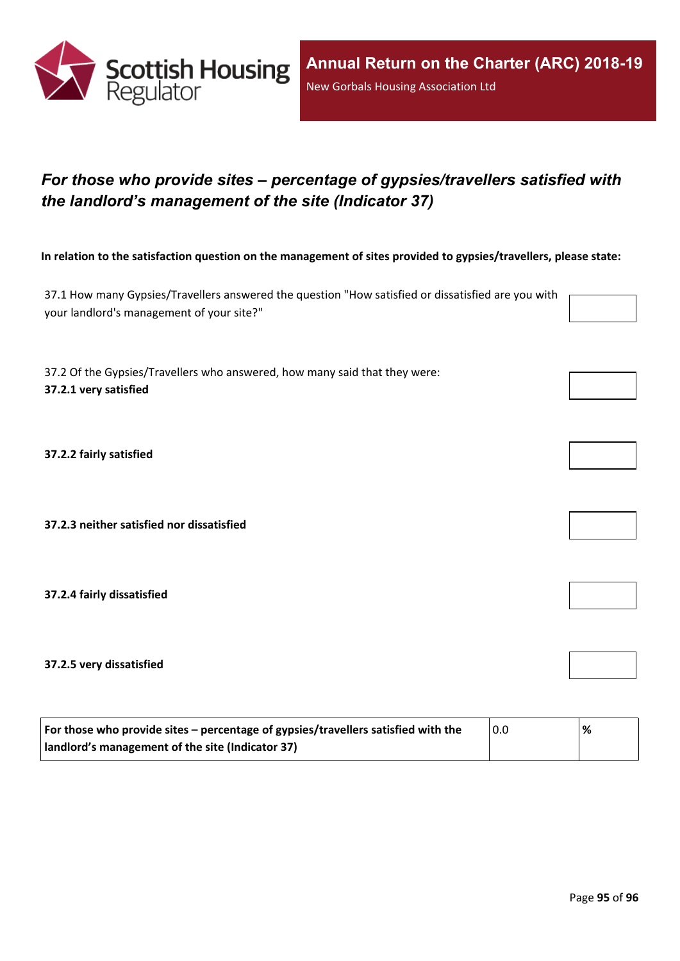

# *For those who provide sites – percentage of gypsies/travellers satisfied with the landlord's management of the site (Indicator 37)*

In relation to the satisfaction question on the management of sites provided to gypsies/travellers, please state:

37.1 How many Gypsies/Travellers answered the question "How satisfied or dissatisfied are you with your landlord's management of your site?"

37.2 Of the Gypsies/Travellers who answered, how many said that they were: **37.2.1 very satisfied**

**37.2.2 fairly satisfied**

**37.2.3 neither satisfied nor dissatisfied**

**37.2.4 fairly dissatisfied**

**37.2.5 very dissatisfied**

| For those who provide sites – percentage of gypsies/travellers satisfied with the | 0.0 | % |
|-----------------------------------------------------------------------------------|-----|---|
| I landlord's management of the site (Indicator 37)                                |     |   |